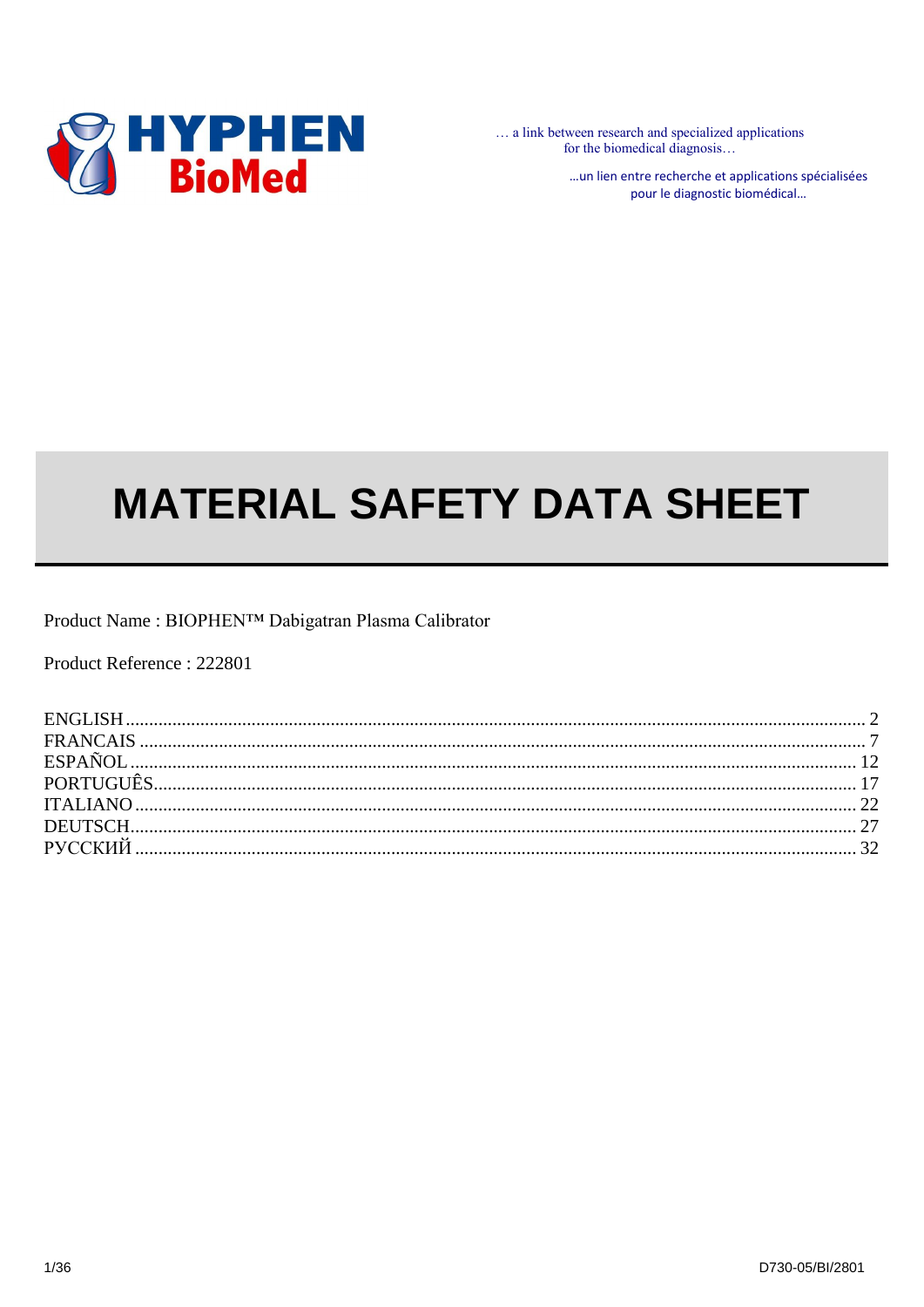

... a link between research and specialized applications for the biomedical diagnosis...

> ... un lien entre recherche et applications spécialisées pour le diagnostic biomédical...

# **MATERIAL SAFETY DATA SHEET**

Product Name: BIOPHEN<sup>TM</sup> Dabigatran Plasma Calibrator

Product Reference: 222801

| ESPAÑOL |  |
|---------|--|
|         |  |
|         |  |
|         |  |
|         |  |
|         |  |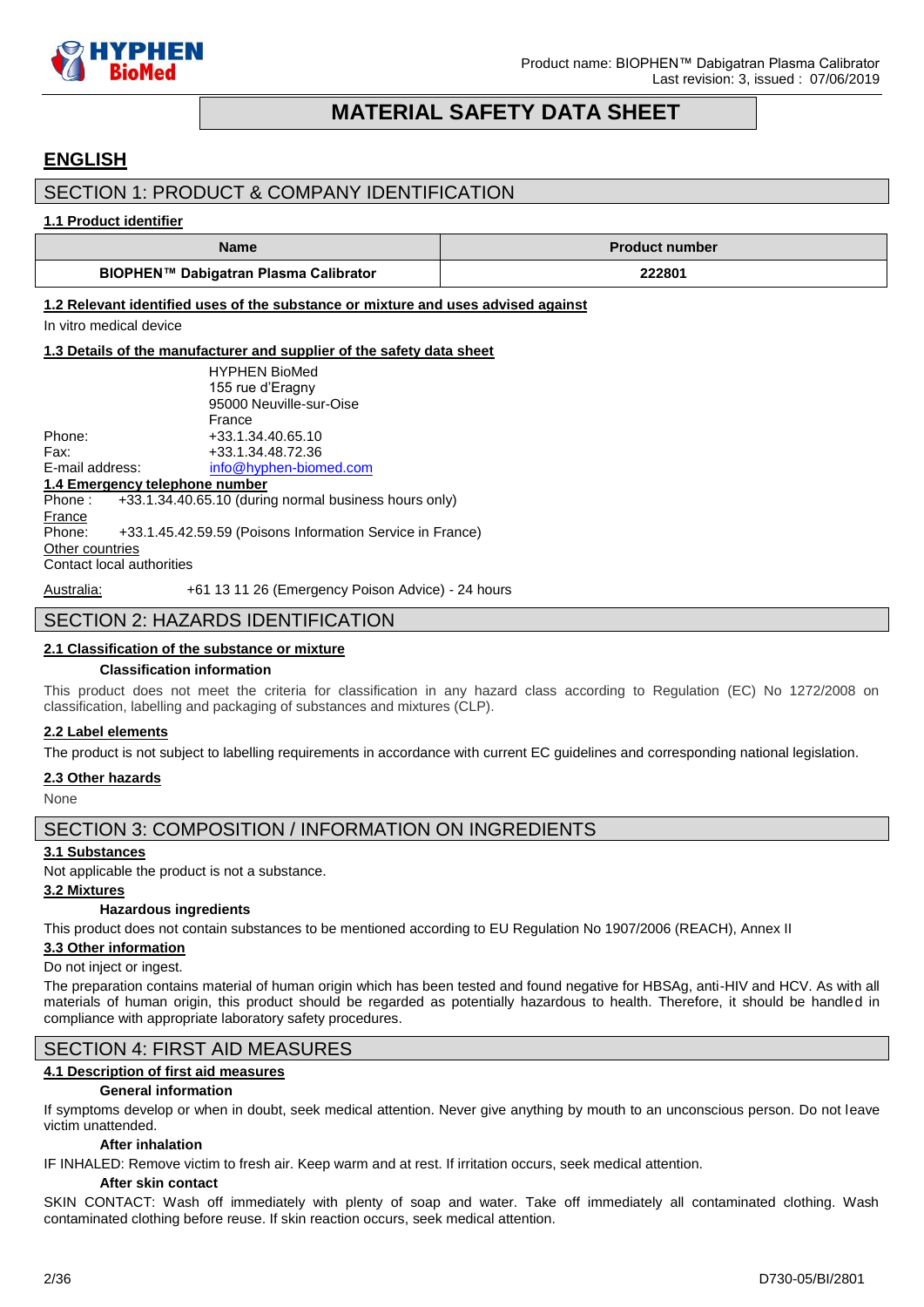

# **MATERIAL SAFETY DATA SHEET**

# <span id="page-1-0"></span>**ENGLISH**

### SECTION 1: PRODUCT & COMPANY IDENTIFICATION

### **1.1 Product identifier**

| Name                                  | <b>Product number</b> |
|---------------------------------------|-----------------------|
| BIOPHEN™ Dabigatran Plasma Calibrator | 222801                |

### **1.2 Relevant identified uses of the substance or mixture and uses advised against**

In vitro medical device

### **1.3 Details of the manufacturer and supplier of the safety data sheet**

|                                | <b>HYPHEN BioMed</b>                                           |
|--------------------------------|----------------------------------------------------------------|
|                                | 155 rue d'Eragny                                               |
|                                | 95000 Neuville-sur-Oise                                        |
|                                | France                                                         |
| Phone:                         | +33.1.34.40.65.10                                              |
| Fax:                           | +33.1.34.48.72.36                                              |
| E-mail address:                | info@hyphen-biomed.com                                         |
| 1.4 Emergency telephone number |                                                                |
|                                | Phone: $+33.1.34.40.65.10$ (during normal business hours only) |
| France                         |                                                                |
| Phone:                         | +33.1.45.42.59.59 (Poisons Information Service in France)      |
| Other countries                |                                                                |
| Contact local authorities      |                                                                |
|                                |                                                                |

### Australia: +61 13 11 26 (Emergency Poison Advice) - 24 hours

# SECTION 2: HAZARDS IDENTIFICATION

# **2.1 Classification of the substance or mixture**

#### **Classification information**

This product does not meet the criteria for classification in any hazard class according to Regulation (EC) No 1272/2008 on classification, labelling and packaging of substances and mixtures (CLP).

#### **2.2 Label elements**

The product is not subject to labelling requirements in accordance with current EC guidelines and corresponding national legislation.

#### **2.3 Other hazards**

None

### SECTION 3: COMPOSITION / INFORMATION ON INGREDIENTS

#### **3.1 Substances**

Not applicable the product is not a substance.

#### **3.2 Mixtures**

#### **Hazardous ingredients**

This product does not contain substances to be mentioned according to EU Regulation No 1907/2006 (REACH), Annex II

#### **3.3 Other information**

#### Do not inject or ingest.

The preparation contains material of human origin which has been tested and found negative for HBSAg, anti-HIV and HCV. As with all materials of human origin, this product should be regarded as potentially hazardous to health. Therefore, it should be handled in compliance with appropriate laboratory safety procedures.

### SECTION 4: FIRST AID MEASURES

### **4.1 Description of first aid measures**

#### **General information**

If symptoms develop or when in doubt, seek medical attention. Never give anything by mouth to an unconscious person. Do not leave victim unattended.

### **After inhalation**

IF INHALED: Remove victim to fresh air. Keep warm and at rest. If irritation occurs, seek medical attention.

### **After skin contact**

SKIN CONTACT: Wash off immediately with plenty of soap and water. Take off immediately all contaminated clothing. Wash contaminated clothing before reuse. If skin reaction occurs, seek medical attention.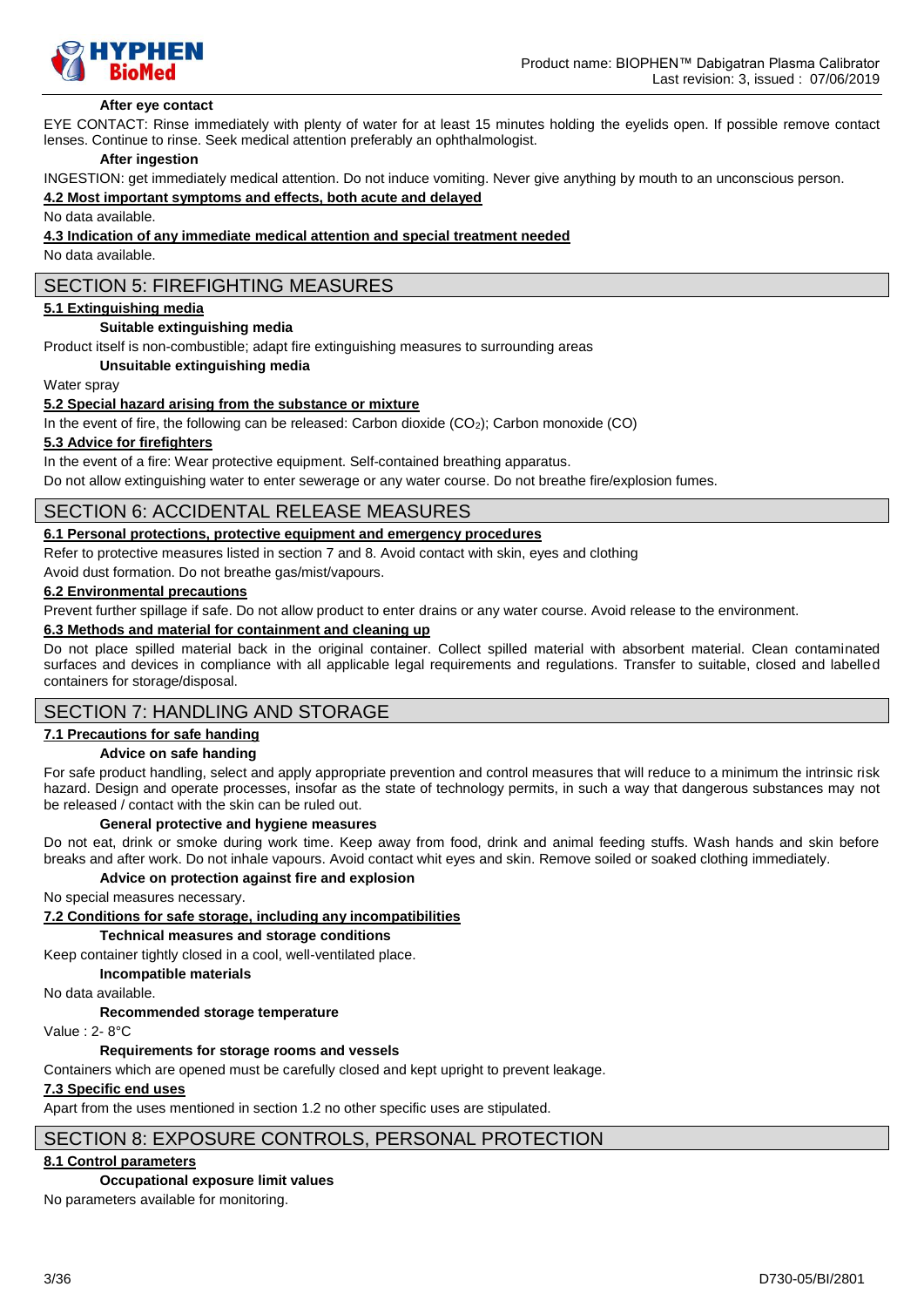

#### **After eye contact**

EYE CONTACT: Rinse immediately with plenty of water for at least 15 minutes holding the eyelids open. If possible remove contact lenses. Continue to rinse. Seek medical attention preferably an ophthalmologist.

#### **After ingestion**

INGESTION: get immediately medical attention. Do not induce vomiting. Never give anything by mouth to an unconscious person.

#### **4.2 Most important symptoms and effects, both acute and delayed**

No data available.

#### **4.3 Indication of any immediate medical attention and special treatment needed**

No data available.

### SECTION 5: FIREFIGHTING MEASURES

#### **5.1 Extinguishing media**

#### **Suitable extinguishing media**

Product itself is non-combustible; adapt fire extinguishing measures to surrounding areas

#### **Unsuitable extinguishing media**

Water spray

### **5.2 Special hazard arising from the substance or mixture**

In the event of fire, the following can be released: Carbon dioxide (CO<sub>2</sub>); Carbon monoxide (CO)

#### **5.3 Advice for firefighters**

In the event of a fire: Wear protective equipment. Self-contained breathing apparatus.

Do not allow extinguishing water to enter sewerage or any water course. Do not breathe fire/explosion fumes.

### SECTION 6: ACCIDENTAL RELEASE MEASURES

### **6.1 Personal protections, protective equipment and emergency procedures**

Refer to protective measures listed in section 7 and 8. Avoid contact with skin, eyes and clothing

Avoid dust formation. Do not breathe gas/mist/vapours.

#### **6.2 Environmental precautions**

Prevent further spillage if safe. Do not allow product to enter drains or any water course. Avoid release to the environment.

### **6.3 Methods and material for containment and cleaning up**

Do not place spilled material back in the original container. Collect spilled material with absorbent material. Clean contaminated surfaces and devices in compliance with all applicable legal requirements and regulations. Transfer to suitable, closed and labelled containers for storage/disposal.

### SECTION 7: HANDLING AND STORAGE

### **7.1 Precautions for safe handing**

#### **Advice on safe handing**

For safe product handling, select and apply appropriate prevention and control measures that will reduce to a minimum the intrinsic risk hazard. Design and operate processes, insofar as the state of technology permits, in such a way that dangerous substances may not be released / contact with the skin can be ruled out.

#### **General protective and hygiene measures**

Do not eat, drink or smoke during work time. Keep away from food, drink and animal feeding stuffs. Wash hands and skin before breaks and after work. Do not inhale vapours. Avoid contact whit eyes and skin. Remove soiled or soaked clothing immediately.

#### **Advice on protection against fire and explosion**

No special measures necessary.

**7.2 Conditions for safe storage, including any incompatibilities**

**Technical measures and storage conditions**

Keep container tightly closed in a cool, well-ventilated place.

**Incompatible materials**

No data available.

**Recommended storage temperature**

Value : 2- 8°C

#### **Requirements for storage rooms and vessels**

Containers which are opened must be carefully closed and kept upright to prevent leakage.

#### **7.3 Specific end uses**

Apart from the uses mentioned in section 1.2 no other specific uses are stipulated.

### SECTION 8: EXPOSURE CONTROLS, PERSONAL PROTECTION

#### **8.1 Control parameters**

#### **Occupational exposure limit values**

No parameters available for monitoring.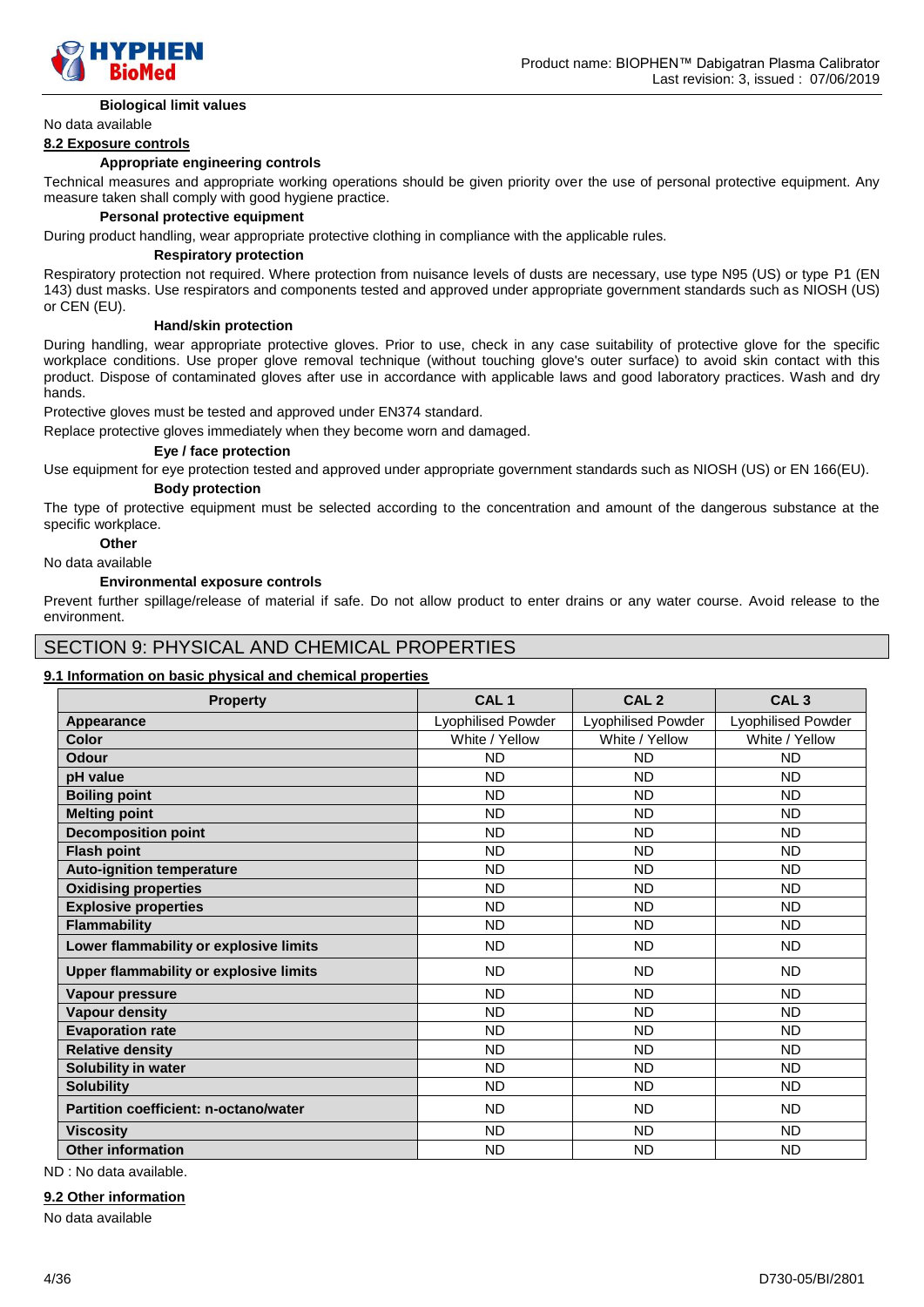

#### **Biological limit values**

No data available

#### **8.2 Exposure controls**

#### **Appropriate engineering controls**

Technical measures and appropriate working operations should be given priority over the use of personal protective equipment. Any measure taken shall comply with good hygiene practice.

#### **Personal protective equipment**

During product handling, wear appropriate protective clothing in compliance with the applicable rules.

#### **Respiratory protection**

Respiratory protection not required. Where protection from nuisance levels of dusts are necessary, use type N95 (US) or type P1 (EN 143) dust masks. Use respirators and components tested and approved under appropriate government standards such as NIOSH (US) or CEN (EU).

#### **Hand/skin protection**

During handling, wear appropriate protective gloves. Prior to use, check in any case suitability of protective glove for the specific workplace conditions. Use proper glove removal technique (without touching glove's outer surface) to avoid skin contact with this product. Dispose of contaminated gloves after use in accordance with applicable laws and good laboratory practices. Wash and dry hands.

Protective gloves must be tested and approved under EN374 standard.

Replace protective gloves immediately when they become worn and damaged.

#### **Eye / face protection**

Use equipment for eye protection tested and approved under appropriate government standards such as NIOSH (US) or EN 166(EU). **Body protection**

The type of protective equipment must be selected according to the concentration and amount of the dangerous substance at the specific workplace.

### **Other**

#### No data available

#### **Environmental exposure controls**

Prevent further spillage/release of material if safe. Do not allow product to enter drains or any water course. Avoid release to the environment.

### SECTION 9: PHYSICAL AND CHEMICAL PROPERTIES

#### **9.1 Information on basic physical and chemical properties**

| <b>Property</b>                               | CAL <sub>1</sub>          | CAL <sub>2</sub>          | CAL <sub>3</sub>   |
|-----------------------------------------------|---------------------------|---------------------------|--------------------|
| Appearance                                    | <b>Lyophilised Powder</b> | <b>Lyophilised Powder</b> | Lyophilised Powder |
| Color                                         | White / Yellow            | White / Yellow            | White / Yellow     |
| Odour                                         | <b>ND</b>                 | <b>ND</b>                 | <b>ND</b>          |
| pH value                                      | <b>ND</b>                 | <b>ND</b>                 | <b>ND</b>          |
| <b>Boiling point</b>                          | <b>ND</b>                 | <b>ND</b>                 | <b>ND</b>          |
| <b>Melting point</b>                          | <b>ND</b>                 | <b>ND</b>                 | <b>ND</b>          |
| <b>Decomposition point</b>                    | <b>ND</b>                 | <b>ND</b>                 | <b>ND</b>          |
| <b>Flash point</b>                            | <b>ND</b>                 | <b>ND</b>                 | <b>ND</b>          |
| <b>Auto-ignition temperature</b>              | <b>ND</b>                 | <b>ND</b>                 | <b>ND</b>          |
| <b>Oxidising properties</b>                   | <b>ND</b>                 | <b>ND</b>                 | <b>ND</b>          |
| <b>Explosive properties</b>                   | <b>ND</b>                 | <b>ND</b>                 | <b>ND</b>          |
| <b>Flammability</b>                           | <b>ND</b>                 | <b>ND</b>                 | <b>ND</b>          |
| Lower flammability or explosive limits        | <b>ND</b>                 | <b>ND</b>                 | <b>ND</b>          |
| <b>Upper flammability or explosive limits</b> | <b>ND</b>                 | <b>ND</b>                 | <b>ND</b>          |
| Vapour pressure                               | <b>ND</b>                 | <b>ND</b>                 | <b>ND</b>          |
| <b>Vapour density</b>                         | <b>ND</b>                 | <b>ND</b>                 | <b>ND</b>          |
| <b>Evaporation rate</b>                       | <b>ND</b>                 | <b>ND</b>                 | <b>ND</b>          |
| <b>Relative density</b>                       | <b>ND</b>                 | <b>ND</b>                 | <b>ND</b>          |
| Solubility in water                           | <b>ND</b>                 | ND.                       | <b>ND</b>          |
| <b>Solubility</b>                             | <b>ND</b>                 | <b>ND</b>                 | <b>ND</b>          |
| <b>Partition coefficient: n-octano/water</b>  | <b>ND</b>                 | <b>ND</b>                 | <b>ND</b>          |
| <b>Viscosity</b>                              | <b>ND</b>                 | <b>ND</b>                 | <b>ND</b>          |
| <b>Other information</b>                      | <b>ND</b>                 | <b>ND</b>                 | <b>ND</b>          |

ND : No data available.

#### **9.2 Other information**

No data available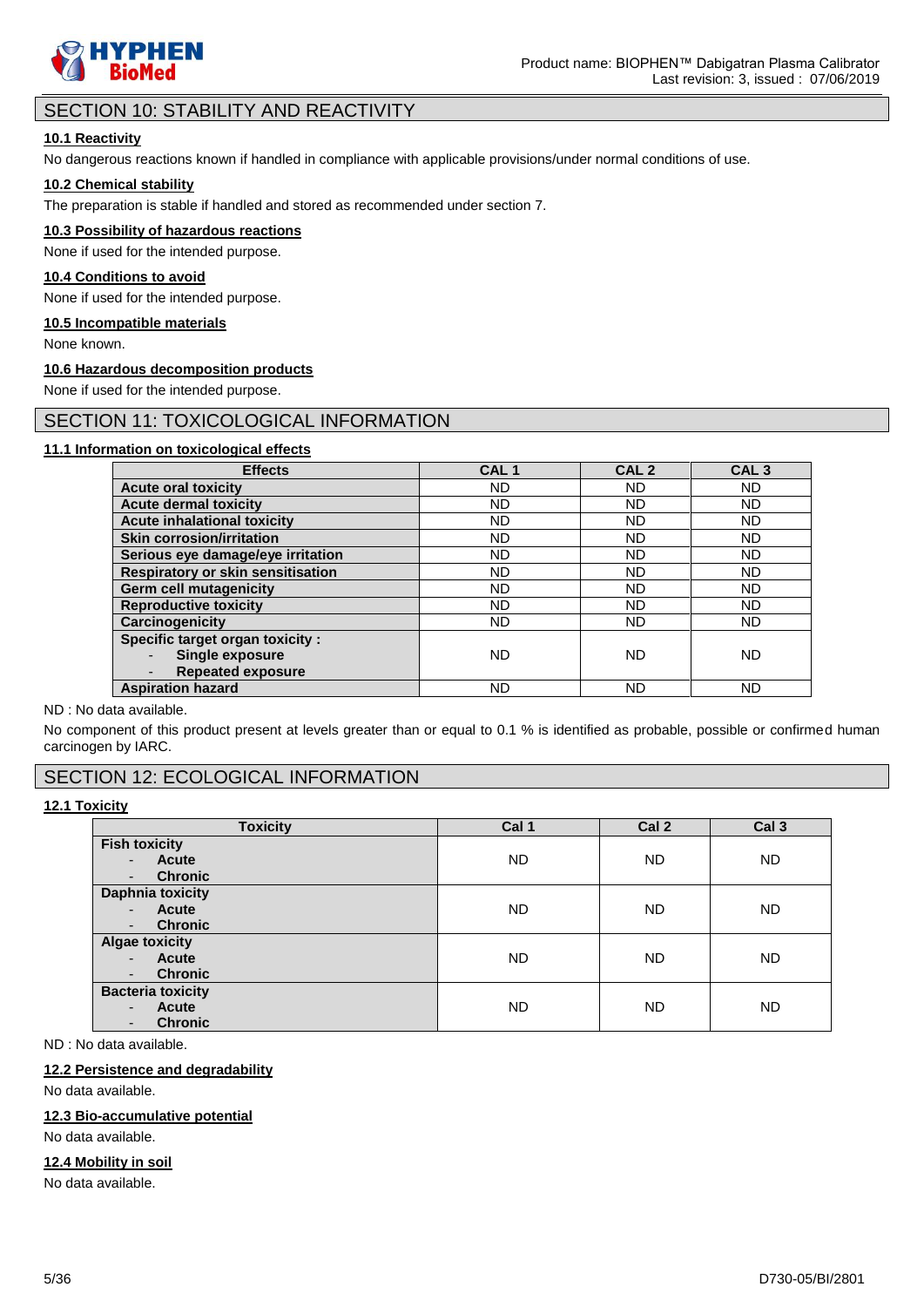

# SECTION 10: STABILITY AND REACTIVITY

### **10.1 Reactivity**

No dangerous reactions known if handled in compliance with applicable provisions/under normal conditions of use.

### **10.2 Chemical stability**

The preparation is stable if handled and stored as recommended under section 7.

#### **10.3 Possibility of hazardous reactions**

None if used for the intended purpose.

#### **10.4 Conditions to avoid**

None if used for the intended purpose.

#### **10.5 Incompatible materials**

None known.

#### **10.6 Hazardous decomposition products**

None if used for the intended purpose.

### SECTION 11: TOXICOLOGICAL INFORMATION

### **11.1 Information on toxicological effects**

| <b>Effects</b>                           | CAL <sub>1</sub> | CAL <sub>2</sub> | CAL <sub>3</sub> |
|------------------------------------------|------------------|------------------|------------------|
| <b>Acute oral toxicity</b>               | ND               | ND               | <b>ND</b>        |
| <b>Acute dermal toxicity</b>             | <b>ND</b>        | ND               | ND               |
| <b>Acute inhalational toxicity</b>       | ND               | ND               | ND               |
| <b>Skin corrosion/irritation</b>         | ND               | ND               | <b>ND</b>        |
| Serious eye damage/eye irritation        | ND               | ND               | <b>ND</b>        |
| <b>Respiratory or skin sensitisation</b> | <b>ND</b>        | ND               | ND               |
| <b>Germ cell mutagenicity</b>            | <b>ND</b>        | ND               | ND.              |
| <b>Reproductive toxicity</b>             | ND               | ND               | <b>ND</b>        |
| Carcinogenicity                          | ND               | ND               | <b>ND</b>        |
| Specific target organ toxicity :         |                  |                  |                  |
| Single exposure                          | <b>ND</b>        | ND               | ND.              |
| <b>Repeated exposure</b>                 |                  |                  |                  |
| <b>Aspiration hazard</b>                 | ND               | ND               | ND.              |

ND : No data available.

No component of this product present at levels greater than or equal to 0.1 % is identified as probable, possible or confirmed human carcinogen by IARC.

# SECTION 12: ECOLOGICAL INFORMATION

### **12.1 Toxicity**

| <b>Toxicity</b>                                                                                          | Cal 1     | Cal 2     | Cal <sub>3</sub> |
|----------------------------------------------------------------------------------------------------------|-----------|-----------|------------------|
| <b>Fish toxicity</b><br>Acute<br>$\blacksquare$                                                          | ND        | <b>ND</b> | <b>ND</b>        |
| <b>Chronic</b><br>$\overline{\phantom{a}}$                                                               |           |           |                  |
| <b>Daphnia toxicity</b><br>Acute<br>$\blacksquare$<br><b>Chronic</b><br>$\overline{\phantom{a}}$         | <b>ND</b> | <b>ND</b> | ND.              |
| <b>Algae toxicity</b><br>Acute<br>$\blacksquare$<br><b>Chronic</b><br>$\overline{\phantom{a}}$           | <b>ND</b> | <b>ND</b> | ND.              |
| <b>Bacteria toxicity</b><br><b>Acute</b><br>$\blacksquare$<br><b>Chronic</b><br>$\overline{\phantom{a}}$ | <b>ND</b> | <b>ND</b> | <b>ND</b>        |

ND : No data available.

### **12.2 Persistence and degradability**

No data available.

### **12.3 Bio-accumulative potential**

No data available.

# **12.4 Mobility in soil**

No data available.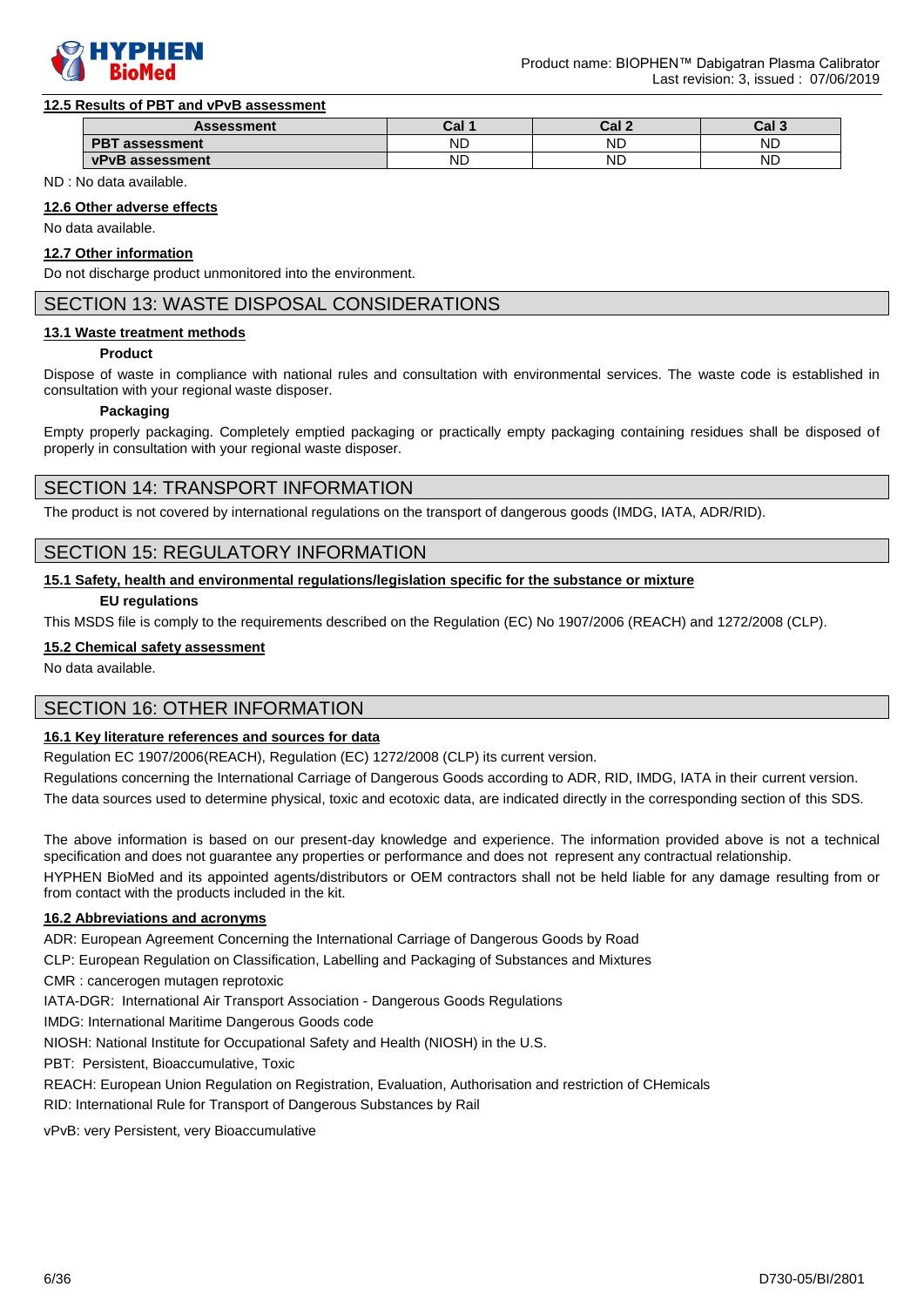

#### **12.5 Results of PBT and vPvB assessment**

| <b>Assessment</b>               | nal.<br>⊍aı | ral.<br>⊍aı | ף והח<br>ن اαن |
|---------------------------------|-------------|-------------|----------------|
| <b>DDT</b><br>assessment<br>וכי | <b>ND</b>   | <b>ND</b>   | <b>ND</b>      |
| vPvB<br>assessment              | <b>ND</b>   | <b>NL</b>   | <b>NL</b>      |

ND : No data available.

#### **12.6 Other adverse effects**

No data available.

#### **12.7 Other information**

Do not discharge product unmonitored into the environment.

### SECTION 13: WASTE DISPOSAL CONSIDERATIONS

#### **13.1 Waste treatment methods**

#### **Product**

Dispose of waste in compliance with national rules and consultation with environmental services. The waste code is established in consultation with your regional waste disposer.

#### **Packaging**

Empty properly packaging. Completely emptied packaging or practically empty packaging containing residues shall be disposed of properly in consultation with your regional waste disposer.

### SECTION 14: TRANSPORT INFORMATION

The product is not covered by international regulations on the transport of dangerous goods (IMDG, IATA, ADR/RID).

### SECTION 15: REGULATORY INFORMATION

#### **15.1 Safety, health and environmental regulations/legislation specific for the substance or mixture**

#### **EU regulations**

This MSDS file is comply to the requirements described on the Regulation (EC) No 1907/2006 (REACH) and 1272/2008 (CLP).

#### **15.2 Chemical safety assessment**

No data available.

# SECTION 16: OTHER INFORMATION

### **16.1 Key literature references and sources for data**

Regulation EC 1907/2006(REACH), Regulation (EC) 1272/2008 (CLP) its current version.

Regulations concerning the International Carriage of Dangerous Goods according to ADR, RID, IMDG, IATA in their current version.

The data sources used to determine physical, toxic and ecotoxic data, are indicated directly in the corresponding section of this SDS.

The above information is based on our present-day knowledge and experience. The information provided above is not a technical specification and does not guarantee any properties or performance and does not represent any contractual relationship.

HYPHEN BioMed and its appointed agents/distributors or OEM contractors shall not be held liable for any damage resulting from or from contact with the products included in the kit.

#### **16.2 Abbreviations and acronyms**

ADR: European Agreement Concerning the International Carriage of Dangerous Goods by Road

CLP: European Regulation on Classification, Labelling and Packaging of Substances and Mixtures

CMR : cancerogen mutagen reprotoxic

IATA-DGR: International Air Transport Association - Dangerous Goods Regulations

IMDG: International Maritime Dangerous Goods code

NIOSH: National Institute for Occupational Safety and Health (NIOSH) in the U.S.

PBT: Persistent, Bioaccumulative, Toxic

REACH: European Union Regulation on Registration, Evaluation, Authorisation and restriction of CHemicals

RID: International Rule for Transport of Dangerous Substances by Rail

vPvB: very Persistent, very Bioaccumulative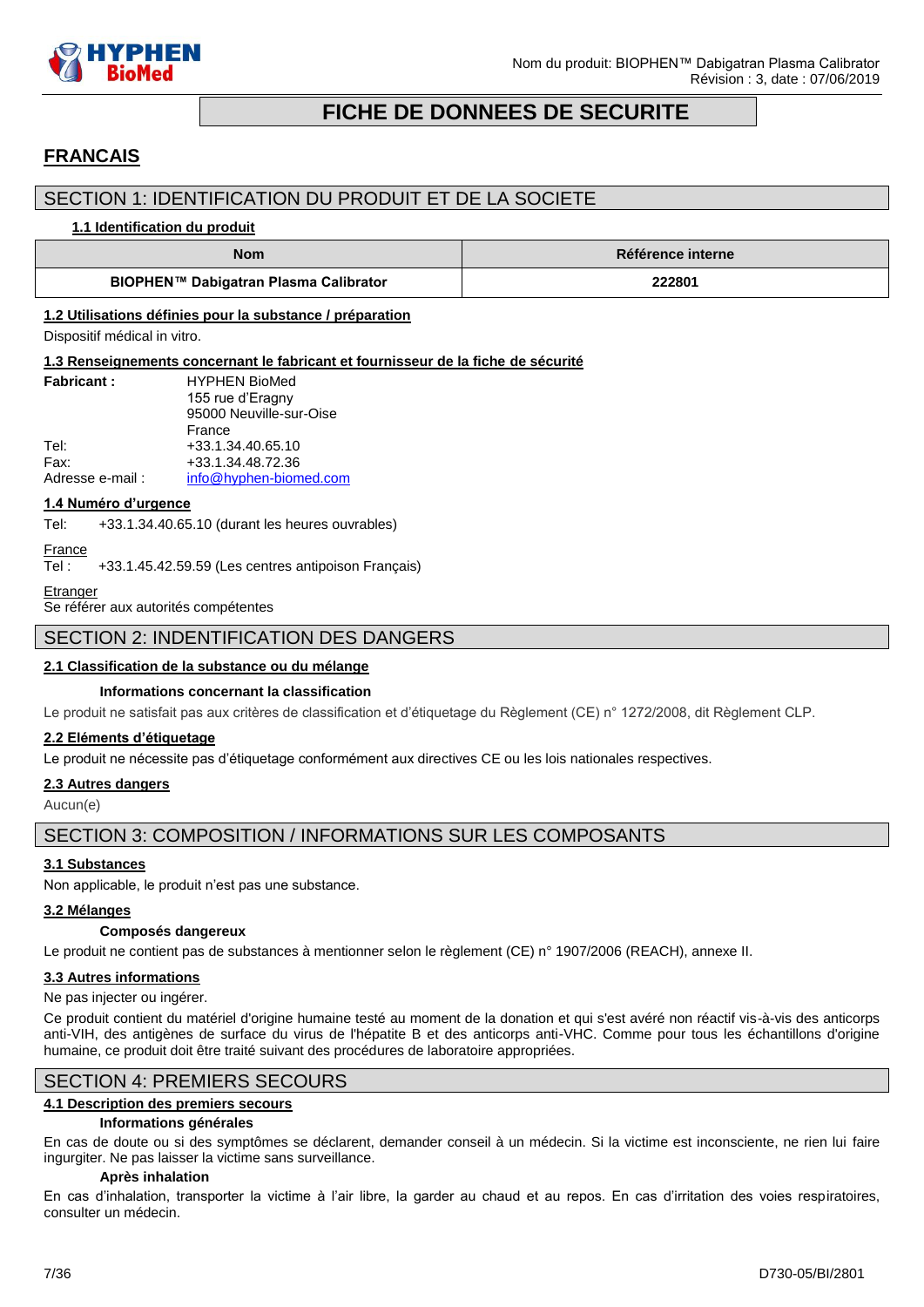

# **FICHE DE DONNEES DE SECURITE**

# <span id="page-6-0"></span>**FRANCAIS**

# SECTION 1: IDENTIFICATION DU PRODUIT ET DE LA SOCIETE

#### **1.1 Identification du produit**

| <b>Nom</b>                            | Référence interne |
|---------------------------------------|-------------------|
| BIOPHEN™ Dabigatran Plasma Calibrator | 222801            |

### **1.2 Utilisations définies pour la substance / préparation**

Dispositif médical in vitro.

#### **1.3 Renseignements concernant le fabricant et fournisseur de la fiche de sécurité**

| <b>Fabricant:</b> | <b>HYPHEN BioMed</b>    |
|-------------------|-------------------------|
|                   | 155 rue d'Eragny        |
|                   | 95000 Neuville-sur-Oise |
|                   | France                  |
| Tel:              | +33.1.34.40.65.10       |
| Fax:              | +33.1.34.48.72.36       |
| Adresse e-mail:   | info@hyphen-biomed.com  |

#### **1.4 Numéro d'urgence**

Tel: +33.1.34.40.65.10 (durant les heures ouvrables)

```
France
```
Tel : +33.1.45.42.59.59 (Les centres antipoison Français)

```
Etranger
```
Se référer aux autorités compétentes

### SECTION 2: INDENTIFICATION DES DANGERS

### **2.1 Classification de la substance ou du mélange**

### **Informations concernant la classification**

Le produit ne satisfait pas aux critères de classification et d'étiquetage du Règlement (CE) n° 1272/2008, dit Règlement CLP.

#### **2.2 Eléments d'étiquetage**

Le produit ne nécessite pas d'étiquetage conformément aux directives CE ou les lois nationales respectives.

# **2.3 Autres dangers**

Aucun(e)

# SECTION 3: COMPOSITION / INFORMATIONS SUR LES COMPOSANTS

### **3.1 Substances**

Non applicable, le produit n'est pas une substance.

### **3.2 Mélanges**

### **Composés dangereux**

Le produit ne contient pas de substances à mentionner selon le règlement (CE) n° 1907/2006 (REACH), annexe II.

### **3.3 Autres informations**

#### Ne pas injecter ou ingérer.

Ce produit contient du matériel d'origine humaine testé au moment de la donation et qui s'est avéré non réactif vis-à-vis des anticorps anti-VIH, des antigènes de surface du virus de l'hépatite B et des anticorps anti-VHC. Comme pour tous les échantillons d'origine humaine, ce produit doit être traité suivant des procédures de laboratoire appropriées.

### SECTION 4: PREMIERS SECOURS

### **4.1 Description des premiers secours**

#### **Informations générales**

En cas de doute ou si des symptômes se déclarent, demander conseil à un médecin. Si la victime est inconsciente, ne rien lui faire ingurgiter. Ne pas laisser la victime sans surveillance.

### **Après inhalation**

En cas d'inhalation, transporter la victime à l'air libre, la garder au chaud et au repos. En cas d'irritation des voies respiratoires, consulter un médecin.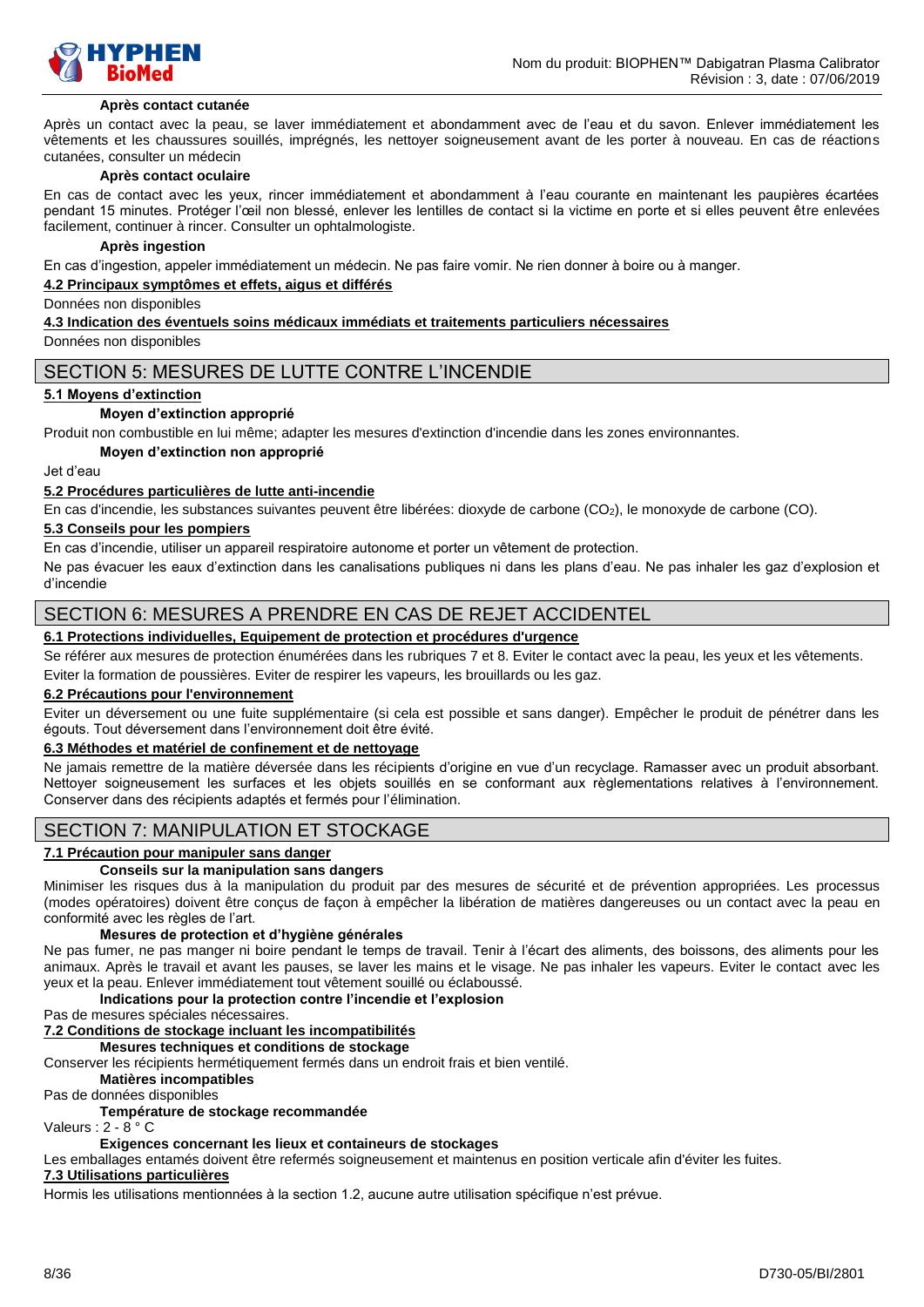

#### **Après contact cutanée**

Après un contact avec la peau, se laver immédiatement et abondamment avec de l'eau et du savon. Enlever immédiatement les vêtements et les chaussures souillés, imprégnés, les nettoyer soigneusement avant de les porter à nouveau. En cas de réactions cutanées, consulter un médecin

#### **Après contact oculaire**

En cas de contact avec les yeux, rincer immédiatement et abondamment à l'eau courante en maintenant les paupières écartées pendant 15 minutes. Protéger l'œil non blessé, enlever les lentilles de contact si la victime en porte et si elles peuvent être enlevées facilement, continuer à rincer. Consulter un ophtalmologiste.

#### **Après ingestion**

En cas d'ingestion, appeler immédiatement un médecin. Ne pas faire vomir. Ne rien donner à boire ou à manger.

#### **4.2 Principaux symptômes et effets, aigus et différés**

Données non disponibles

#### **4.3 Indication des éventuels soins médicaux immédiats et traitements particuliers nécessaires**

Données non disponibles

### SECTION 5: MESURES DE LUTTE CONTRE L'INCENDIE

#### **5.1 Moyens d'extinction**

#### **Moyen d'extinction approprié**

Produit non combustible en lui même; adapter les mesures d'extinction d'incendie dans les zones environnantes.

#### **Moyen d'extinction non approprié**

Jet d'eau

#### **5.2 Procédures particulières de lutte anti-incendie**

En cas d'incendie, les substances suivantes peuvent être libérées: dioxyde de carbone (CO2), le monoxyde de carbone (CO).

#### **5.3 Conseils pour les pompiers**

En cas d'incendie, utiliser un appareil respiratoire autonome et porter un vêtement de protection.

Ne pas évacuer les eaux d'extinction dans les canalisations publiques ni dans les plans d'eau. Ne pas inhaler les gaz d'explosion et d'incendie

### SECTION 6: MESURES A PRENDRE EN CAS DE REJET ACCIDENTEL

### **6.1 Protections individuelles, Equipement de protection et procédures d'urgence**

Se référer aux mesures de protection énumérées dans les rubriques 7 et 8. Eviter le contact avec la peau, les yeux et les vêtements. Eviter la formation de poussières. Eviter de respirer les vapeurs, les brouillards ou les gaz.

#### **6.2 Précautions pour l'environnement**

Eviter un déversement ou une fuite supplémentaire (si cela est possible et sans danger). Empêcher le produit de pénétrer dans les égouts. Tout déversement dans l'environnement doit être évité.

#### **6.3 Méthodes et matériel de confinement et de nettoyage**

Ne jamais remettre de la matière déversée dans les récipients d'origine en vue d'un recyclage. Ramasser avec un produit absorbant. Nettoyer soigneusement les surfaces et les objets souillés en se conformant aux règlementations relatives à l'environnement. Conserver dans des récipients adaptés et fermés pour l'élimination.

# SECTION 7: MANIPULATION ET STOCKAGE

#### **7.1 Précaution pour manipuler sans danger**

#### **Conseils sur la manipulation sans dangers**

Minimiser les risques dus à la manipulation du produit par des mesures de sécurité et de prévention appropriées. Les processus (modes opératoires) doivent être conçus de façon à empêcher la libération de matières dangereuses ou un contact avec la peau en conformité avec les règles de l'art.

#### **Mesures de protection et d'hygiène générales**

Ne pas fumer, ne pas manger ni boire pendant le temps de travail. Tenir à l'écart des aliments, des boissons, des aliments pour les animaux. Après le travail et avant les pauses, se laver les mains et le visage. Ne pas inhaler les vapeurs. Eviter le contact avec les yeux et la peau. Enlever immédiatement tout vêtement souillé ou éclaboussé.

### **Indications pour la protection contre l'incendie et l'explosion**

Pas de mesures spéciales nécessaires.

### **7.2 Conditions de stockage incluant les incompatibilités**

**Mesures techniques et conditions de stockage**

Conserver les récipients hermétiquement fermés dans un endroit frais et bien ventilé.

#### **Matières incompatibles**

Pas de données disponibles

### **Température de stockage recommandée**

Valeurs : 2 - 8 ° C

#### **Exigences concernant les lieux et containeurs de stockages**

Les emballages entamés doivent être refermés soigneusement et maintenus en position verticale afin d'éviter les fuites.

### **7.3 Utilisations particulières**

Hormis les utilisations mentionnées à la section 1.2, aucune autre utilisation spécifique n'est prévue.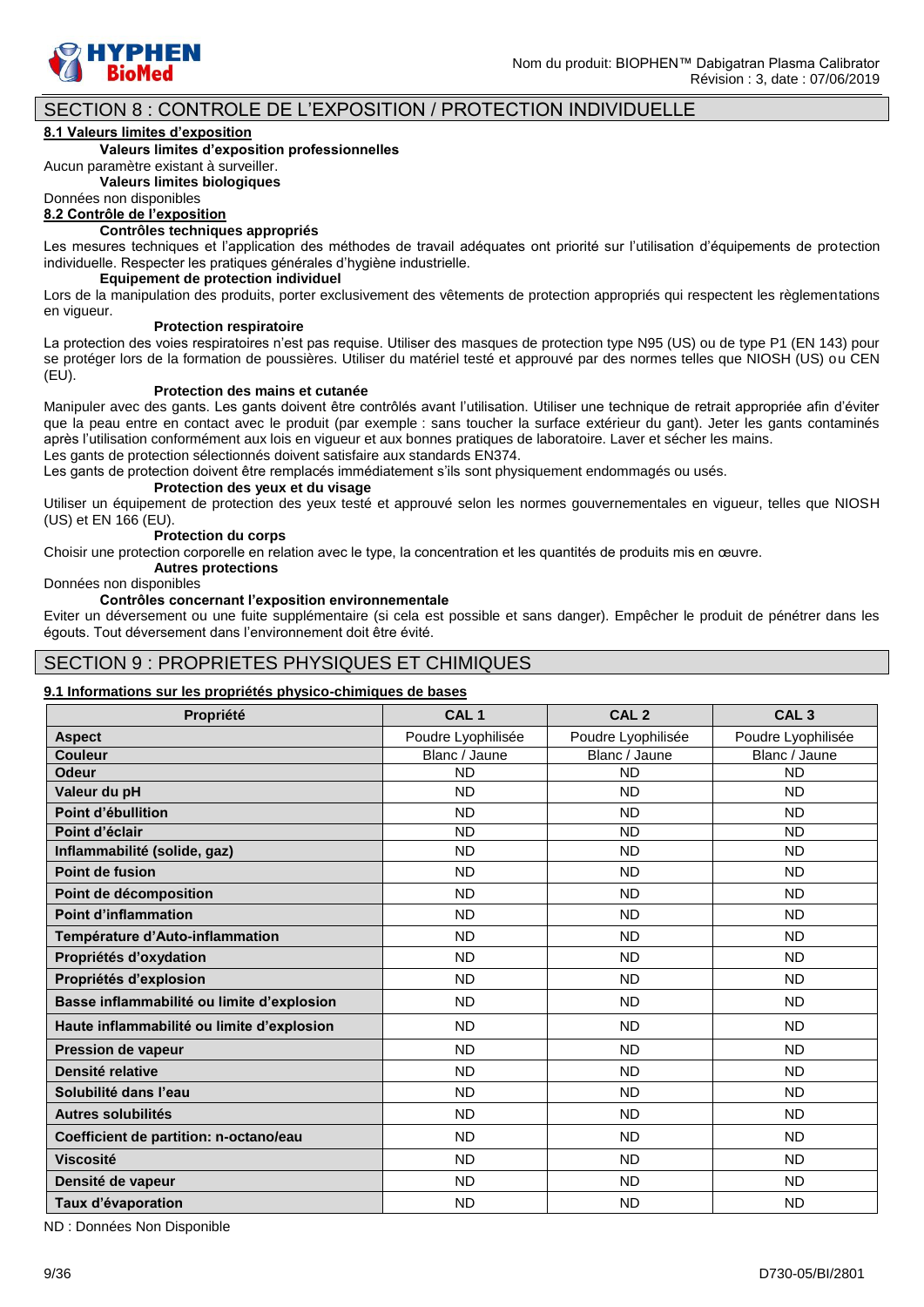

# SECTION 8 : CONTROLE DE L'EXPOSITION / PROTECTION INDIVIDUELLE

#### **8.1 Valeurs limites d'exposition**

#### **Valeurs limites d'exposition professionnelles**

Aucun paramètre existant à surveiller.

**Valeurs limites biologiques**

Données non disponibles

# **8.2 Contrôle de l'exposition**

#### **Contrôles techniques appropriés**

Les mesures techniques et l'application des méthodes de travail adéquates ont priorité sur l'utilisation d'équipements de protection individuelle. Respecter les pratiques générales d'hygiène industrielle.

### **Equipement de protection individuel**

Lors de la manipulation des produits, porter exclusivement des vêtements de protection appropriés qui respectent les règlementations en vigueur.

#### **Protection respiratoire**

La protection des voies respiratoires n'est pas requise. Utiliser des masques de protection type N95 (US) ou de type P1 (EN 143) pour se protéger lors de la formation de poussières. Utiliser du matériel testé et approuvé par des normes telles que NIOSH (US) ou CEN (EU).

#### **Protection des mains et cutanée**

Manipuler avec des gants. Les gants doivent être contrôlés avant l'utilisation. Utiliser une technique de retrait appropriée afin d'éviter que la peau entre en contact avec le produit (par exemple : sans toucher la surface extérieur du gant). Jeter les gants contaminés après l'utilisation conformément aux lois en vigueur et aux bonnes pratiques de laboratoire. Laver et sécher les mains. Les gants de protection sélectionnés doivent satisfaire aux standards EN374.

Les gants de protection doivent être remplacés immédiatement s'ils sont physiquement endommagés ou usés.

#### **Protection des yeux et du visage**

Utiliser un équipement de protection des yeux testé et approuvé selon les normes gouvernementales en vigueur, telles que NIOSH (US) et EN 166 (EU).

#### **Protection du corps**

Choisir une protection corporelle en relation avec le type, la concentration et les quantités de produits mis en œuvre.

### **Autres protections**

### Données non disponibles

#### **Contrôles concernant l'exposition environnementale**

Eviter un déversement ou une fuite supplémentaire (si cela est possible et sans danger). Empêcher le produit de pénétrer dans les égouts. Tout déversement dans l'environnement doit être évité.

### SECTION 9 : PROPRIETES PHYSIQUES ET CHIMIQUES

#### **9.1 Informations sur les propriétés physico-chimiques de bases**

| Propriété                                  | CAL <sub>1</sub>   | CAL <sub>2</sub>   | CAL <sub>3</sub>   |
|--------------------------------------------|--------------------|--------------------|--------------------|
| <b>Aspect</b>                              | Poudre Lyophilisée | Poudre Lyophilisée | Poudre Lyophilisée |
| <b>Couleur</b>                             | Blanc / Jaune      | Blanc / Jaune      | Blanc / Jaune      |
| <b>Odeur</b>                               | <b>ND</b>          | <b>ND</b>          | <b>ND</b>          |
| Valeur du pH                               | <b>ND</b>          | <b>ND</b>          | <b>ND</b>          |
| Point d'ébullition                         | <b>ND</b>          | <b>ND</b>          | <b>ND</b>          |
| Point d'éclair                             | <b>ND</b>          | <b>ND</b>          | <b>ND</b>          |
| Inflammabilité (solide, gaz)               | <b>ND</b>          | <b>ND</b>          | <b>ND</b>          |
| Point de fusion                            | <b>ND</b>          | <b>ND</b>          | <b>ND</b>          |
| Point de décomposition                     | <b>ND</b>          | <b>ND</b>          | <b>ND</b>          |
| <b>Point d'inflammation</b>                | <b>ND</b>          | <b>ND</b>          | <b>ND</b>          |
| Température d'Auto-inflammation            | <b>ND</b>          | <b>ND</b>          | <b>ND</b>          |
| Propriétés d'oxydation                     | <b>ND</b>          | <b>ND</b>          | <b>ND</b>          |
| Propriétés d'explosion                     | <b>ND</b>          | <b>ND</b>          | <b>ND</b>          |
| Basse inflammabilité ou limite d'explosion | <b>ND</b>          | <b>ND</b>          | <b>ND</b>          |
| Haute inflammabilité ou limite d'explosion | <b>ND</b>          | <b>ND</b>          | <b>ND</b>          |
| <b>Pression de vapeur</b>                  | <b>ND</b>          | <b>ND</b>          | <b>ND</b>          |
| Densité relative                           | <b>ND</b>          | <b>ND</b>          | <b>ND</b>          |
| Solubilité dans l'eau                      | <b>ND</b>          | <b>ND</b>          | <b>ND</b>          |
| Autres solubilités                         | <b>ND</b>          | <b>ND</b>          | <b>ND</b>          |
| Coefficient de partition: n-octano/eau     | <b>ND</b>          | <b>ND</b>          | <b>ND</b>          |
| <b>Viscosité</b>                           | <b>ND</b>          | <b>ND</b>          | <b>ND</b>          |
| Densité de vapeur                          | <b>ND</b>          | <b>ND</b>          | <b>ND</b>          |
| Taux d'évaporation                         | <b>ND</b>          | <b>ND</b>          | <b>ND</b>          |

ND : Données Non Disponible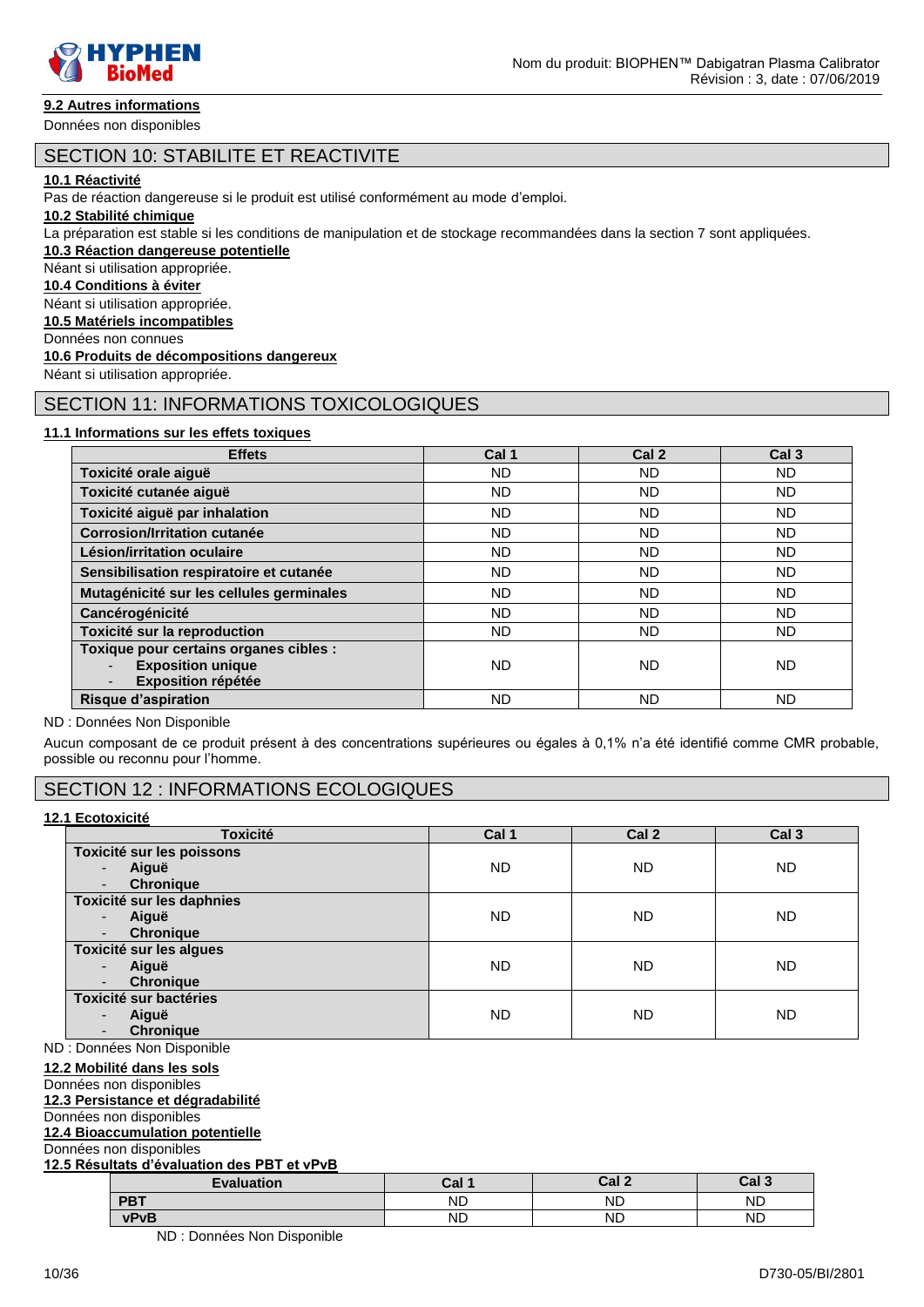

Données non disponibles

# SECTION 10: STABILITE ET REACTIVITE

#### **10.1 Réactivité**

Pas de réaction dangereuse si le produit est utilisé conformément au mode d'emploi.

#### **10.2 Stabilité chimique**

La préparation est stable si les conditions de manipulation et de stockage recommandées dans la section 7 sont appliquées.

**10.3 Réaction dangereuse potentielle**

# Néant si utilisation appropriée.

**10.4 Conditions à éviter**

Néant si utilisation appropriée.

**10.5 Matériels incompatibles**

Données non connues

### **10.6 Produits de décompositions dangereux**

Néant si utilisation appropriée.

### SECTION 11: INFORMATIONS TOXICOLOGIQUES

#### **11.1 Informations sur les effets toxiques**

| <b>Effets</b>                                                                                   | Cal 1     | Cal <sub>2</sub> | Cal <sub>3</sub> |
|-------------------------------------------------------------------------------------------------|-----------|------------------|------------------|
| Toxicité orale aiguë                                                                            | ND.       | ND               | ND.              |
| Toxicité cutanée aiguë                                                                          | <b>ND</b> | ND.              | <b>ND</b>        |
| Toxicité aiguë par inhalation                                                                   | <b>ND</b> | <b>ND</b>        | ND.              |
| <b>Corrosion/Irritation cutanée</b>                                                             | <b>ND</b> | <b>ND</b>        | <b>ND</b>        |
| Lésion/irritation oculaire                                                                      | <b>ND</b> | <b>ND</b>        | ND.              |
| Sensibilisation respiratoire et cutanée                                                         | <b>ND</b> | <b>ND</b>        | ND.              |
| Mutagénicité sur les cellules germinales                                                        | <b>ND</b> | <b>ND</b>        | ND.              |
| Cancérogénicité                                                                                 | <b>ND</b> | <b>ND</b>        | ND               |
| Toxicité sur la reproduction                                                                    | <b>ND</b> | <b>ND</b>        | ND.              |
| Toxique pour certains organes cibles :<br><b>Exposition unique</b><br><b>Exposition répétée</b> | <b>ND</b> | ND               | ND.              |
| <b>Risque d'aspiration</b>                                                                      | ND        | ND               | ND               |

#### ND : Données Non Disponible

Aucun composant de ce produit présent à des concentrations supérieures ou égales à 0,1% n'a été identifié comme CMR probable, possible ou reconnu pour l'homme.

# SECTION 12 : INFORMATIONS ECOLOGIQUES

#### **12.1 Ecotoxicité**

| <b>Toxicité</b>                   | Cal 1     | Cal 2     | Cal <sub>3</sub> |
|-----------------------------------|-----------|-----------|------------------|
| Toxicité sur les poissons         |           |           |                  |
| Aiguë<br>$\overline{\phantom{0}}$ | <b>ND</b> | <b>ND</b> | <b>ND</b>        |
| <b>Chronique</b>                  |           |           |                  |
| Toxicité sur les daphnies         |           |           |                  |
| Aiguë<br>$\overline{\phantom{a}}$ | <b>ND</b> | <b>ND</b> | <b>ND</b>        |
| <b>Chronique</b>                  |           |           |                  |
| Toxicité sur les algues           |           |           |                  |
| Aiguë<br>$\overline{\phantom{0}}$ | <b>ND</b> | <b>ND</b> | ND               |
| <b>Chronique</b>                  |           |           |                  |
| Toxicité sur bactéries            |           |           |                  |
| Aiguë<br>$\overline{\phantom{0}}$ | <b>ND</b> | <b>ND</b> | ND               |
| <b>Chronique</b>                  |           |           |                  |

ND : Données Non Disponible

#### **12.2 Mobilité dans les sols**

### Données non disponibles

**12.3 Persistance et dégradabilité** Données non disponibles

# **12.4 Bioaccumulation potentielle**

Données non disponibles

### **12.5 Résultats d'évaluation des PBT et vPvB**

| <b>Evaluation</b> | Cal 1 | Cal <sub>2</sub> | Cal 3 |  |  |
|-------------------|-------|------------------|-------|--|--|
| <b>PBT</b>        | ΝD    | ND               | ND    |  |  |
| vPvB              | ND    | <b>ND</b>        | ND    |  |  |

ND : Données Non Disponible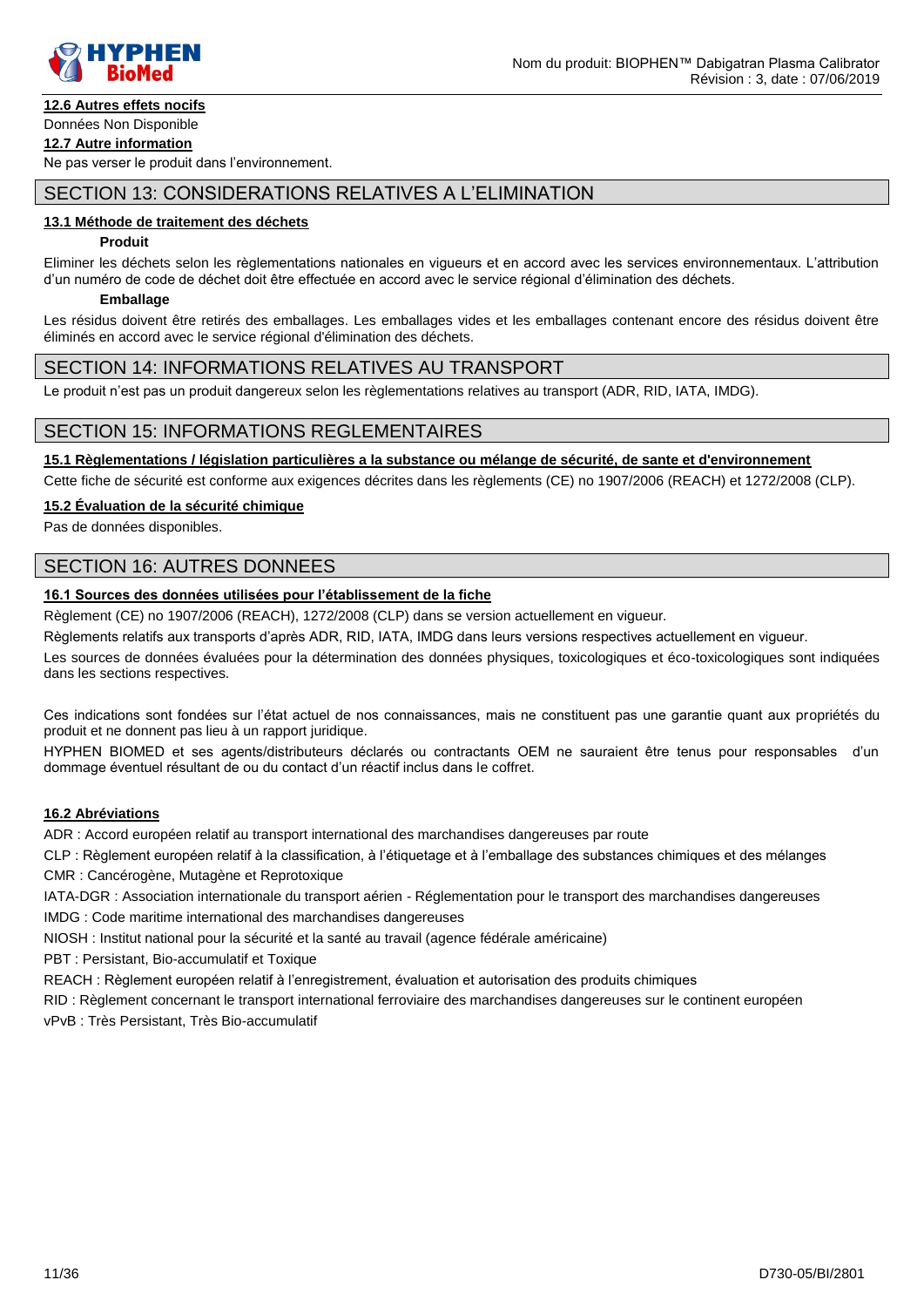

# **12.6 Autres effets nocifs**

#### Données Non Disponible **12.7 Autre information**

Ne pas verser le produit dans l'environnement.

# SECTION 13: CONSIDERATIONS RELATIVES A L'ELIMINATION

#### **13.1 Méthode de traitement des déchets**

#### **Produit**

Eliminer les déchets selon les règlementations nationales en vigueurs et en accord avec les services environnementaux. L'attribution d'un numéro de code de déchet doit être effectuée en accord avec le service régional d'élimination des déchets.

#### **Emballage**

Les résidus doivent être retirés des emballages. Les emballages vides et les emballages contenant encore des résidus doivent être éliminés en accord avec le service régional d'élimination des déchets.

### SECTION 14: INFORMATIONS RELATIVES AU TRANSPORT

Le produit n'est pas un produit dangereux selon les règlementations relatives au transport (ADR, RID, IATA, IMDG).

### SECTION 15: INFORMATIONS REGLEMENTAIRES

**15.1 Règlementations / législation particulières a la substance ou mélange de sécurité, de sante et d'environnement**

Cette fiche de sécurité est conforme aux exigences décrites dans les règlements (CE) no 1907/2006 (REACH) et 1272/2008 (CLP).

#### **15.2 Évaluation de la sécurité chimique**

Pas de données disponibles.

### SECTION 16: AUTRES DONNEES

### **16.1 Sources des données utilisées pour l'établissement de la fiche**

Règlement (CE) no 1907/2006 (REACH), 1272/2008 (CLP) dans se version actuellement en vigueur.

Règlements relatifs aux transports d'après ADR, RID, IATA, IMDG dans leurs versions respectives actuellement en vigueur.

Les sources de données évaluées pour la détermination des données physiques, toxicologiques et éco-toxicologiques sont indiquées dans les sections respectives.

Ces indications sont fondées sur l'état actuel de nos connaissances, mais ne constituent pas une garantie quant aux propriétés du produit et ne donnent pas lieu à un rapport juridique.

HYPHEN BIOMED et ses agents/distributeurs déclarés ou contractants OEM ne sauraient être tenus pour responsables d'un dommage éventuel résultant de ou du contact d'un réactif inclus dans le coffret.

### **16.2 Abréviations**

ADR : Accord européen relatif au transport international des marchandises dangereuses par route

CLP : Règlement européen relatif à la classification, à l'étiquetage et à l'emballage des substances chimiques et des mélanges

CMR : Cancérogène, Mutagène et Reprotoxique

IATA-DGR : Association internationale du transport aérien - Réglementation pour le transport des marchandises dangereuses IMDG : Code maritime international des marchandises dangereuses

NIOSH : Institut national pour la sécurité et la santé au travail (agence fédérale américaine)

PBT : Persistant, Bio-accumulatif et Toxique

REACH : Règlement européen relatif à l'enregistrement, évaluation et autorisation des produits chimiques

RID : Règlement concernant le transport international ferroviaire des marchandises dangereuses sur le continent européen

vPvB : Très Persistant, Très Bio-accumulatif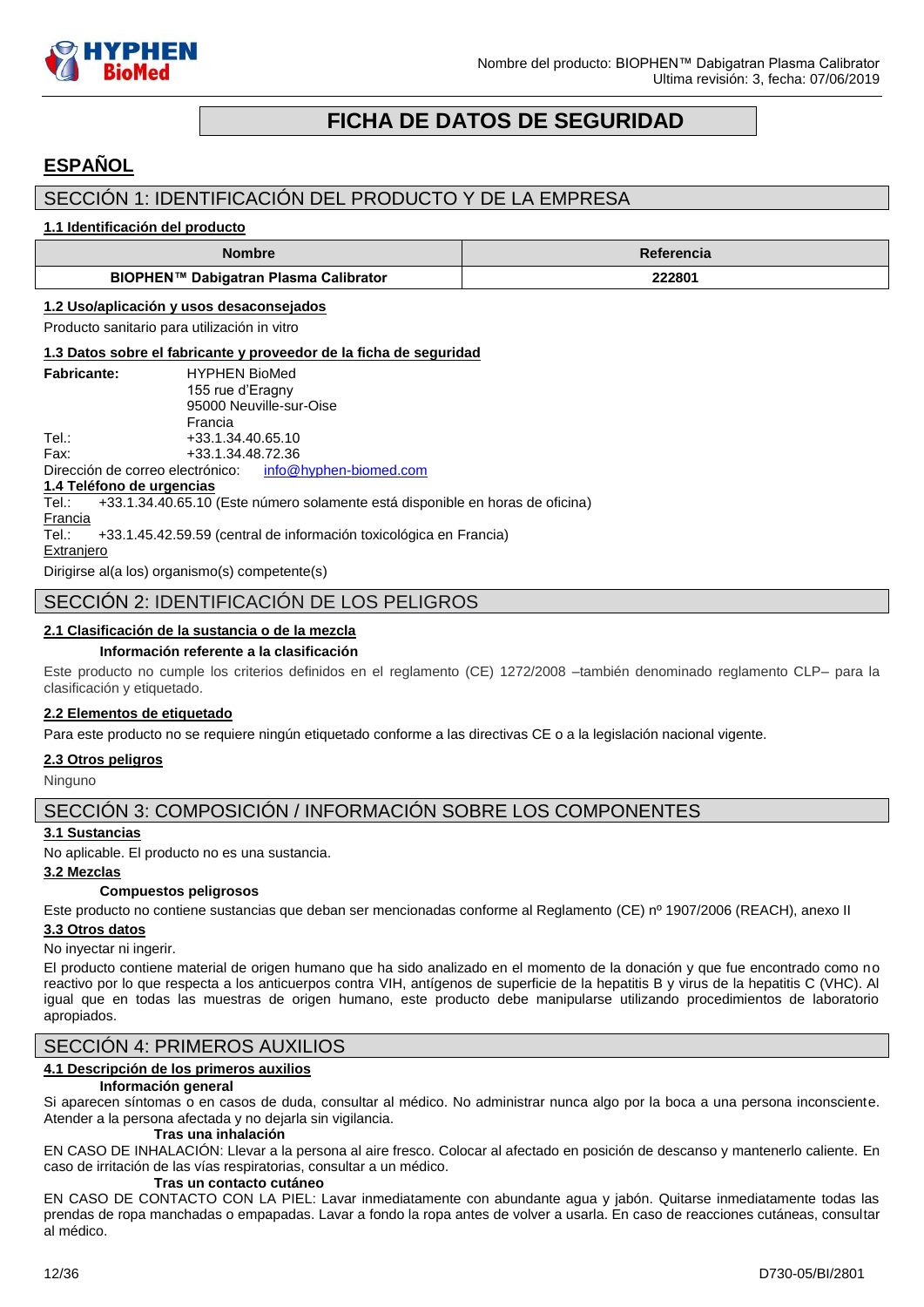

# **FICHA DE DATOS DE SEGURIDAD**

# <span id="page-11-0"></span>**ESPAÑOL**

# SECCIÓN 1: IDENTIFICACIÓN DEL PRODUCTO Y DE LA EMPRESA

#### **1.1 Identificación del producto**

| Nombre                                | Referencia |
|---------------------------------------|------------|
| BIOPHEN™ Dabigatran Plasma Calibrator | 222801     |

#### **1.2 Uso/aplicación y usos desaconsejados**

Producto sanitario para utilización in vitro

#### **1.3 Datos sobre el fabricante y proveedor de la ficha de seguridad**

| <b>Fabricante:</b> | <b>HYPHEN BioMed</b>    |
|--------------------|-------------------------|
|                    | 155 rue d'Eragny        |
|                    | 95000 Neuville-sur-Oise |
|                    | Francia                 |
| Tel∴               | +33.1.34.40.65.10       |
| Fax:               | +33.1.34.48.72.36       |

Dirección de correo electrónico: [info@hyphen-biomed.com](mailto:info@hyphen-biomed.com)

**1.4 Teléfono de urgencias**

 $+33.1.34.40.65.10$  (Este número solamente está disponible en horas de oficina)

**Francia** 

Tel.: +33.1.45.42.59.59 (central de información toxicológica en Francia)

**Extranjero** 

Dirigirse al(a los) organismo(s) competente(s)

# SECCIÓN 2: IDENTIFICACIÓN DE LOS PELIGROS

### **2.1 Clasificación de la sustancia o de la mezcla**

#### **Información referente a la clasificación**

Este producto no cumple los criterios definidos en el reglamento (CE) 1272/2008 –también denominado reglamento CLP– para la clasificación y etiquetado.

### **2.2 Elementos de etiquetado**

Para este producto no se requiere ningún etiquetado conforme a las directivas CE o a la legislación nacional vigente.

### **2.3 Otros peligros**

Ninguno

# SECCIÓN 3: COMPOSICIÓN / INFORMACIÓN SOBRE LOS COMPONENTES

### **3.1 Sustancias**

No aplicable. El producto no es una sustancia.

#### **3.2 Mezclas**

### **Compuestos peligrosos**

Este producto no contiene sustancias que deban ser mencionadas conforme al Reglamento (CE) nº 1907/2006 (REACH), anexo II

# **3.3 Otros datos**

### No inyectar ni ingerir.

El producto contiene material de origen humano que ha sido analizado en el momento de la donación y que fue encontrado como no reactivo por lo que respecta a los anticuerpos contra VIH, antígenos de superficie de la hepatitis B y virus de la hepatitis C (VHC). Al igual que en todas las muestras de origen humano, este producto debe manipularse utilizando procedimientos de laboratorio apropiados.

### SECCIÓN 4: PRIMEROS AUXILIOS

### **4.1 Descripción de los primeros auxilios**

### **Información general**

Si aparecen síntomas o en casos de duda, consultar al médico. No administrar nunca algo por la boca a una persona inconsciente. Atender a la persona afectada y no dejarla sin vigilancia. **Tras una inhalación**

#### EN CASO DE INHALACIÓN: Llevar a la persona al aire fresco. Colocar al afectado en posición de descanso y mantenerlo caliente. En caso de irritación de las vías respiratorias, consultar a un médico.

#### **Tras un contacto cutáneo**

EN CASO DE CONTACTO CON LA PIEL: Lavar inmediatamente con abundante agua y jabón. Quitarse inmediatamente todas las prendas de ropa manchadas o empapadas. Lavar a fondo la ropa antes de volver a usarla. En caso de reacciones cutáneas, consultar al médico.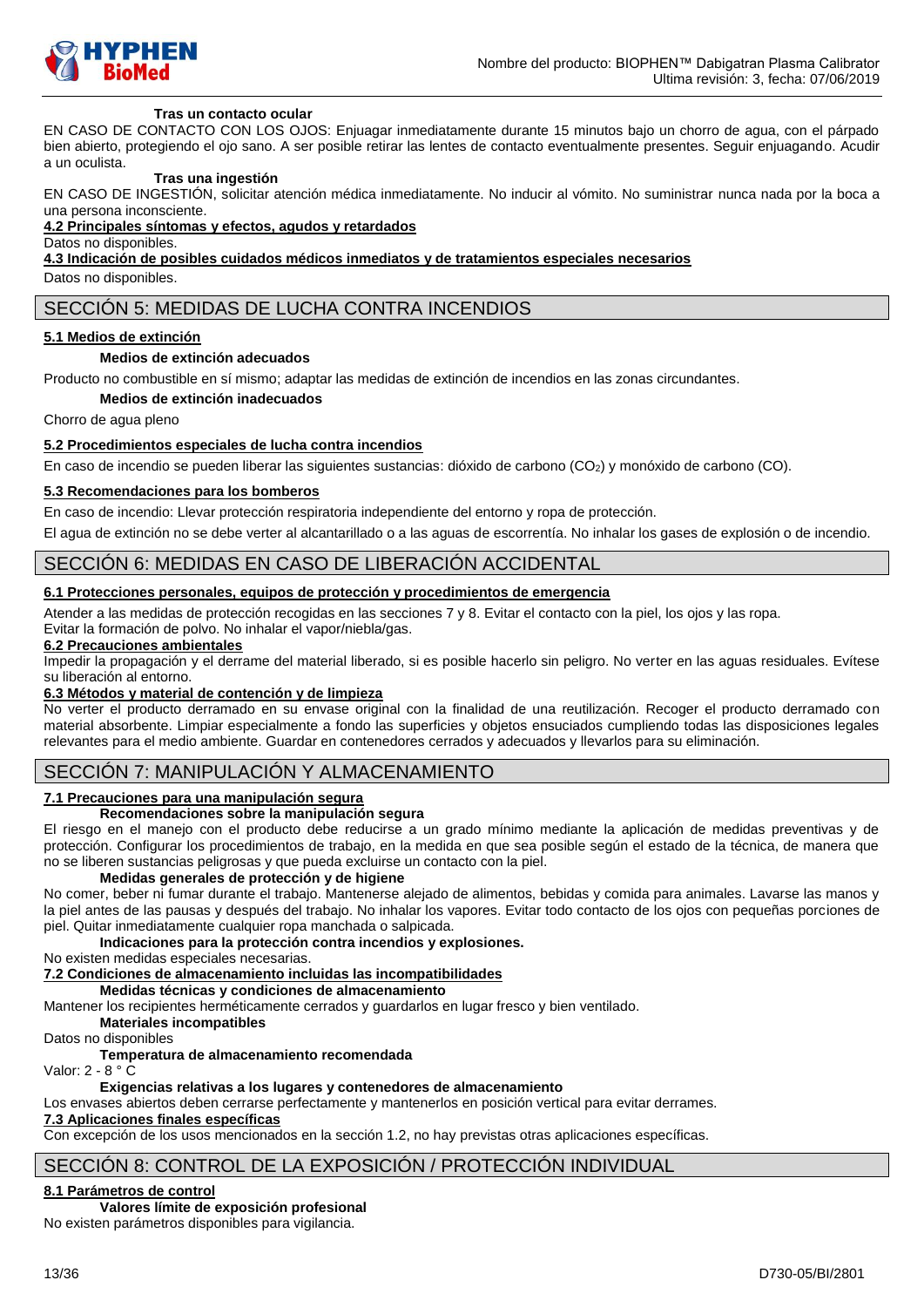

#### **Tras un contacto ocular**

EN CASO DE CONTACTO CON LOS OJOS: Enjuagar inmediatamente durante 15 minutos bajo un chorro de agua, con el párpado bien abierto, protegiendo el ojo sano. A ser posible retirar las lentes de contacto eventualmente presentes. Seguir enjuagando. Acudir a un oculista.

#### **Tras una ingestión**

EN CASO DE INGESTIÓN, solicitar atención médica inmediatamente. No inducir al vómito. No suministrar nunca nada por la boca a una persona inconsciente.

#### **4.2 Principales síntomas y efectos, agudos y retardados**

Datos no disponibles.

**4.3 Indicación de posibles cuidados médicos inmediatos y de tratamientos especiales necesarios**

Datos no disponibles.

# SECCIÓN 5: MEDIDAS DE LUCHA CONTRA INCENDIOS

#### **5.1 Medios de extinción**

#### **Medios de extinción adecuados**

Producto no combustible en sí mismo; adaptar las medidas de extinción de incendios en las zonas circundantes.

**Medios de extinción inadecuados**

Chorro de agua pleno

#### **5.2 Procedimientos especiales de lucha contra incendios**

En caso de incendio se pueden liberar las siguientes sustancias: dióxido de carbono (CO<sub>2</sub>) y monóxido de carbono (CO).

#### **5.3 Recomendaciones para los bomberos**

En caso de incendio: Llevar protección respiratoria independiente del entorno y ropa de protección.

El agua de extinción no se debe verter al alcantarillado o a las aguas de escorrentía. No inhalar los gases de explosión o de incendio.

### SECCIÓN 6: MEDIDAS EN CASO DE LIBERACIÓN ACCIDENTAL

### **6.1 Protecciones personales, equipos de protección y procedimientos de emergencia**

Atender a las medidas de protección recogidas en las secciones 7 y 8. Evitar el contacto con la piel, los ojos y las ropa.

Evitar la formación de polvo. No inhalar el vapor/niebla/gas.

# **6.2 Precauciones ambientales**

Impedir la propagación y el derrame del material liberado, si es posible hacerlo sin peligro. No verter en las aguas residuales. Evítese su liberación al entorno.

#### **6.3 Métodos y material de contención y de limpieza**

No verter el producto derramado en su envase original con la finalidad de una reutilización. Recoger el producto derramado con material absorbente. Limpiar especialmente a fondo las superficies y objetos ensuciados cumpliendo todas las disposiciones legales relevantes para el medio ambiente. Guardar en contenedores cerrados y adecuados y llevarlos para su eliminación.

# SECCIÓN 7: MANIPULACIÓN Y ALMACENAMIENTO

### **7.1 Precauciones para una manipulación segura**

#### **Recomendaciones sobre la manipulación segura**

El riesgo en el manejo con el producto debe reducirse a un grado mínimo mediante la aplicación de medidas preventivas y de protección. Configurar los procedimientos de trabajo, en la medida en que sea posible según el estado de la técnica, de manera que no se liberen sustancias peligrosas y que pueda excluirse un contacto con la piel.

#### **Medidas generales de protección y de higiene**

No comer, beber ni fumar durante el trabajo. Mantenerse alejado de alimentos, bebidas y comida para animales. Lavarse las manos y la piel antes de las pausas y después del trabajo. No inhalar los vapores. Evitar todo contacto de los ojos con pequeñas porciones de piel. Quitar inmediatamente cualquier ropa manchada o salpicada.

### **Indicaciones para la protección contra incendios y explosiones.**

No existen medidas especiales necesarias.

# **7.2 Condiciones de almacenamiento incluidas las incompatibilidades**

### **Medidas técnicas y condiciones de almacenamiento**

Mantener los recipientes herméticamente cerrados y guardarlos en lugar fresco y bien ventilado.

### **Materiales incompatibles**

Datos no disponibles

### **Temperatura de almacenamiento recomendada**

# Valor: 2 - 8 ° C

#### **Exigencias relativas a los lugares y contenedores de almacenamiento**  Los envases abiertos deben cerrarse perfectamente y mantenerlos en posición vertical para evitar derrames.

# **7.3 Aplicaciones finales específicas**

Con excepción de los usos mencionados en la sección 1.2, no hay previstas otras aplicaciones específicas.

# SECCIÓN 8: CONTROL DE LA EXPOSICIÓN / PROTECCIÓN INDIVIDUAL

### **8.1 Parámetros de control**

**Valores límite de exposición profesional**

No existen parámetros disponibles para vigilancia.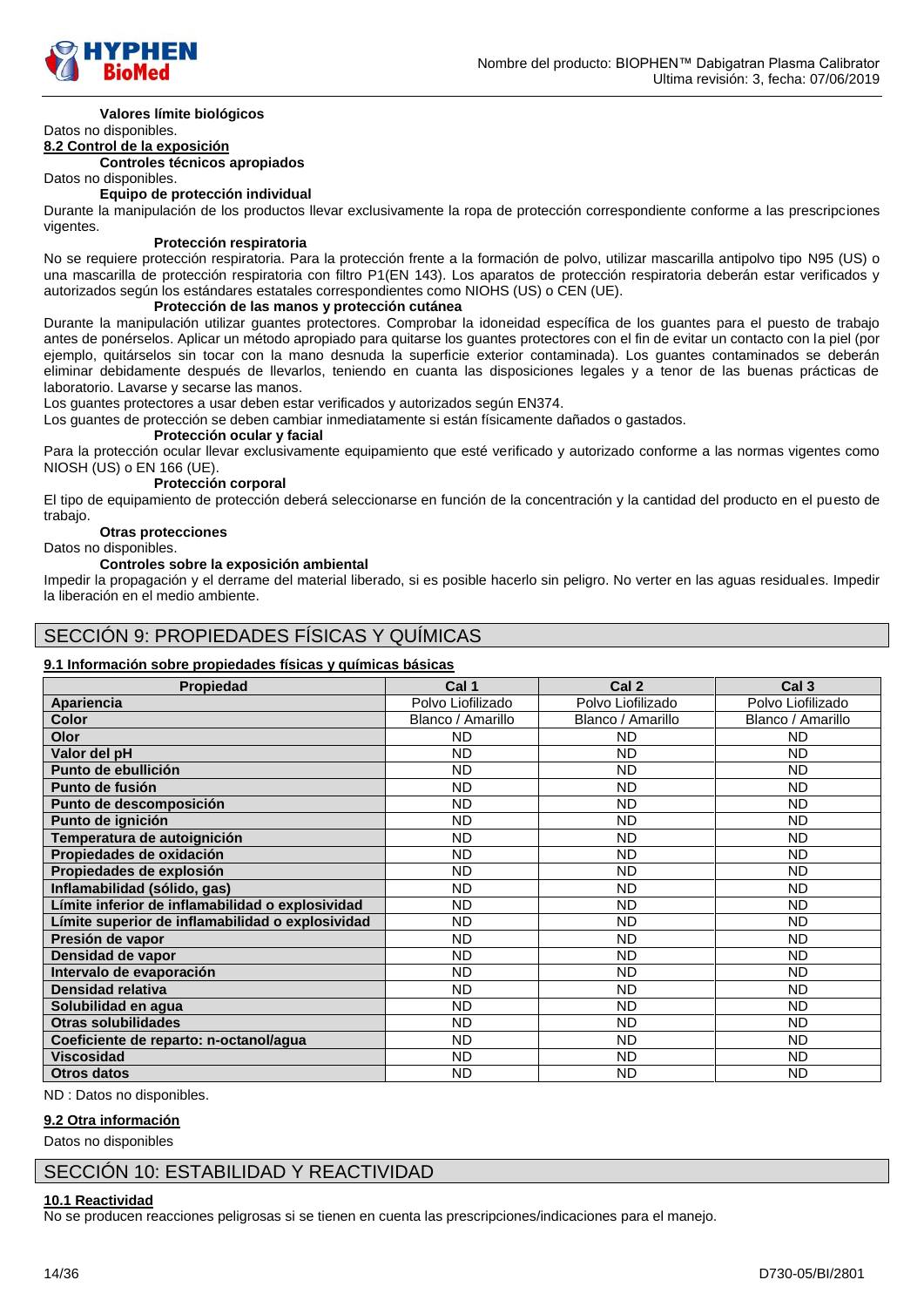

#### **Valores límite biológicos** Datos no disponibles.

#### **8.2 Control de la exposición**

**Controles técnicos apropiados**

Datos no disponibles.

#### **Equipo de protección individual**

Durante la manipulación de los productos llevar exclusivamente la ropa de protección correspondiente conforme a las prescripciones vigentes.

#### **Protección respiratoria**

No se requiere protección respiratoria. Para la protección frente a la formación de polvo, utilizar mascarilla antipolvo tipo N95 (US) o una mascarilla de protección respiratoria con filtro P1(EN 143). Los aparatos de protección respiratoria deberán estar verificados y autorizados según los estándares estatales correspondientes como NIOHS (US) o CEN (UE).

### **Protección de las manos y protección cutánea**

Durante la manipulación utilizar guantes protectores. Comprobar la idoneidad específica de los guantes para el puesto de trabajo antes de ponérselos. Aplicar un método apropiado para quitarse los guantes protectores con el fin de evitar un contacto con la piel (por ejemplo, quitárselos sin tocar con la mano desnuda la superficie exterior contaminada). Los guantes contaminados se deberán eliminar debidamente después de llevarlos, teniendo en cuanta las disposiciones legales y a tenor de las buenas prácticas de laboratorio. Lavarse y secarse las manos.

Los guantes protectores a usar deben estar verificados y autorizados según EN374.

Los guantes de protección se deben cambiar inmediatamente si están físicamente dañados o gastados.

#### **Protección ocular y facial**

Para la protección ocular llevar exclusivamente equipamiento que esté verificado y autorizado conforme a las normas vigentes como NIOSH (US) o EN 166 (UE).

#### **Protección corporal**

El tipo de equipamiento de protección deberá seleccionarse en función de la concentración y la cantidad del producto en el puesto de trabajo.

#### **Otras protecciones**

Datos no disponibles.

#### **Controles sobre la exposición ambiental**

Impedir la propagación y el derrame del material liberado, si es posible hacerlo sin peligro. No verter en las aguas residuales. Impedir la liberación en el medio ambiente.

# SECCIÓN 9: PROPIEDADES FÍSICAS Y QUÍMICAS

### **9.1 Información sobre propiedades físicas y químicas básicas**

| <b>Propiedad</b>                                 | Cal 1             | Cal <sub>2</sub>  | Cal <sub>3</sub>  |
|--------------------------------------------------|-------------------|-------------------|-------------------|
| Apariencia                                       | Polvo Liofilizado | Polvo Liofilizado | Polvo Liofilizado |
| <b>Color</b>                                     | Blanco / Amarillo | Blanco / Amarillo | Blanco / Amarillo |
| Olor                                             | <b>ND</b>         | ND.               | ND                |
| Valor del pH                                     | <b>ND</b>         | <b>ND</b>         | <b>ND</b>         |
| Punto de ebullición                              | <b>ND</b>         | <b>ND</b>         | ND                |
| Punto de fusión                                  | <b>ND</b>         | ND.               | ND                |
| Punto de descomposición                          | <b>ND</b>         | ND.               | ND                |
| Punto de ignición                                | <b>ND</b>         | ND.               | ND                |
| Temperatura de autoignición                      | <b>ND</b>         | ND.               | ND                |
| Propiedades de oxidación                         | <b>ND</b>         | ND.               | <b>ND</b>         |
| Propiedades de explosión                         | <b>ND</b>         | <b>ND</b>         | <b>ND</b>         |
| Inflamabilidad (sólido, gas)                     | <b>ND</b>         | <b>ND</b>         | <b>ND</b>         |
| Límite inferior de inflamabilidad o explosividad | <b>ND</b>         | <b>ND</b>         | <b>ND</b>         |
| Límite superior de inflamabilidad o explosividad | <b>ND</b>         | <b>ND</b>         | <b>ND</b>         |
| Presión de vapor                                 | <b>ND</b>         | <b>ND</b>         | ND                |
| Densidad de vapor                                | <b>ND</b>         | <b>ND</b>         | ND                |
| Intervalo de evaporación                         | <b>ND</b>         | <b>ND</b>         | <b>ND</b>         |
| Densidad relativa                                | <b>ND</b>         | <b>ND</b>         | <b>ND</b>         |
| Solubilidad en agua                              | <b>ND</b>         | <b>ND</b>         | <b>ND</b>         |
| Otras solubilidades                              | <b>ND</b>         | <b>ND</b>         | <b>ND</b>         |
| Coeficiente de reparto: n-octanol/agua           | <b>ND</b>         | <b>ND</b>         | ND                |
| <b>Viscosidad</b>                                | <b>ND</b>         | <b>ND</b>         | ND                |
| <b>Otros datos</b>                               | <b>ND</b>         | <b>ND</b>         | ND                |

ND : Datos no disponibles.

### **9.2 Otra información**

Datos no disponibles

# SECCIÓN 10: ESTABILIDAD Y REACTIVIDAD

#### **10.1 Reactividad**

No se producen reacciones peligrosas si se tienen en cuenta las prescripciones/indicaciones para el manejo.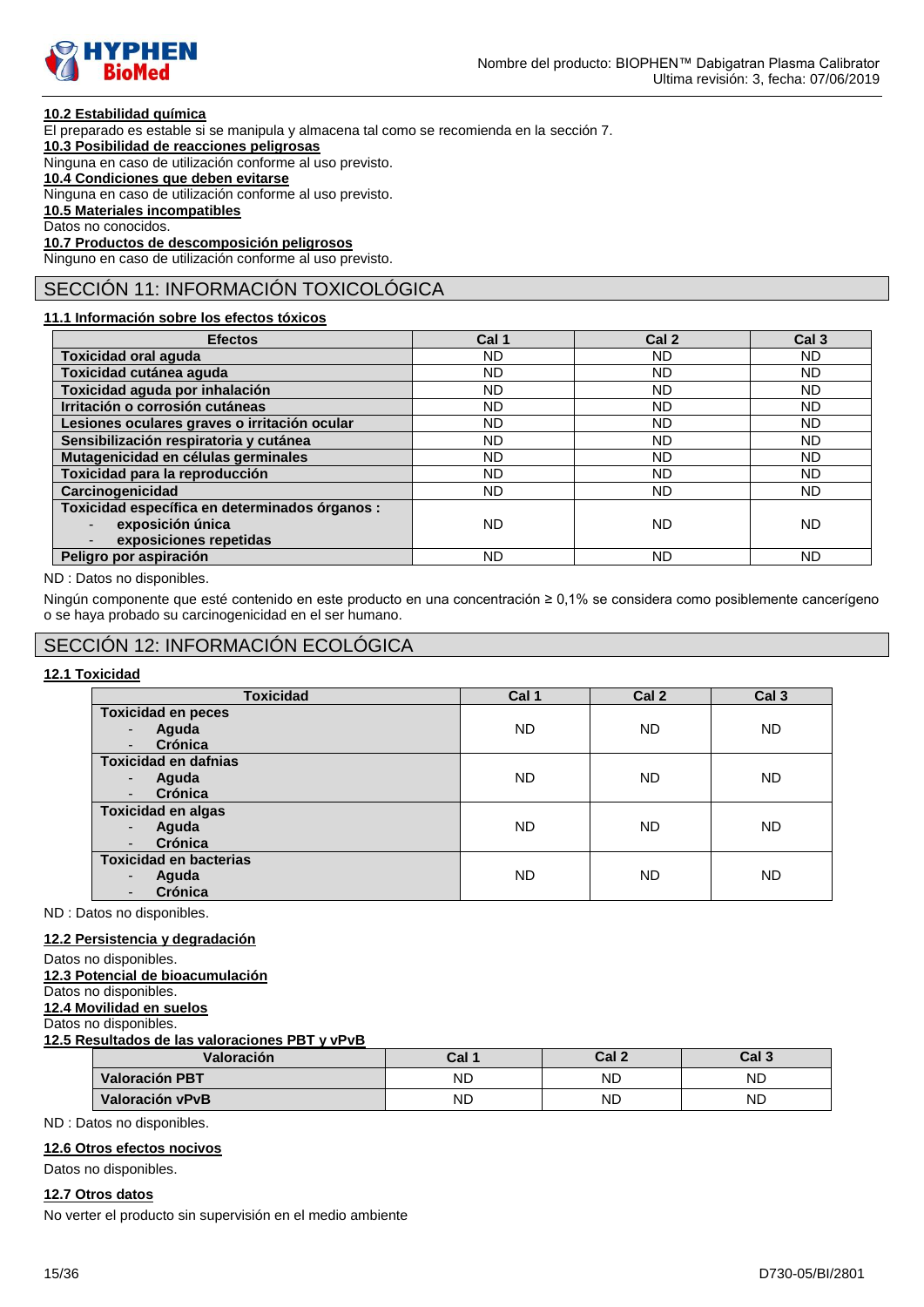

### **10.2 Estabilidad química**

El preparado es estable si se manipula y almacena tal como se recomienda en la sección 7.

**10.3 Posibilidad de reacciones peligrosas**

Ninguna en caso de utilización conforme al uso previsto.

### **10.4 Condiciones que deben evitarse**

Ninguna en caso de utilización conforme al uso previsto.

**10.5 Materiales incompatibles**

Datos no conocidos.

**10.7 Productos de descomposición peligrosos** Ninguno en caso de utilización conforme al uso previsto.

# SECCIÓN 11: INFORMACIÓN TOXICOLÓGICA

### **11.1 Información sobre los efectos tóxicos**

| <b>Efectos</b>                                 | Cal 1     | Cal 2     | Cal <sub>3</sub> |
|------------------------------------------------|-----------|-----------|------------------|
| <b>Toxicidad oral aguda</b>                    | ND.       | ND.       | <b>ND</b>        |
| Toxicidad cutánea aguda                        | ND.       | ND.       | <b>ND</b>        |
| Toxicidad aguda por inhalación                 | ND.       | <b>ND</b> | <b>ND</b>        |
| Irritación o corrosión cutáneas                | <b>ND</b> | ND.       | <b>ND</b>        |
| Lesiones oculares graves o irritación ocular   | ND.       | <b>ND</b> | <b>ND</b>        |
| Sensibilización respiratoria y cutánea         | ND.       | <b>ND</b> | <b>ND</b>        |
| Mutagenicidad en células germinales            | ND.       | <b>ND</b> | <b>ND</b>        |
| Toxicidad para la reproducción                 | <b>ND</b> | <b>ND</b> | <b>ND</b>        |
| Carcinogenicidad                               | ND.       | ND.       | <b>ND</b>        |
| Toxicidad específica en determinados órganos : |           |           |                  |
| exposición única                               | <b>ND</b> | <b>ND</b> | ND               |
| exposiciones repetidas                         |           |           |                  |
| Peligro por aspiración                         | ND        | <b>ND</b> | ND               |

ND : Datos no disponibles.

Ningún componente que esté contenido en este producto en una concentración ≥ 0,1% se considera como posiblemente cancerígeno o se haya probado su carcinogenicidad en el ser humano.

# SECCIÓN 12: INFORMACIÓN ECOLÓGICA

### **12.1 Toxicidad**

| <b>Toxicidad</b>                    | Cal 1     | Cal <sub>2</sub> | Cal <sub>3</sub> |
|-------------------------------------|-----------|------------------|------------------|
| <b>Toxicidad en peces</b>           |           |                  |                  |
| Aguda<br>$\overline{\phantom{m}}$   | <b>ND</b> | <b>ND</b>        | <b>ND</b>        |
| Crónica<br>٠                        |           |                  |                  |
| <b>Toxicidad en dafnias</b>         |           |                  |                  |
| Aguda<br>٠                          | <b>ND</b> | <b>ND</b>        | <b>ND</b>        |
| Crónica<br>$\overline{\phantom{a}}$ |           |                  |                  |
| <b>Toxicidad en algas</b>           |           |                  |                  |
| Aguda<br>$\overline{\phantom{a}}$   | <b>ND</b> | <b>ND</b>        | <b>ND</b>        |
| Crónica<br>$\overline{\phantom{a}}$ |           |                  |                  |
| <b>Toxicidad en bacterias</b>       |           |                  |                  |
| Aguda<br>٠                          | <b>ND</b> | <b>ND</b>        | <b>ND</b>        |
| Crónica                             |           |                  |                  |

ND : Datos no disponibles.

#### **12.2 Persistencia y degradación**

- Datos no disponibles.
- **12.3 Potencial de bioacumulación**

Datos no disponibles.

#### **12.4 Movilidad en suelos** Datos no disponibles.

**12.5 Resultados de las valoraciones PBT y vPvB**

| Valoración            | Cal 1     | Cal <sub>2</sub> | Cal 3 |
|-----------------------|-----------|------------------|-------|
| <b>Valoración PBT</b> | <b>ND</b> | ND               | ND    |
| Valoración vPvB       | <b>ND</b> | ND               | ND    |

ND : Datos no disponibles.

### **12.6 Otros efectos nocivos**

Datos no disponibles.

### **12.7 Otros datos**

No verter el producto sin supervisión en el medio ambiente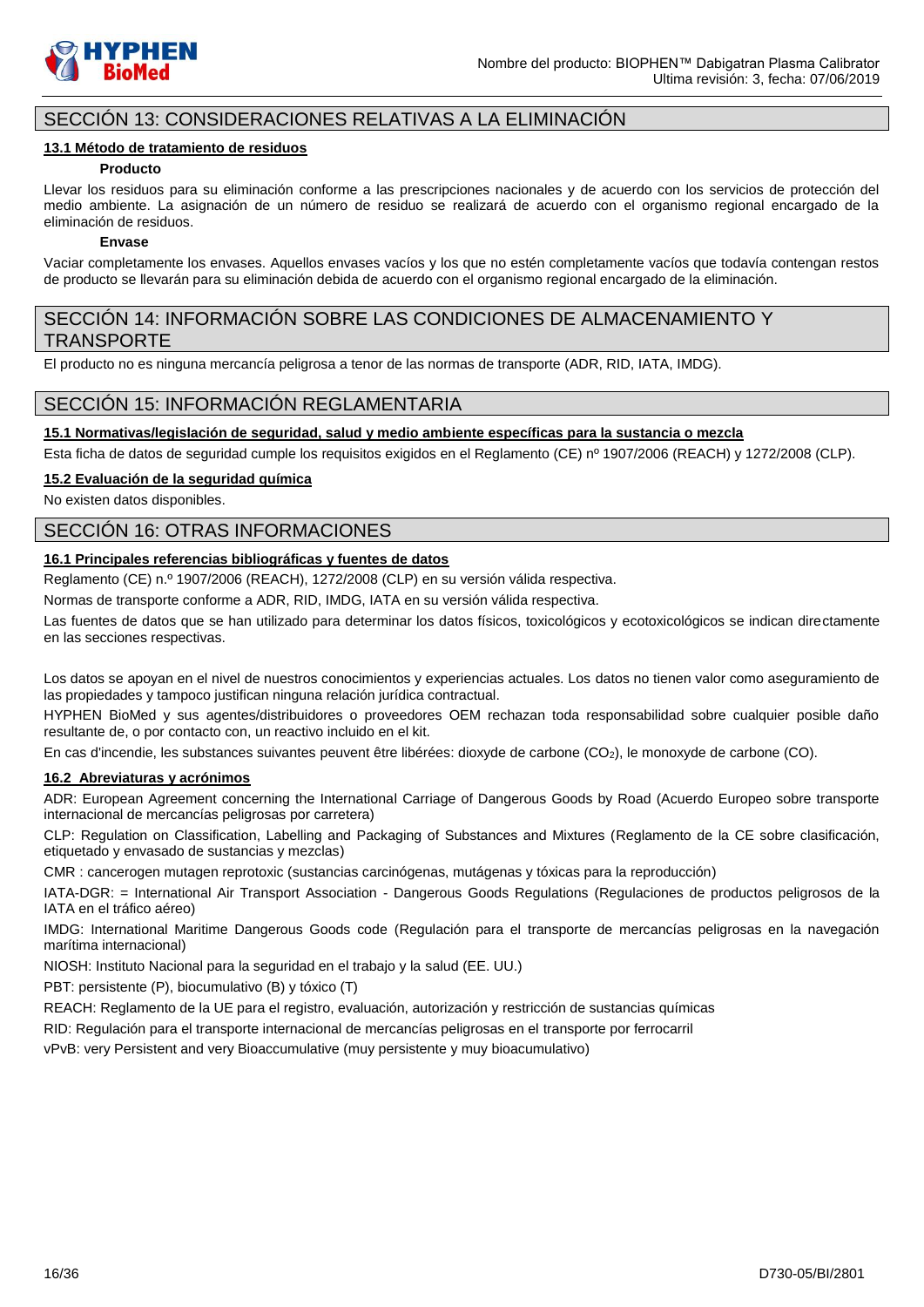

# SECCIÓN 13: CONSIDERACIONES RELATIVAS A LA ELIMINACIÓN

#### **13.1 Método de tratamiento de residuos**

#### **Producto**

Llevar los residuos para su eliminación conforme a las prescripciones nacionales y de acuerdo con los servicios de protección del medio ambiente. La asignación de un número de residuo se realizará de acuerdo con el organismo regional encargado de la eliminación de residuos.

#### **Envase**

Vaciar completamente los envases. Aquellos envases vacíos y los que no estén completamente vacíos que todavía contengan restos de producto se llevarán para su eliminación debida de acuerdo con el organismo regional encargado de la eliminación.

# SECCIÓN 14: INFORMACIÓN SOBRE LAS CONDICIONES DE ALMACENAMIENTO Y TRANSPORTE

El producto no es ninguna mercancía peligrosa a tenor de las normas de transporte (ADR, RID, IATA, IMDG).

# SECCIÓN 15: INFORMACIÓN REGLAMENTARIA

### **15.1 Normativas/legislación de seguridad, salud y medio ambiente específicas para la sustancia o mezcla**

Esta ficha de datos de seguridad cumple los requisitos exigidos en el Reglamento (CE) nº 1907/2006 (REACH) y 1272/2008 (CLP).

#### **15.2 Evaluación de la seguridad química**

No existen datos disponibles.

# SECCIÓN 16: OTRAS INFORMACIONES

### **16.1 Principales referencias bibliográficas y fuentes de datos**

Reglamento (CE) n.º 1907/2006 (REACH), 1272/2008 (CLP) en su versión válida respectiva.

Normas de transporte conforme a ADR, RID, IMDG, IATA en su versión válida respectiva.

Las fuentes de datos que se han utilizado para determinar los datos físicos, toxicológicos y ecotoxicológicos se indican directamente en las secciones respectivas.

Los datos se apoyan en el nivel de nuestros conocimientos y experiencias actuales. Los datos no tienen valor como aseguramiento de las propiedades y tampoco justifican ninguna relación jurídica contractual.

HYPHEN BioMed y sus agentes/distribuidores o proveedores OEM rechazan toda responsabilidad sobre cualquier posible daño resultante de, o por contacto con, un reactivo incluido en el kit.

En cas d'incendie, les substances suivantes peuvent être libérées: dioxyde de carbone (CO2), le monoxyde de carbone (CO).

### **16.2 Abreviaturas y acrónimos**

ADR: European Agreement concerning the International Carriage of Dangerous Goods by Road (Acuerdo Europeo sobre transporte internacional de mercancías peligrosas por carretera)

CLP: Regulation on Classification, Labelling and Packaging of Substances and Mixtures (Reglamento de la CE sobre clasificación, etiquetado y envasado de sustancias y mezclas)

CMR : cancerogen mutagen reprotoxic (sustancias carcinógenas, mutágenas y tóxicas para la reproducción)

IATA-DGR: = International Air Transport Association - Dangerous Goods Regulations (Regulaciones de productos peligrosos de la IATA en el tráfico aéreo)

IMDG: International Maritime Dangerous Goods code (Regulación para el transporte de mercancías peligrosas en la navegación marítima internacional)

NIOSH: Instituto Nacional para la seguridad en el trabajo y la salud (EE. UU.)

PBT: persistente (P), biocumulativo (B) y tóxico (T)

REACH: Reglamento de la UE para el registro, evaluación, autorización y restricción de sustancias químicas

RID: Regulación para el transporte internacional de mercancías peligrosas en el transporte por ferrocarril

vPvB: very Persistent and very Bioaccumulative (muy persistente y muy bioacumulativo)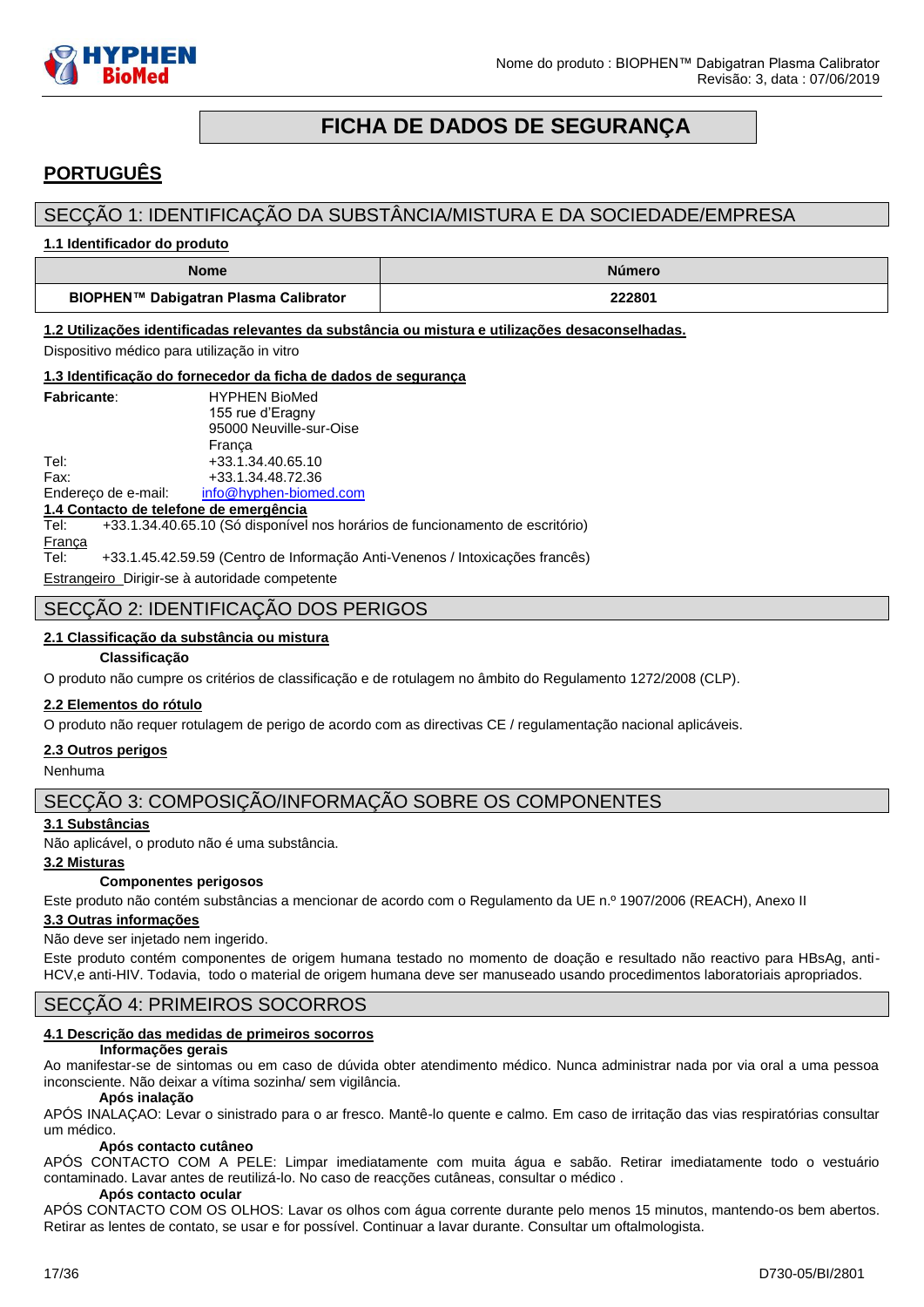

# **FICHA DE DADOS DE SEGURANÇA**

# <span id="page-16-0"></span>**PORTUGUÊS**

# SECÇÃO 1: IDENTIFICAÇÃO DA SUBSTÂNCIA/MISTURA E DA SOCIEDADE/EMPRESA

**1.1 Identificador do produto**

| <b>Nome</b>                           | <b>Número</b> |
|---------------------------------------|---------------|
| BIOPHEN™ Dabigatran Plasma Calibrator | 222801        |

**1.2 Utilizações identificadas relevantes da substância ou mistura e utilizações desaconselhadas.**

Dispositivo médico para utilização in vitro

**1.3 Identificação do fornecedor da ficha de dados de segurança**

|                                        | 1.5 Identificação do fornecedor da ficha de dados de segurançã                |  |  |  |  |
|----------------------------------------|-------------------------------------------------------------------------------|--|--|--|--|
| <b>Fabricante:</b>                     | <b>HYPHEN BioMed</b>                                                          |  |  |  |  |
|                                        | 155 rue d'Eragny                                                              |  |  |  |  |
|                                        | 95000 Neuville-sur-Oise                                                       |  |  |  |  |
|                                        | França                                                                        |  |  |  |  |
| Tel:                                   | +33.1.34.40.65.10                                                             |  |  |  |  |
| Fax:                                   | +33.1.34.48.72.36                                                             |  |  |  |  |
|                                        | Endereço de e-mail: info@hyphen-biomed.com                                    |  |  |  |  |
| 1.4 Contacto de telefone de emergência |                                                                               |  |  |  |  |
| Tel:                                   | +33.1.34.40.65.10 (Só disponível nos horários de funcionamento de escritório) |  |  |  |  |
| Franca                                 |                                                                               |  |  |  |  |

Tel: +33.1.45.42.59.59 (Centro de Informação Anti-Venenos / Intoxicações francês)

Estrangeiro Dirigir-se à autoridade competente

# SECÇÃO 2: IDENTIFICAÇÃO DOS PERIGOS

### **2.1 Classificação da substância ou mistura**

#### **Classificação**

O produto não cumpre os critérios de classificação e de rotulagem no âmbito do Regulamento 1272/2008 (CLP).

#### **2.2 Elementos do rótulo**

O produto não requer rotulagem de perigo de acordo com as directivas CE / regulamentação nacional aplicáveis.

#### **2.3 Outros perigos**

Nenhuma

# SECÇÃO 3: COMPOSIÇÃO/INFORMAÇÃO SOBRE OS COMPONENTES

### **3.1 Substâncias**

Não aplicável, o produto não é uma substância.

### **3.2 Misturas**

#### **Componentes perigosos**

Este produto não contém substâncias a mencionar de acordo com o Regulamento da UE n.º 1907/2006 (REACH), Anexo II

### **3.3 Outras informações**

Não deve ser injetado nem ingerido.

Este produto contém componentes de origem humana testado no momento de doação e resultado não reactivo para HBsAg, anti-HCV,e anti-HIV. Todavia, todo o material de origem humana deve ser manuseado usando procedimentos laboratoriais apropriados.

# SECÇÃO 4: PRIMEIROS SOCORROS

### **4.1 Descrição das medidas de primeiros socorros**

#### **Informações gerais**

Ao manifestar-se de sintomas ou em caso de dúvida obter atendimento médico. Nunca administrar nada por via oral a uma pessoa inconsciente. Não deixar a vítima sozinha/ sem vigilância.

#### **Após inalação**

APÓS INALAÇAO: Levar o sinistrado para o ar fresco. Mantê-lo quente e calmo. Em caso de irritação das vias respiratórias consultar um médico.

#### **Após contacto cutâneo**

APÓS CONTACTO COM A PELE: Limpar imediatamente com muita água e sabão. Retirar imediatamente todo o vestuário contaminado. Lavar antes de reutilizá-lo. No caso de reacções cutâneas, consultar o médico .

#### **Após contacto ocular**

APÓS CONTACTO COM OS OLHOS: Lavar os olhos com água corrente durante pelo menos 15 minutos, mantendo-os bem abertos. Retirar as lentes de contato, se usar e for possível. Continuar a lavar durante. Consultar um oftalmologista.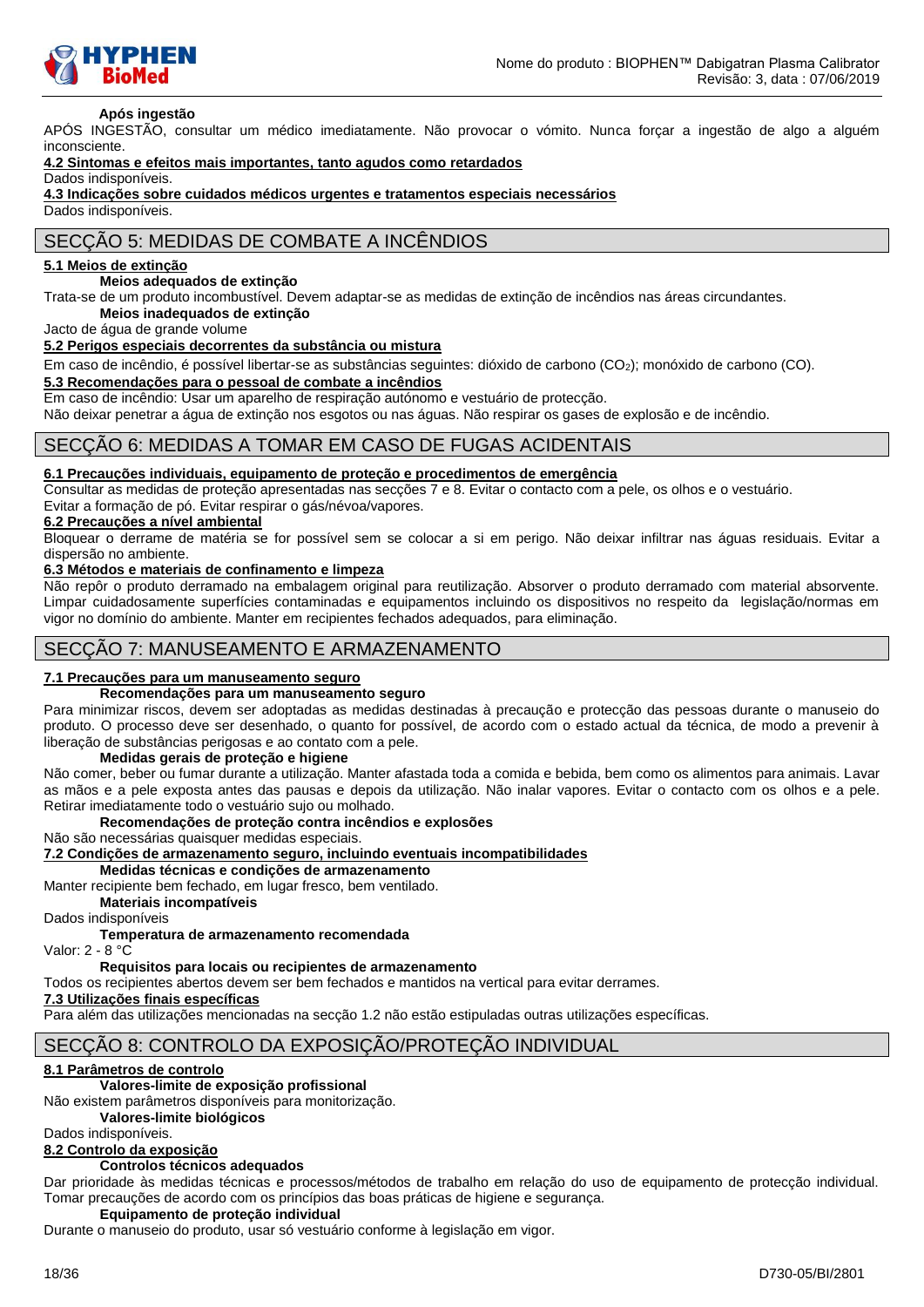

#### **Após ingestão**

APÓS INGESTÃO, consultar um médico imediatamente. Não provocar o vómito. Nunca forçar a ingestão de algo a alguém inconsciente.

### **4.2 Sintomas e efeitos mais importantes, tanto agudos como retardados**

Dados indisponíveis.

```
4.3 Indicações sobre cuidados médicos urgentes e tratamentos especiais necessários
```
Dados indisponíveis.

# SECÇÃO 5: MEDIDAS DE COMBATE A INCÊNDIOS

#### **5.1 Meios de extinção**

#### **Meios adequados de extinção**

Trata-se de um produto incombustível. Devem adaptar-se as medidas de extinção de incêndios nas áreas circundantes. **Meios inadequados de extinção**

Jacto de água de grande volume

#### **5.2 Perigos especiais decorrentes da substância ou mistura**

Em caso de incêndio, é possível libertar-se as substâncias seguintes: dióxido de carbono (CO2); monóxido de carbono (CO).

#### **5.3 Recomendações para o pessoal de combate a incêndios**

Em caso de incêndio: Usar um aparelho de respiração autónomo e vestuário de protecção.

Não deixar penetrar a água de extinção nos esgotos ou nas águas. Não respirar os gases de explosão e de incêndio.

### SECÇÃO 6: MEDIDAS A TOMAR EM CASO DE FUGAS ACIDENTAIS

#### **6.1 Precauções individuais, equipamento de proteção e procedimentos de emergência**

Consultar as medidas de proteção apresentadas nas secções 7 e 8. Evitar o contacto com a pele, os olhos e o vestuário. Evitar a formação de pó. Evitar respirar o gás/névoa/vapores.

#### **6.2 Precauções a nível ambiental**

Bloquear o derrame de matéria se for possível sem se colocar a si em perigo. Não deixar infiltrar nas águas residuais. Evitar a dispersão no ambiente.

#### **6.3 Métodos e materiais de confinamento e limpeza**

Não repôr o produto derramado na embalagem original para reutilização. Absorver o produto derramado com material absorvente. Limpar cuidadosamente superfícies contaminadas e equipamentos incluindo os dispositivos no respeito da legislação/normas em vigor no domínio do ambiente. Manter em recipientes fechados adequados, para eliminação.

### SECÇÃO 7: MANUSEAMENTO E ARMAZENAMENTO

#### **7.1 Precauções para um manuseamento seguro**

#### **Recomendações para um manuseamento seguro**

Para minimizar riscos, devem ser adoptadas as medidas destinadas à precaução e protecção das pessoas durante o manuseio do produto. O processo deve ser desenhado, o quanto for possível, de acordo com o estado actual da técnica, de modo a prevenir à liberação de substâncias perigosas e ao contato com a pele.

#### **Medidas gerais de proteção e higiene**

Não comer, beber ou fumar durante a utilização. Manter afastada toda a comida e bebida, bem como os alimentos para animais. Lavar as mãos e a pele exposta antes das pausas e depois da utilização. Não inalar vapores. Evitar o contacto com os olhos e a pele. Retirar imediatamente todo o vestuário sujo ou molhado.

#### **Recomendações de proteção contra incêndios e explosões**

Não são necessárias quaisquer medidas especiais.

### **7.2 Condições de armazenamento seguro, incluindo eventuais incompatibilidades**

**Medidas técnicas e condições de armazenamento**

Manter recipiente bem fechado, em lugar fresco, bem ventilado.

**Materiais incompatíveis**

Dados indisponíveis

### **Temperatura de armazenamento recomendada**

Valor: 2 - 8 °C

### **Requisitos para locais ou recipientes de armazenamento**

Todos os recipientes abertos devem ser bem fechados e mantidos na vertical para evitar derrames.

### **7.3 Utilizações finais específicas**

Para além das utilizações mencionadas na secção 1.2 não estão estipuladas outras utilizações específicas.

# SECÇÃO 8: CONTROLO DA EXPOSIÇÃO/PROTEÇÃO INDIVIDUAL

### **8.1 Parâmetros de controlo**

### **Valores-limite de exposição profissional**

Não existem parâmetros disponíveis para monitorização.

**Valores-limite biológicos** 

Dados indisponíveis.

# **8.2 Controlo da exposição**

### **Controlos técnicos adequados**

Dar prioridade às medidas técnicas e processos/métodos de trabalho em relação do uso de equipamento de protecção individual. Tomar precauções de acordo com os princípios das boas práticas de higiene e segurança.

### **Equipamento de proteção individual**

Durante o manuseio do produto, usar só vestuário conforme à legislação em vigor.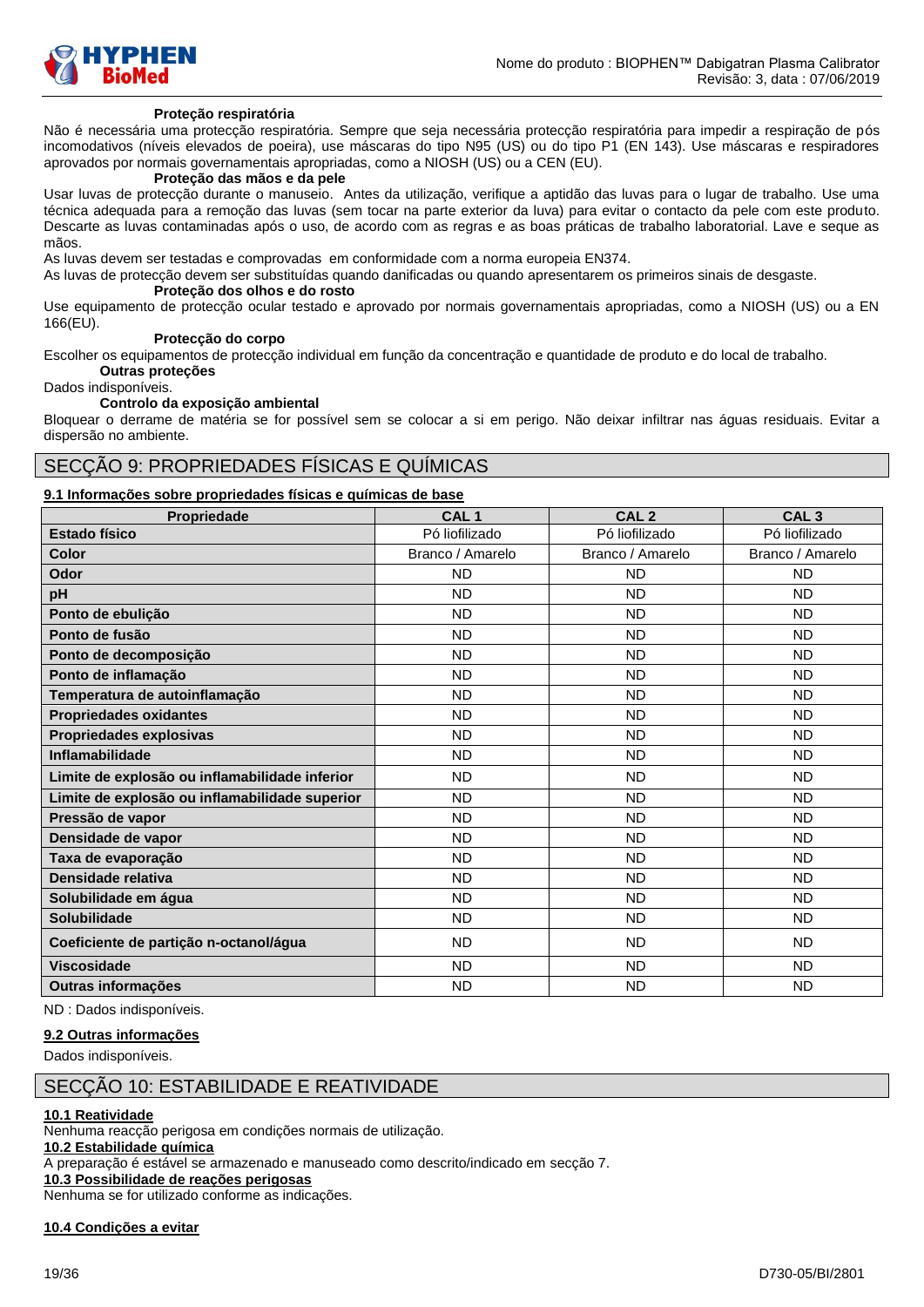

#### **Proteção respiratória**

Não é necessária uma protecção respiratória. Sempre que seja necessária protecção respiratória para impedir a respiração de pós incomodativos (níveis elevados de poeira), use máscaras do tipo N95 (US) ou do tipo P1 (EN 143). Use máscaras e respiradores aprovados por normais governamentais apropriadas, como a NIOSH (US) ou a CEN (EU).

### **Proteção das mãos e da pele**

Usar luvas de protecção durante o manuseio. Antes da utilização, verifique a aptidão das luvas para o lugar de trabalho. Use uma técnica adequada para a remoção das luvas (sem tocar na parte exterior da luva) para evitar o contacto da pele com este produto. Descarte as luvas contaminadas após o uso, de acordo com as regras e as boas práticas de trabalho laboratorial. Lave e seque as mãos.

As luvas devem ser testadas e comprovadas em conformidade com a norma europeia EN374.

As luvas de protecção devem ser substituídas quando danificadas ou quando apresentarem os primeiros sinais de desgaste.

#### **Proteção dos olhos e do rosto**

Use equipamento de protecção ocular testado e aprovado por normais governamentais apropriadas, como a NIOSH (US) ou a EN 166(EU).

#### **Protecção do corpo**

Escolher os equipamentos de protecção individual em função da concentração e quantidade de produto e do local de trabalho. **Outras proteções**

Dados indisponíveis.

#### **Controlo da exposição ambiental**

Bloquear o derrame de matéria se for possível sem se colocar a si em perigo. Não deixar infiltrar nas águas residuais. Evitar a dispersão no ambiente.

### SECÇÃO 9: PROPRIEDADES FÍSICAS E QUÍMICAS

#### **9.1 Informações sobre propriedades físicas e químicas de base**

| Propriedade                                    | CAL <sub>1</sub> | CAL <sub>2</sub> | CAL <sub>3</sub> |
|------------------------------------------------|------------------|------------------|------------------|
| Estado físico                                  | Pó liofilizado   | Pó liofilizado   | Pó liofilizado   |
| <b>Color</b>                                   | Branco / Amarelo | Branco / Amarelo | Branco / Amarelo |
| Odor                                           | <b>ND</b>        | <b>ND</b>        | <b>ND</b>        |
| pH                                             | <b>ND</b>        | <b>ND</b>        | <b>ND</b>        |
| Ponto de ebulição                              | <b>ND</b>        | <b>ND</b>        | <b>ND</b>        |
| Ponto de fusão                                 | <b>ND</b>        | <b>ND</b>        | <b>ND</b>        |
| Ponto de decomposição                          | <b>ND</b>        | <b>ND</b>        | <b>ND</b>        |
| Ponto de inflamação                            | <b>ND</b>        | <b>ND</b>        | <b>ND</b>        |
| Temperatura de autoinflamação                  | <b>ND</b>        | <b>ND</b>        | <b>ND</b>        |
| <b>Propriedades oxidantes</b>                  | <b>ND</b>        | <b>ND</b>        | <b>ND</b>        |
| Propriedades explosivas                        | <b>ND</b>        | <b>ND</b>        | <b>ND</b>        |
| Inflamabilidade                                | <b>ND</b>        | <b>ND</b>        | <b>ND</b>        |
| Limite de explosão ou inflamabilidade inferior | <b>ND</b>        | <b>ND</b>        | <b>ND</b>        |
| Limite de explosão ou inflamabilidade superior | <b>ND</b>        | <b>ND</b>        | <b>ND</b>        |
| Pressão de vapor                               | <b>ND</b>        | <b>ND</b>        | <b>ND</b>        |
| Densidade de vapor                             | <b>ND</b>        | <b>ND</b>        | <b>ND</b>        |
| Taxa de evaporação                             | <b>ND</b>        | <b>ND</b>        | <b>ND</b>        |
| Densidade relativa                             | <b>ND</b>        | <b>ND</b>        | <b>ND</b>        |
| Solubilidade em água                           | <b>ND</b>        | <b>ND</b>        | <b>ND</b>        |
| <b>Solubilidade</b>                            | <b>ND</b>        | <b>ND</b>        | <b>ND</b>        |
| Coeficiente de partição n-octanol/água         | <b>ND</b>        | <b>ND</b>        | <b>ND</b>        |
| <b>Viscosidade</b>                             | <b>ND</b>        | <b>ND</b>        | <b>ND</b>        |
| Outras informações                             | <b>ND</b>        | <b>ND</b>        | <b>ND</b>        |

ND : Dados indisponíveis.

### **9.2 Outras informações**

Dados indisponíveis.

### SECÇÃO 10: ESTABILIDADE E REATIVIDADE

#### **10.1 Reatividade**

Nenhuma reacção perigosa em condições normais de utilização.

#### **10.2 Estabilidade química**

A preparação é estável se armazenado e manuseado como descrito/indicado em secção 7.

### **10.3 Possibilidade de reações perigosas**

Nenhuma se for utilizado conforme as indicações.

**10.4 Condições a evitar**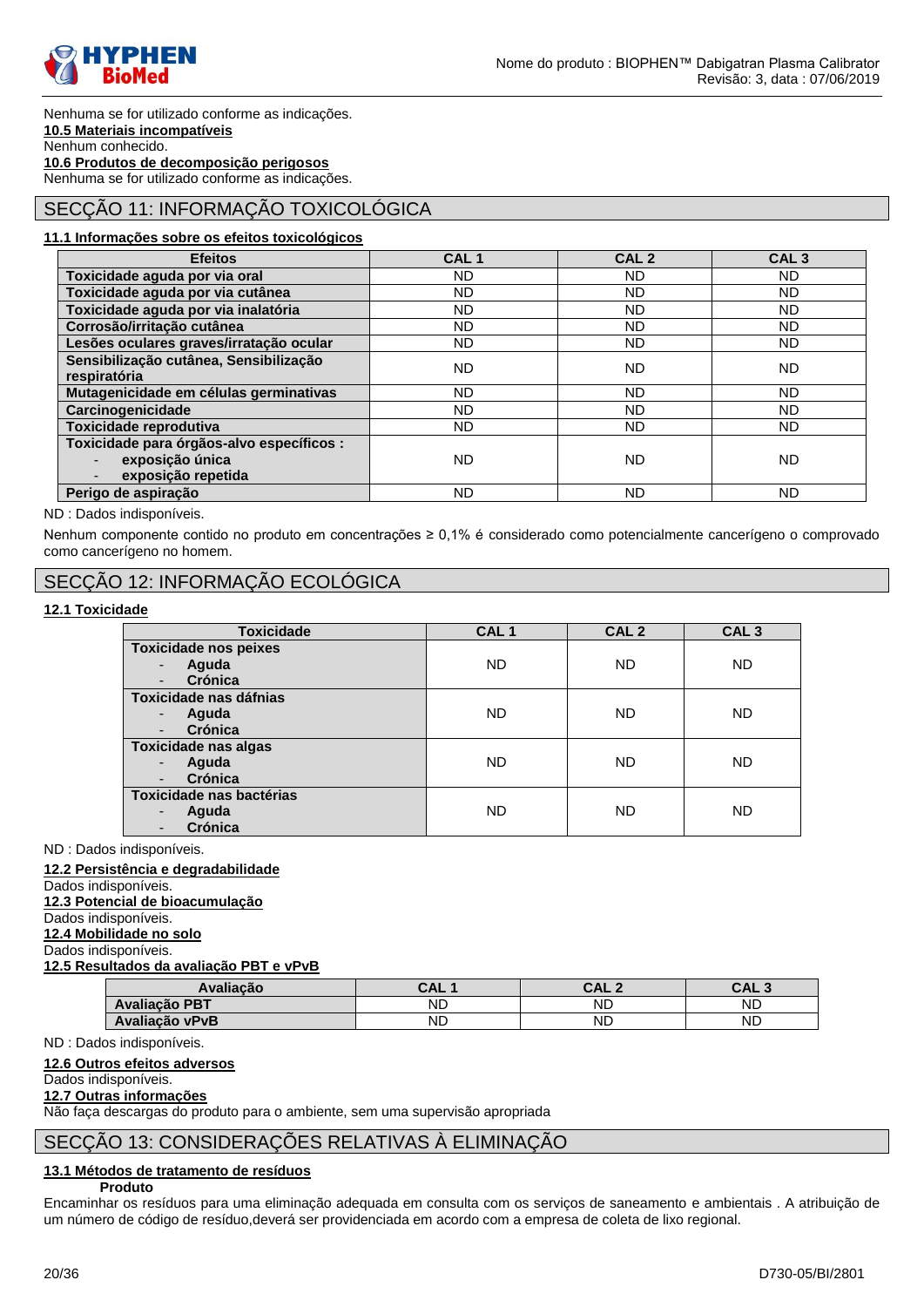

Nenhuma se for utilizado conforme as indicações. **10.5 Materiais incompatíveis** Nenhum conhecido. **10.6 Produtos de decomposição perigosos** Nenhuma se for utilizado conforme as indicações.

# SECÇÃO 11: INFORMAÇÃO TOXICOLÓGICA

### **11.1 Informações sobre os efeitos toxicológicos**

| <b>Efeitos</b>                            | CAL <sub>1</sub> | CAL <sub>2</sub> | CAL <sub>3</sub> |
|-------------------------------------------|------------------|------------------|------------------|
| Toxicidade aguda por via oral             | ND.              | ND.              | ND.              |
| Toxicidade aguda por via cutânea          | ND               | ND.              | <b>ND</b>        |
| Toxicidade aguda por via inalatória       | ND.              | ND.              | <b>ND</b>        |
| Corrosão/irritação cutânea                | ND.              | ND.              | <b>ND</b>        |
| Lesões oculares graves/irratação ocular   | ND.              | ND.              | <b>ND</b>        |
| Sensibilização cutânea, Sensibilização    | ND.              | ND.              | <b>ND</b>        |
| respiratória                              |                  |                  |                  |
| Mutagenicidade em células germinativas    | ND.              | ND.              | <b>ND</b>        |
| Carcinogenicidade                         | ND.              | ND.              | <b>ND</b>        |
| Toxicidade reprodutiva                    | ND.              | ND.              | <b>ND</b>        |
| Toxicidade para órgãos-alvo específicos : |                  |                  |                  |
| exposição única                           | ND.              | ND               | ND.              |
| exposição repetida                        |                  |                  |                  |
| Perigo de aspiração                       | ND.              | ND.              | <b>ND</b>        |

ND : Dados indisponíveis.

Nenhum componente contido no produto em concentrações ≥ 0,1% é considerado como potencialmente cancerígeno o comprovado como cancerígeno no homem.

# SECÇÃO 12: INFORMAÇÃO ECOLÓGICA

#### **12.1 Toxicidade**

| <b>Toxicidade</b>            | CAL <sub>1</sub> | CAL <sub>2</sub> | CAL <sub>3</sub> |
|------------------------------|------------------|------------------|------------------|
| <b>Toxicidade nos peixes</b> |                  |                  |                  |
| Aguda<br>Crónica             | <b>ND</b>        | <b>ND</b>        | <b>ND</b>        |
| Toxicidade nas dáfnias       |                  |                  |                  |
| Aguda                        | <b>ND</b>        | <b>ND</b>        | <b>ND</b>        |
| Crónica                      |                  |                  |                  |
| <b>Toxicidade nas algas</b>  |                  |                  |                  |
| Aguda                        | <b>ND</b>        | <b>ND</b>        | <b>ND</b>        |
| Crónica                      |                  |                  |                  |
| Toxicidade nas bactérias     |                  |                  |                  |
| Aguda<br>٠                   | ND               | ND               | ND.              |
| Crónica                      |                  |                  |                  |

ND : Dados indisponíveis.

**12.2 Persistência e degradabilidade**

### Dados indisponíveis.

**12.3 Potencial de bioacumulação**

Dados indisponíveis.

**12.4 Mobilidade no solo** Dados indisponíveis.

# **12.5 Resultados da avaliação PBT e vPvB**

| <b>Avaliacão</b>     | $\Delta I$<br>◡… | CAL.<br>$\sqrt{2}$ | rΛ |
|----------------------|------------------|--------------------|----|
| <b>Avaliação PBT</b> | ND               | ND                 | ND |
| Avaliação vPvB       | ND               | <b>ND</b>          | ND |

ND : Dados indisponíveis.

### **12.6 Outros efeitos adversos**

### Dados indisponíveis.

#### **12.7 Outras informações**

Não faça descargas do produto para o ambiente, sem uma supervisão apropriada

### SECÇÃO 13: CONSIDERAÇÕES RELATIVAS À ELIMINAÇÃO

### **13.1 Métodos de tratamento de resíduos**

### **Produto**

Encaminhar os resíduos para uma eliminação adequada em consulta com os serviços de saneamento e ambientais . A atribuição de um número de código de resíduo,deverá ser providenciada em acordo com a empresa de coleta de lixo regional.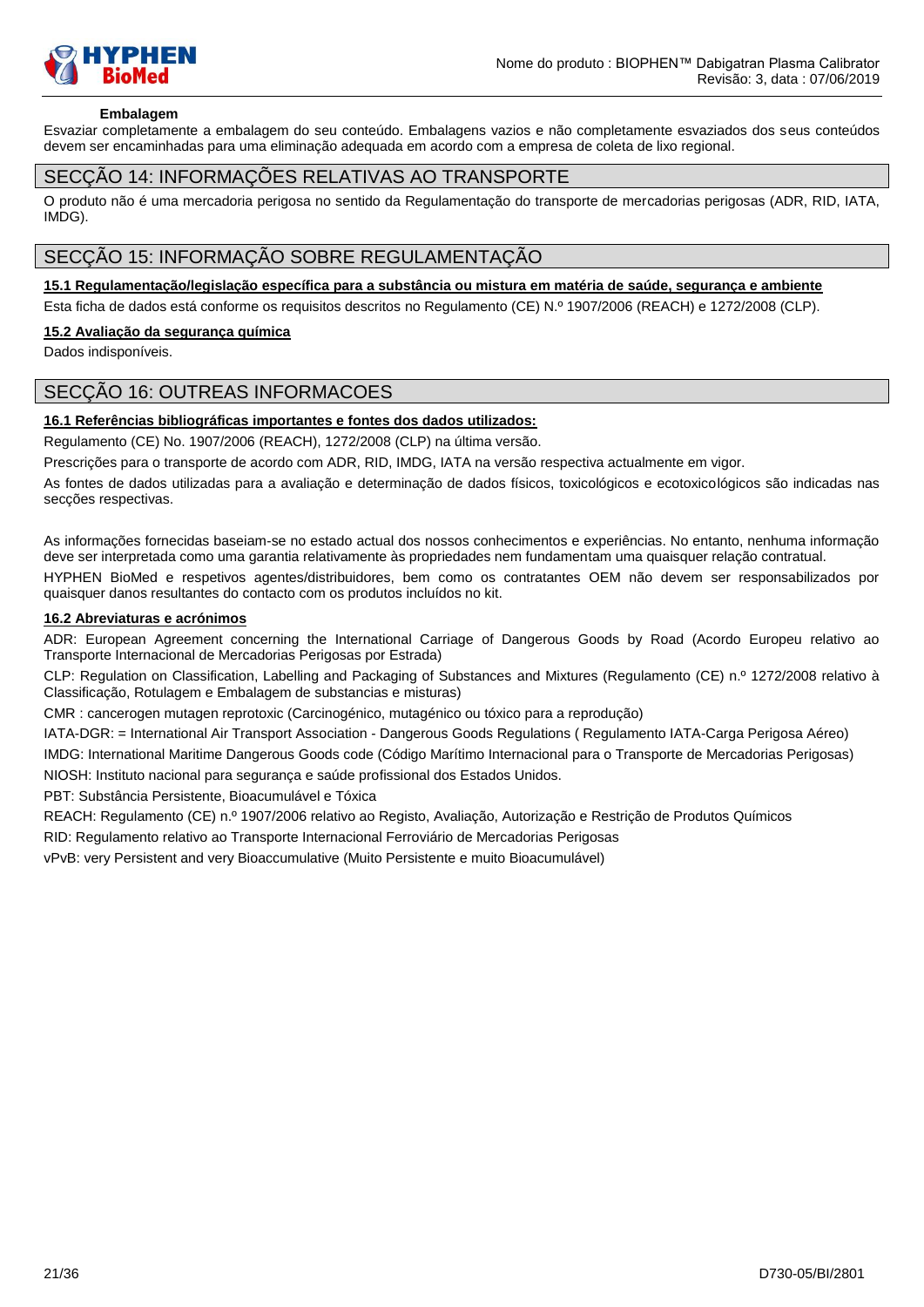

#### **Embalagem**

Esvaziar completamente a embalagem do seu conteúdo. Embalagens vazios e não completamente esvaziados dos seus conteúdos devem ser encaminhadas para uma eliminação adequada em acordo com a empresa de coleta de lixo regional.

### SECÇÃO 14: INFORMAÇÕES RELATIVAS AO TRANSPORTE

O produto não é uma mercadoria perigosa no sentido da Regulamentação do transporte de mercadorias perigosas (ADR, RID, IATA, IMDG).

# SECÇÃO 15: INFORMAÇÃO SOBRE REGULAMENTAÇÃO

#### **15.1 Regulamentação/legislação específica para a substância ou mistura em matéria de saúde, segurança e ambiente**

Esta ficha de dados está conforme os requisitos descritos no Regulamento (CE) N.º 1907/2006 (REACH) e 1272/2008 (CLP).

#### **15.2 Avaliação da segurança química**

Dados indisponíveis.

### SECÇÃO 16: OUTREAS INFORMACOES

#### **16.1 Referências bibliográficas importantes e fontes dos dados utilizados:**

Regulamento (CE) No. 1907/2006 (REACH), 1272/2008 (CLP) na última versão.

Prescrições para o transporte de acordo com ADR, RID, IMDG, IATA na versão respectiva actualmente em vigor.

As fontes de dados utilizadas para a avaliação e determinação de dados físicos, toxicológicos e ecotoxicológicos são indicadas nas secções respectivas.

As informações fornecidas baseiam-se no estado actual dos nossos conhecimentos e experiências. No entanto, nenhuma informação deve ser interpretada como uma garantia relativamente às propriedades nem fundamentam uma quaisquer relação contratual.

HYPHEN BioMed e respetivos agentes/distribuidores, bem como os contratantes OEM não devem ser responsabilizados por quaisquer danos resultantes do contacto com os produtos incluídos no kit.

### **16.2 Abreviaturas e acrónimos**

ADR: European Agreement concerning the International Carriage of Dangerous Goods by Road (Acordo Europeu relativo ao Transporte Internacional de Mercadorias Perigosas por Estrada)

CLP: Regulation on Classification, Labelling and Packaging of Substances and Mixtures (Regulamento (CE) n.º 1272/2008 relativo à Classificação, Rotulagem e Embalagem de substancias e misturas)

CMR : cancerogen mutagen reprotoxic (Carcinogénico, mutagénico ou tóxico para a reprodução)

IATA-DGR: = International Air Transport Association - Dangerous Goods Regulations ( Regulamento IATA-Carga Perigosa Aéreo) IMDG: International Maritime Dangerous Goods code (Código Marítimo Internacional para o Transporte de Mercadorias Perigosas) NIOSH: Instituto nacional para segurança e saúde profissional dos Estados Unidos.

PBT: Substância Persistente, Bioacumulável e Tóxica

REACH: Regulamento (CE) n.º 1907/2006 relativo ao Registo, Avaliação, Autorização e Restrição de Produtos Químicos

RID: Regulamento relativo ao Transporte Internacional Ferroviário de Mercadorias Perigosas

vPvB: very Persistent and very Bioaccumulative (Muito Persistente e muito Bioacumulável)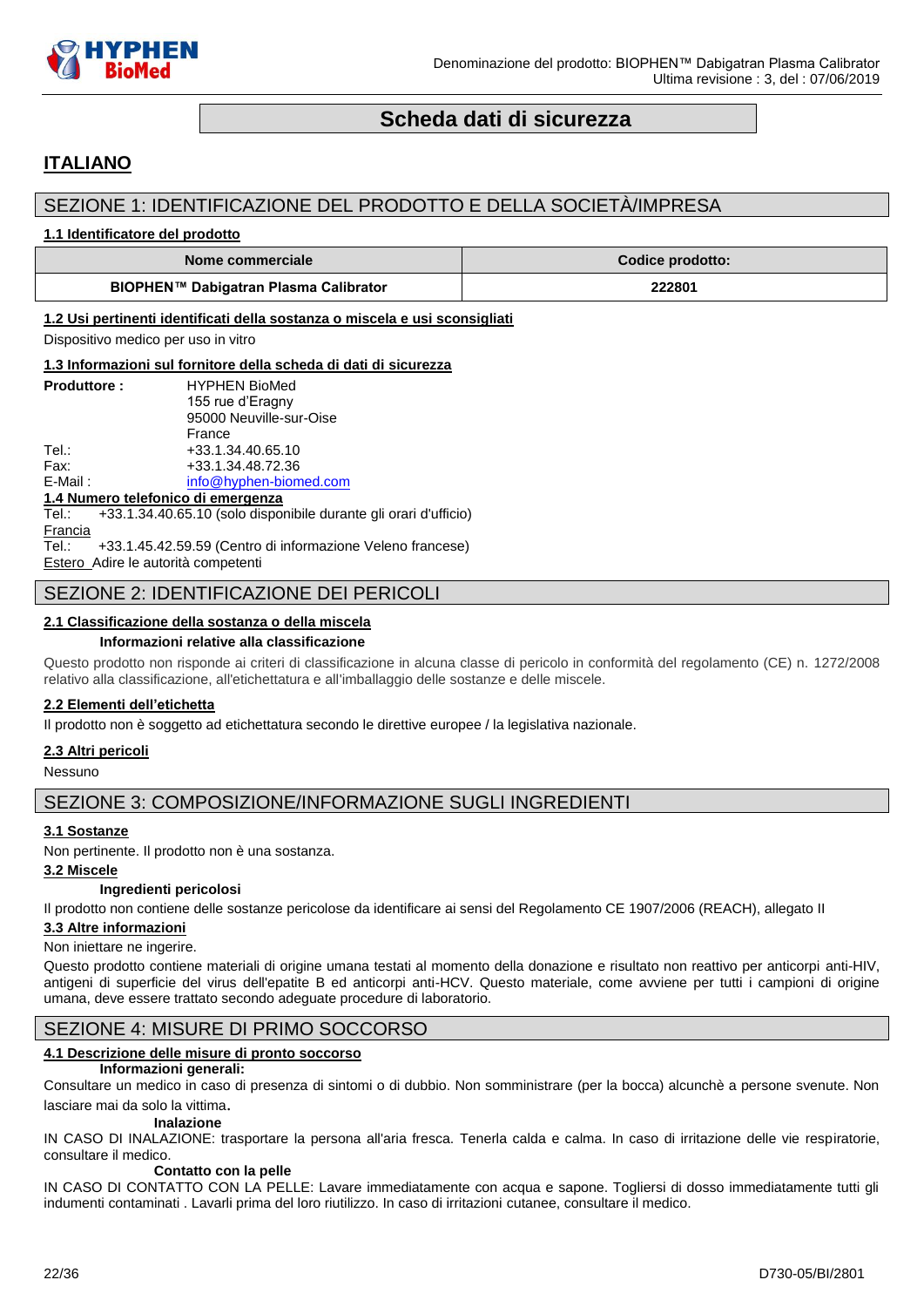

# **Scheda dati di sicurezza**

# <span id="page-21-0"></span>**ITALIANO**

# SEZIONE 1: IDENTIFICAZIONE DEL PRODOTTO E DELLA SOCIETÀ/IMPRESA

#### **1.1 Identificatore del prodotto**

| Nome commerciale                      | Codice prodotto: |
|---------------------------------------|------------------|
| BIOPHEN™ Dabigatran Plasma Calibrator | 222801           |

#### **1.2 Usi pertinenti identificati della sostanza o miscela e usi sconsigliati**

Dispositivo medico per uso in vitro

#### **1.3 Informazioni sul fornitore della scheda di dati di sicurezza**

| <b>Produttore:</b> | <b>HYPHEN BioMed</b>    |
|--------------------|-------------------------|
|                    | 155 rue d'Eragny        |
|                    | 95000 Neuville-sur-Oise |
|                    | France                  |
| Tel∴               | +33.1.34.40.65.10       |
| Fax:               | +33.1.34.48.72.36       |
| E-Mail:            | info@hyphen-biomed.com  |
|                    |                         |

#### **1.4 Numero telefonico di emergenza**

Tel.: +33.1.34.40.65.10 (solo disponibile durante gli orari d'ufficio) **Francia** Tel.: +33.1.45.42.59.59 (Centro di informazione Veleno francese)

Estero Adire le autorità competenti

### SEZIONE 2: IDENTIFICAZIONE DEI PERICOLI

### **2.1 Classificazione della sostanza o della miscela**

#### **Informazioni relative alla classificazione**

Questo prodotto non risponde ai criteri di classificazione in alcuna classe di pericolo in conformità del regolamento (CE) n. 1272/2008 relativo alla classificazione, all'etichettatura e all'imballaggio delle sostanze e delle miscele.

#### **2.2 Elementi dell'etichetta**

Il prodotto non è soggetto ad etichettatura secondo le direttive europee / la legislativa nazionale.

#### **2.3 Altri pericoli**

Nessuno

### SEZIONE 3: COMPOSIZIONE/INFORMAZIONE SUGLI INGREDIENTI

#### **3.1 Sostanze**

Non pertinente. Il prodotto non è una sostanza.

#### **3.2 Miscele**

#### **Ingredienti pericolosi**

Il prodotto non contiene delle sostanze pericolose da identificare ai sensi del Regolamento CE 1907/2006 (REACH), allegato II

#### **3.3 Altre informazioni**

#### Non iniettare ne ingerire.

Questo prodotto contiene materiali di origine umana testati al momento della donazione e risultato non reattivo per anticorpi anti-HIV, antigeni di superficie del virus dell'epatite B ed anticorpi anti-HCV. Questo materiale, come avviene per tutti i campioni di origine umana, deve essere trattato secondo adeguate procedure di laboratorio.

### SEZIONE 4: MISURE DI PRIMO SOCCORSO

### **4.1 Descrizione delle misure di pronto soccorso**

#### **Informazioni generali:**

Consultare un medico in caso di presenza di sintomi o di dubbio. Non somministrare (per la bocca) alcunchè a persone svenute. Non lasciare mai da solo la vittima.

#### **Inalazione**

IN CASO DI INALAZIONE: trasportare la persona all'aria fresca. Tenerla calda e calma. In caso di irritazione delle vie respiratorie, consultare il medico.

#### **Contatto con la pelle**

IN CASO DI CONTATTO CON LA PELLE: Lavare immediatamente con acqua e sapone. Togliersi di dosso immediatamente tutti gli indumenti contaminati . Lavarli prima del loro riutilizzo. In caso di irritazioni cutanee, consultare il medico.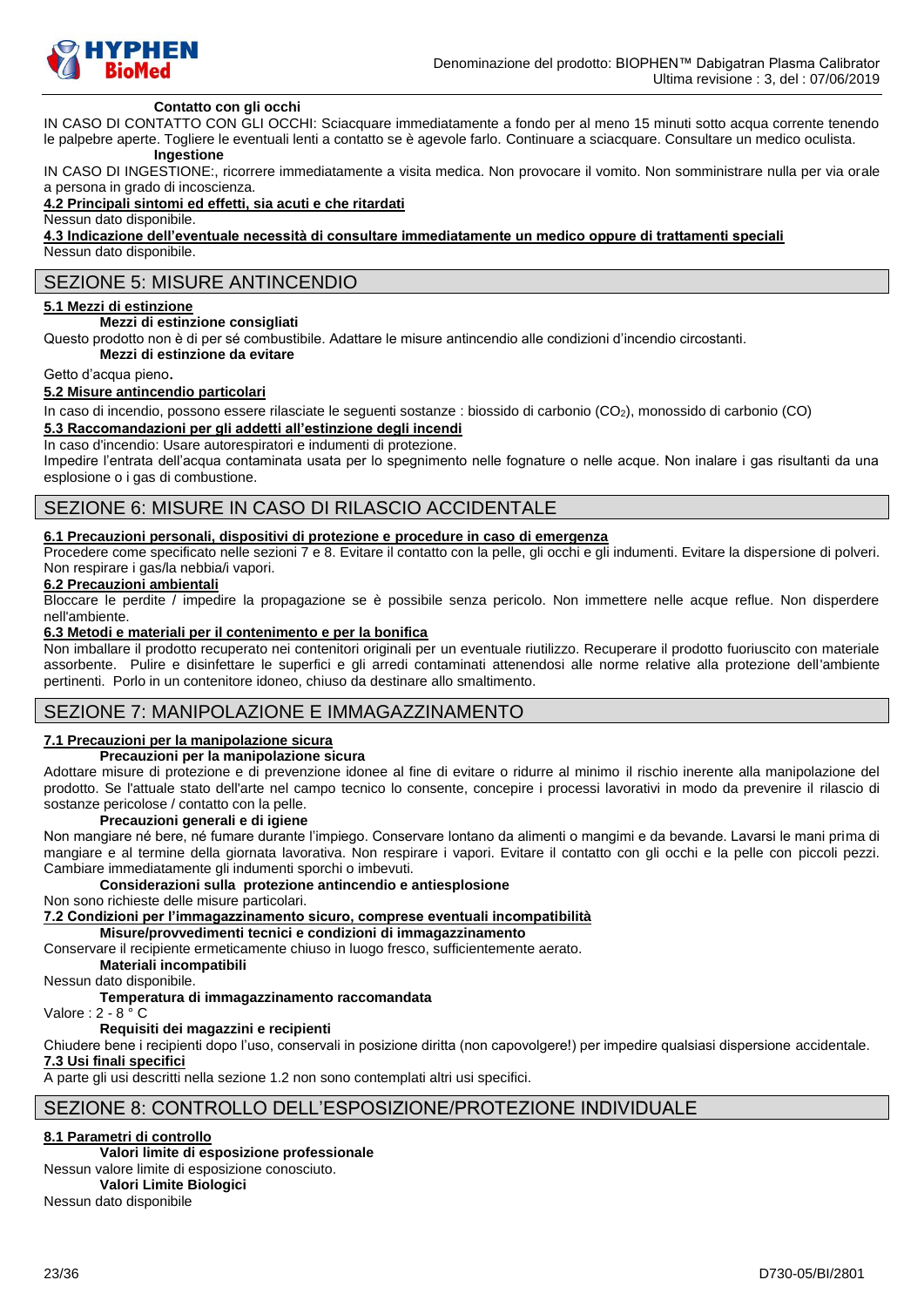

### **Contatto con gli occhi**

IN CASO DI CONTATTO CON GLI OCCHI: Sciacquare immediatamente a fondo per al meno 15 minuti sotto acqua corrente tenendo le palpebre aperte. Togliere le eventuali lenti a contatto se è agevole farlo. Continuare a sciacquare. Consultare un medico oculista.

# **Ingestione**

IN CASO DI INGESTIONE:, ricorrere immediatamente a visita medica. Non provocare il vomito. Non somministrare nulla per via orale a persona in grado di incoscienza.

#### **4.2 Principali sintomi ed effetti, sia acuti e che ritardati**

Nessun dato disponibile.

**4.3 Indicazione dell'eventuale necessità di consultare immediatamente un medico oppure di trattamenti speciali** Nessun dato disponibile.

# SEZIONE 5: MISURE ANTINCENDIO

### **5.1 Mezzi di estinzione**

#### **Mezzi di estinzione consigliati**

Questo prodotto non è di per sé combustibile. Adattare le misure antincendio alle condizioni d'incendio circostanti.

**Mezzi di estinzione da evitare**

#### Getto d'acqua pieno.

#### **5.2 Misure antincendio particolari**

In caso di incendio, possono essere rilasciate le seguenti sostanze : biossido di carbonio (CO<sub>2</sub>), monossido di carbonio (CO)

### **5.3 Raccomandazioni per gli addetti all'estinzione degli incendi**

In caso d'incendio: Usare autorespiratori e indumenti di protezione.

Impedire l'entrata dell'acqua contaminata usata per lo spegnimento nelle fognature o nelle acque. Non inalare i gas risultanti da una esplosione o i gas di combustione.

### SEZIONE 6: MISURE IN CASO DI RILASCIO ACCIDENTALE

#### **6.1 Precauzioni personali, dispositivi di protezione e procedure in caso di emergenza**

Procedere come specificato nelle sezioni 7 e 8. Evitare il contatto con la pelle, gli occhi e gli indumenti. Evitare la dispersione di polveri. Non respirare i gas/la nebbia/i vapori.

### **6.2 Precauzioni ambientali**

Bloccare le perdite / impedire la propagazione se è possibile senza pericolo. Non immettere nelle acque reflue. Non disperdere nell'ambiente.

#### **6.3 Metodi e materiali per il contenimento e per la bonifica**

Non imballare il prodotto recuperato nei contenitori originali per un eventuale riutilizzo. Recuperare il prodotto fuoriuscito con materiale assorbente. Pulire e disinfettare le superfici e gli arredi contaminati attenendosi alle norme relative alla protezione dell'ambiente pertinenti. Porlo in un contenitore idoneo, chiuso da destinare allo smaltimento.

### SEZIONE 7: MANIPOLAZIONE E IMMAGAZZINAMENTO

#### **7.1 Precauzioni per la manipolazione sicura**

#### **Precauzioni per la manipolazione sicura**

Adottare misure di protezione e di prevenzione idonee al fine di evitare o ridurre al minimo il rischio inerente alla manipolazione del prodotto. Se l'attuale stato dell'arte nel campo tecnico lo consente, concepire i processi lavorativi in modo da prevenire il rilascio di sostanze pericolose / contatto con la pelle.

#### **Precauzioni generali e di igiene**

Non mangiare né bere, né fumare durante l'impiego. Conservare lontano da alimenti o mangimi e da bevande. Lavarsi le mani prima di mangiare e al termine della giornata lavorativa. Non respirare i vapori. Evitare il contatto con gli occhi e la pelle con piccoli pezzi. Cambiare immediatamente gli indumenti sporchi o imbevuti.

#### **Considerazioni sulla protezione antincendio e antiesplosione**

Non sono richieste delle misure particolari.

**7.2 Condizioni per l'immagazzinamento sicuro, comprese eventuali incompatibilità**

**Misure/provvedimenti tecnici e condizioni di immagazzinamento**

Conservare il recipiente ermeticamente chiuso in luogo fresco, sufficientemente aerato.

**Materiali incompatibili**

Nessun dato disponibile.

### **Temperatura di immagazzinamento raccomandata**

Valore : 2 - 8 ° C

### **Requisiti dei magazzini e recipienti**

Chiudere bene i recipienti dopo l'uso, conservali in posizione diritta (non capovolgere!) per impedire qualsiasi dispersione accidentale. **7.3 Usi finali specifici**

A parte gli usi descritti nella sezione 1.2 non sono contemplati altri usi specifici.

### SEZIONE 8: CONTROLLO DELL'ESPOSIZIONE/PROTEZIONE INDIVIDUALE

#### **8.1 Parametri di controllo**

#### **Valori limite di esposizione professionale**

Nessun valore limite di esposizione conosciuto.

**Valori Limite Biologici** Nessun dato disponibile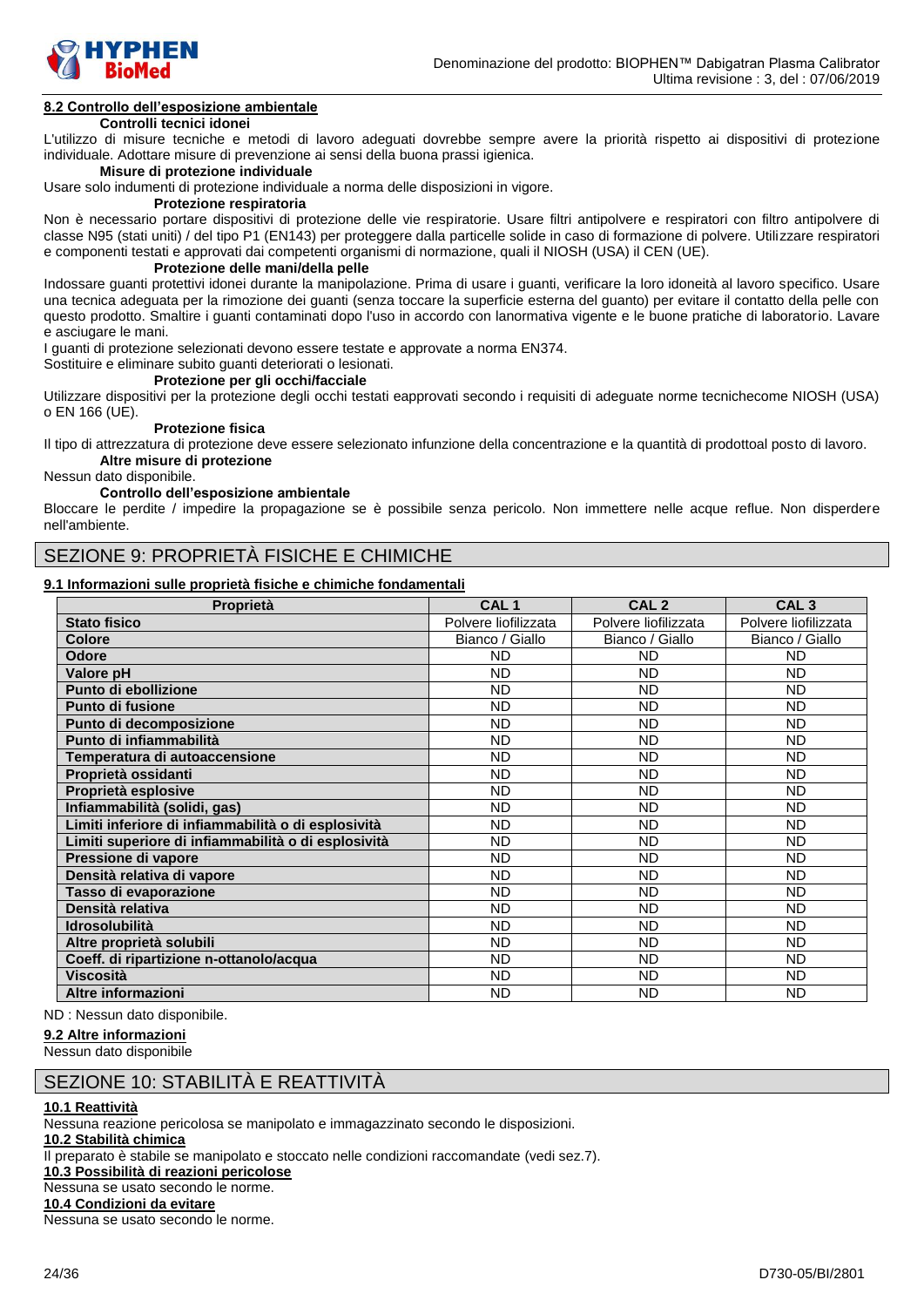

# **8.2 Controllo dell'esposizione ambientale**

### **Controlli tecnici idonei**

L'utilizzo di misure tecniche e metodi di lavoro adeguati dovrebbe sempre avere la priorità rispetto ai dispositivi di protezione individuale. Adottare misure di prevenzione ai sensi della buona prassi igienica.

#### **Misure di protezione individuale**

Usare solo indumenti di protezione individuale a norma delle disposizioni in vigore.

#### **Protezione respiratoria**

Non è necessario portare dispositivi di protezione delle vie respiratorie. Usare filtri antipolvere e respiratori con filtro antipolvere di classe N95 (stati uniti) / del tipo P1 (EN143) per proteggere dalla particelle solide in caso di formazione di polvere. Utilizzare respiratori e componenti testati e approvati dai competenti organismi di normazione, quali il NIOSH (USA) il CEN (UE).

#### **Protezione delle mani/della pelle**

Indossare guanti protettivi idonei durante la manipolazione. Prima di usare i guanti, verificare la loro idoneità al lavoro specifico. Usare una tecnica adeguata per la rimozione dei guanti (senza toccare la superficie esterna del guanto) per evitare il contatto della pelle con questo prodotto. Smaltire i guanti contaminati dopo l'uso in accordo con lanormativa vigente e le buone pratiche di laboratorio. Lavare e asciugare le mani.

I guanti di protezione selezionati devono essere testate e approvate a norma EN374.

Sostituire e eliminare subito guanti deteriorati o lesionati.

### **Protezione per gli occhi/facciale**

Utilizzare dispositivi per la protezione degli occhi testati eapprovati secondo i requisiti di adeguate norme tecnichecome NIOSH (USA) o EN 166 (UE).

#### **Protezione fisica**

Il tipo di attrezzatura di protezione deve essere selezionato infunzione della concentrazione e la quantità di prodottoal posto di lavoro. **Altre misure di protezione**

Nessun dato disponibile.

#### **Controllo dell'esposizione ambientale**

Bloccare le perdite / impedire la propagazione se è possibile senza pericolo. Non immettere nelle acque reflue. Non disperdere nell'ambiente.

# SEZIONE 9: PROPRIETÀ FISICHE E CHIMICHE

### **9.1 Informazioni sulle proprietà fisiche e chimiche fondamentali**

| Proprietà                                           | CAL <sub>1</sub>     | CAL <sub>2</sub>     | CAL <sub>3</sub>     |
|-----------------------------------------------------|----------------------|----------------------|----------------------|
| <b>Stato fisico</b>                                 | Polvere liofilizzata | Polvere liofilizzata | Polvere liofilizzata |
| <b>Colore</b>                                       | Bianco / Giallo      | Bianco / Giallo      | Bianco / Giallo      |
| <b>Odore</b>                                        | <b>ND</b>            | <b>ND</b>            | <b>ND</b>            |
| Valore pH                                           | <b>ND</b>            | <b>ND</b>            | ND                   |
| Punto di ebollizione                                | <b>ND</b>            | <b>ND</b>            | <b>ND</b>            |
| Punto di fusione                                    | <b>ND</b>            | <b>ND</b>            | <b>ND</b>            |
| Punto di decomposizione                             | <b>ND</b>            | <b>ND</b>            | <b>ND</b>            |
| Punto di infiammabilità                             | <b>ND</b>            | <b>ND</b>            | ND                   |
| Temperatura di autoaccensione                       | <b>ND</b>            | <b>ND</b>            | <b>ND</b>            |
| Proprietà ossidanti                                 | <b>ND</b>            | <b>ND</b>            | <b>ND</b>            |
| Proprietà esplosive                                 | <b>ND</b>            | <b>ND</b>            | <b>ND</b>            |
| Infiammabilità (solidi, gas)                        | <b>ND</b>            | <b>ND</b>            | <b>ND</b>            |
| Limiti inferiore di infiammabilità o di esplosività | <b>ND</b>            | <b>ND</b>            | <b>ND</b>            |
| Limiti superiore di infiammabilità o di esplosività | <b>ND</b>            | <b>ND</b>            | <b>ND</b>            |
| Pressione di vapore                                 | <b>ND</b>            | <b>ND</b>            | ND                   |
| Densità relativa di vapore                          | <b>ND</b>            | <b>ND</b>            | <b>ND</b>            |
| Tasso di evaporazione                               | <b>ND</b>            | <b>ND</b>            | ND                   |
| Densità relativa                                    | <b>ND</b>            | <b>ND</b>            | <b>ND</b>            |
| <b>Idrosolubilità</b>                               | <b>ND</b>            | <b>ND</b>            | <b>ND</b>            |
| Altre proprietà solubili                            | <b>ND</b>            | <b>ND</b>            | <b>ND</b>            |
| Coeff. di ripartizione n-ottanolo/acqua             | <b>ND</b>            | <b>ND</b>            | ND                   |
| <b>Viscosità</b>                                    | <b>ND</b>            | <b>ND</b>            | <b>ND</b>            |
| Altre informazioni                                  | <b>ND</b>            | <b>ND</b>            | <b>ND</b>            |

ND : Nessun dato disponibile.

#### **9.2 Altre informazioni**

Nessun dato disponibile

### SEZIONE 10: STABILITÀ E REATTIVITÀ

#### **10.1 Reattività**

Nessuna reazione pericolosa se manipolato e immagazzinato secondo le disposizioni. **10.2 Stabilità chimica** Il preparato è stabile se manipolato e stoccato nelle condizioni raccomandate (vedi sez.7). **10.3 Possibilità di reazioni pericolose** Nessuna se usato secondo le norme. **10.4 Condizioni da evitare**

Nessuna se usato secondo le norme.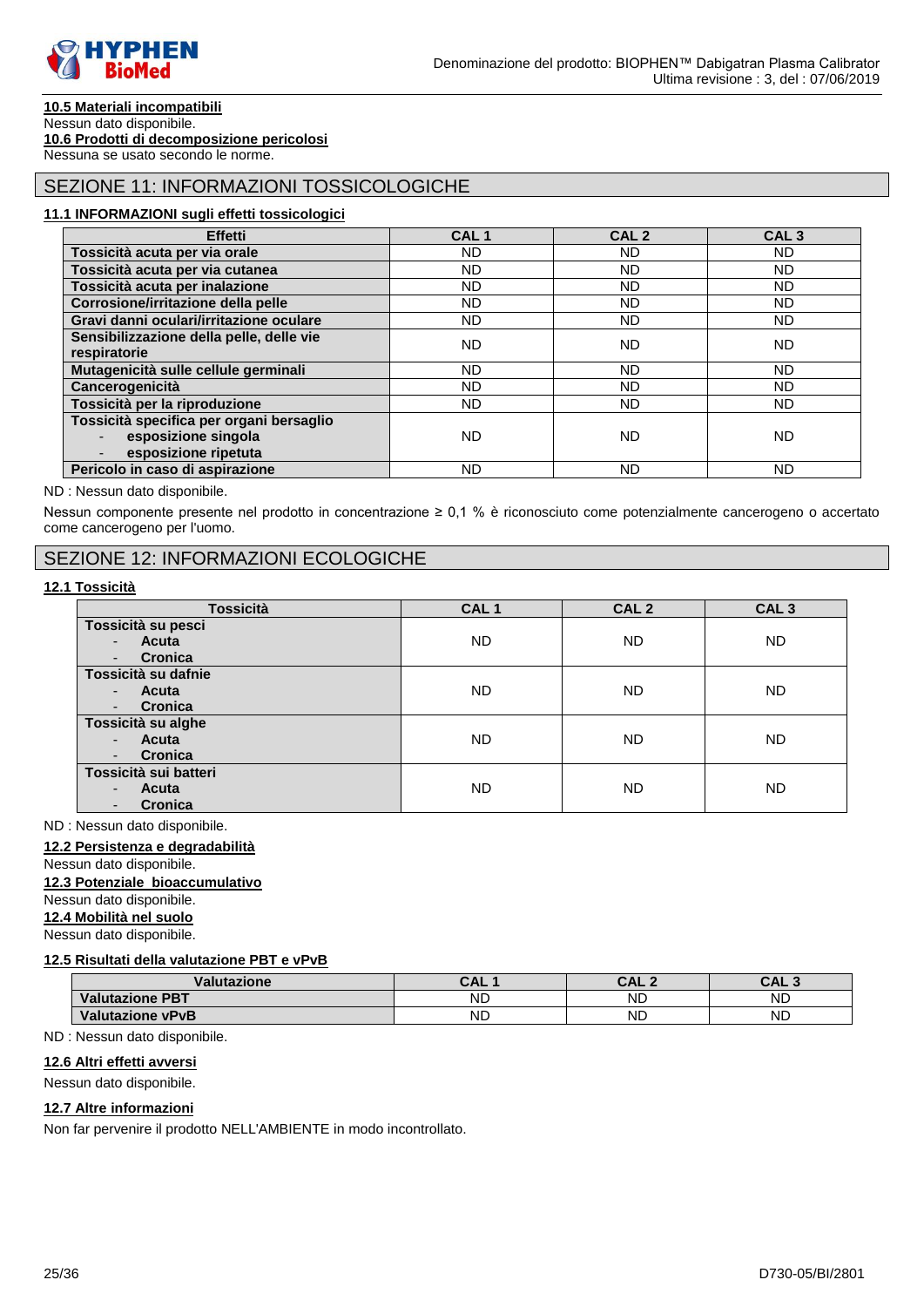

# **10.5 Materiali incompatibili**

#### Nessun dato disponibile. **10.6 Prodotti di decomposizione pericolosi**

Nessuna se usato secondo le norme.

# SEZIONE 11: INFORMAZIONI TOSSICOLOGICHE

#### **11.1 INFORMAZIONI sugli effetti tossicologici**

| <b>Effetti</b>                           | CAL <sub>1</sub> | CAL <sub>2</sub> | CAL <sub>3</sub> |
|------------------------------------------|------------------|------------------|------------------|
| Tossicità acuta per via orale            | ND.              | ND.              | ND.              |
| Tossicità acuta per via cutanea          | ND.              | ND.              | ND.              |
| Tossicità acuta per inalazione           | ND.              | <b>ND</b>        | <b>ND</b>        |
| Corrosione/irritazione della pelle       | ND.              | <b>ND</b>        | ND.              |
| Gravi danni oculari/irritazione oculare  | ND.              | ND.              | <b>ND</b>        |
| Sensibilizzazione della pelle, delle vie | <b>ND</b>        | <b>ND</b>        | ND.              |
| respiratorie                             |                  |                  |                  |
| Mutagenicità sulle cellule germinali     | ND.              | <b>ND</b>        | ND.              |
| Cancerogenicità                          | <b>ND</b>        | <b>ND</b>        | <b>ND</b>        |
| Tossicità per la riproduzione            | ND               | ND.              | ND.              |
| Tossicità specifica per organi bersaglio |                  |                  |                  |
| esposizione singola                      | <b>ND</b>        | <b>ND</b>        | ND               |
| esposizione ripetuta                     |                  |                  |                  |
| Pericolo in caso di aspirazione          | <b>ND</b>        | <b>ND</b>        | <b>ND</b>        |

#### ND : Nessun dato disponibile.

Nessun componente presente nel prodotto in concentrazione ≥ 0,1 % è riconosciuto come potenzialmente cancerogeno o accertato come cancerogeno per l'uomo.

### SEZIONE 12: INFORMAZIONI ECOLOGICHE

#### **12.1 Tossicità**

| <b>Tossicità</b>                           | CAL <sub>1</sub> | CAL <sub>2</sub> | CAL <sub>3</sub> |
|--------------------------------------------|------------------|------------------|------------------|
| Tossicità su pesci                         |                  |                  |                  |
| Acuta<br>$\overline{\phantom{a}}$          | ND.              | <b>ND</b>        | <b>ND</b>        |
| <b>Cronica</b><br>٠                        |                  |                  |                  |
| Tossicità su dafnie                        |                  |                  |                  |
| Acuta<br>$\blacksquare$                    | ND.              | <b>ND</b>        | <b>ND</b>        |
| <b>Cronica</b><br>$\overline{\phantom{a}}$ |                  |                  |                  |
| Tossicità su alghe                         |                  |                  |                  |
| Acuta<br>$\blacksquare$                    | ND.              | <b>ND</b>        | <b>ND</b>        |
| Cronica<br>$\overline{\phantom{a}}$        |                  |                  |                  |
| Tossicità sui batteri                      |                  |                  |                  |
| Acuta<br>$\blacksquare$                    | ND.              | <b>ND</b>        | <b>ND</b>        |
| Cronica<br>٠                               |                  |                  |                  |

ND : Nessun dato disponibile.

#### **12.2 Persistenza e degradabilità**

# Nessun dato disponibile.

# **12.3 Potenziale bioaccumulativo**

### Nessun dato disponibile.

**12.4 Mobilità nel suolo**

Nessun dato disponibile.

### **12.5 Risultati della valutazione PBT e vPvB**

| Val<br>utazione               | CAI       | C NI J<br>UAL. | CAL<br>$\sqrt{2}$ |
|-------------------------------|-----------|----------------|-------------------|
| <b>Valutazione</b><br>$.$ PBT | <b>ND</b> | <b>ND</b>      | ND                |
| Valutazione vPvB              | ND        | <b>ND</b>      | <b>ND</b>         |

#### ND : Nessun dato disponibile.

### **12.6 Altri effetti avversi**

Nessun dato disponibile.

#### **12.7 Altre informazioni**

Non far pervenire il prodotto NELL'AMBIENTE in modo incontrollato.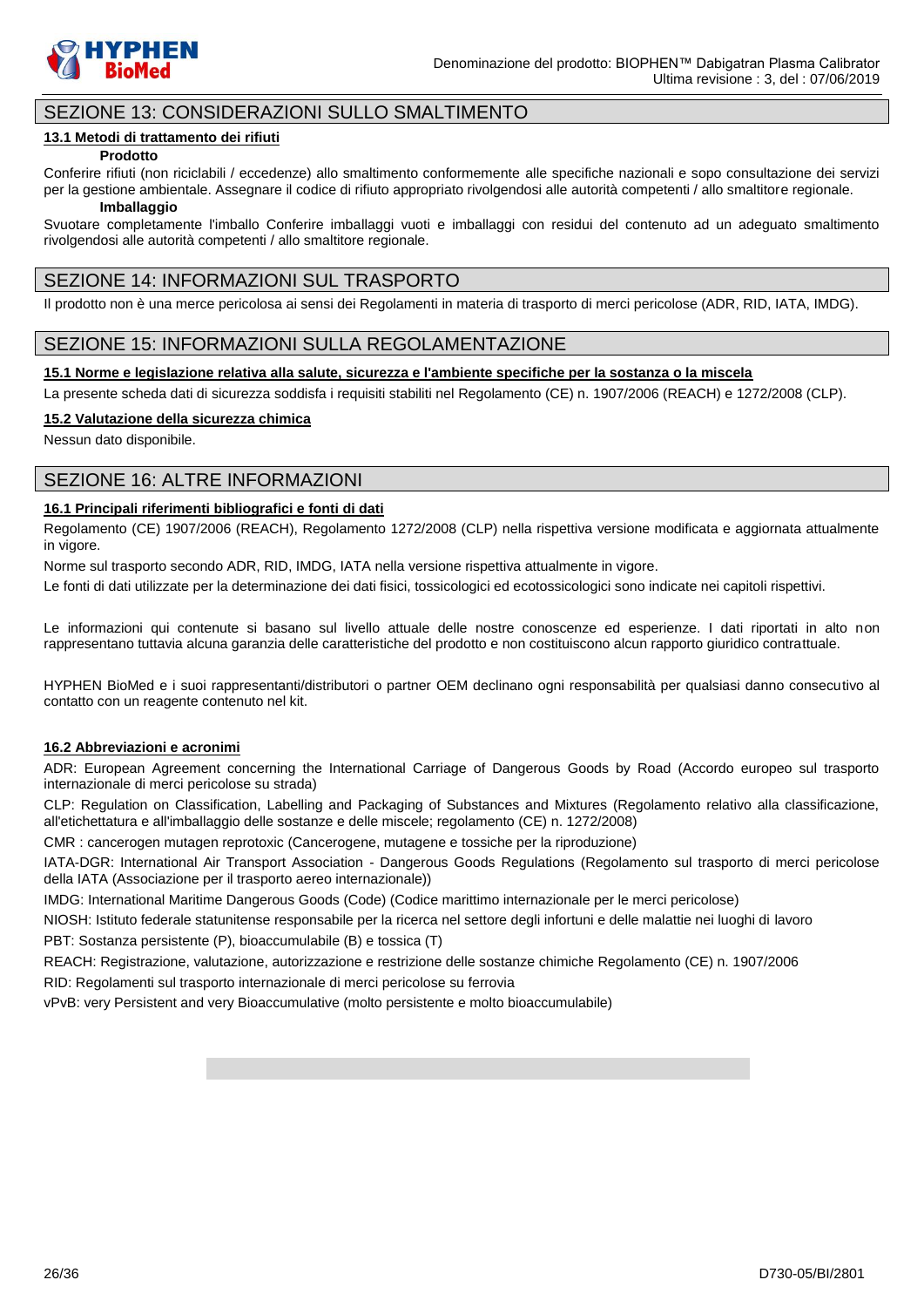

# SEZIONE 13: CONSIDERAZIONI SULLO SMALTIMENTO

### **13.1 Metodi di trattamento dei rifiuti**

#### **Prodotto**

Conferire rifiuti (non riciclabili / eccedenze) allo smaltimento conformemente alle specifiche nazionali e sopo consultazione dei servizi per la gestione ambientale. Assegnare il codice di rifiuto appropriato rivolgendosi alle autorità competenti / allo smaltitore regionale.

#### **Imballaggio**

Svuotare completamente l'imballo Conferire imballaggi vuoti e imballaggi con residui del contenuto ad un adeguato smaltimento rivolgendosi alle autorità competenti / allo smaltitore regionale.

### SEZIONE 14: INFORMAZIONI SUL TRASPORTO

Il prodotto non è una merce pericolosa ai sensi dei Regolamenti in materia di trasporto di merci pericolose (ADR, RID, IATA, IMDG).

### SEZIONE 15: INFORMAZIONI SULLA REGOLAMENTAZIONE

#### **15.1 Norme e legislazione relativa alla salute, sicurezza e l'ambiente specifiche per la sostanza o la miscela**

La presente scheda dati di sicurezza soddisfa i requisiti stabiliti nel Regolamento (CE) n. 1907/2006 (REACH) e 1272/2008 (CLP).

### **15.2 Valutazione della sicurezza chimica**

Nessun dato disponibile.

### SEZIONE 16: ALTRE INFORMAZIONI

### **16.1 Principali riferimenti bibliografici e fonti di dati**

Regolamento (CE) 1907/2006 (REACH), Regolamento 1272/2008 (CLP) nella rispettiva versione modificata e aggiornata attualmente in vigore.

Norme sul trasporto secondo ADR, RID, IMDG, IATA nella versione rispettiva attualmente in vigore.

Le fonti di dati utilizzate per la determinazione dei dati fisici, tossicologici ed ecotossicologici sono indicate nei capitoli rispettivi.

Le informazioni qui contenute si basano sul livello attuale delle nostre conoscenze ed esperienze. I dati riportati in alto non rappresentano tuttavia alcuna garanzia delle caratteristiche del prodotto e non costituiscono alcun rapporto giuridico contrattuale.

HYPHEN BioMed e i suoi rappresentanti/distributori o partner OEM declinano ogni responsabilità per qualsiasi danno consecutivo al contatto con un reagente contenuto nel kit.

#### **16.2 Abbreviazioni e acronimi**

ADR: European Agreement concerning the International Carriage of Dangerous Goods by Road (Accordo europeo sul trasporto internazionale di merci pericolose su strada)

CLP: Regulation on Classification, Labelling and Packaging of Substances and Mixtures (Regolamento relativo alla classificazione, all'etichettatura e all'imballaggio delle sostanze e delle miscele; regolamento (CE) n. 1272/2008)

CMR : cancerogen mutagen reprotoxic (Cancerogene, mutagene e tossiche per la riproduzione)

IATA-DGR: International Air Transport Association - Dangerous Goods Regulations (Regolamento sul trasporto di merci pericolose della IATA (Associazione per il trasporto aereo internazionale))

IMDG: International Maritime Dangerous Goods (Code) (Codice marittimo internazionale per le merci pericolose)

NIOSH: Istituto federale statunitense responsabile per la ricerca nel settore degli infortuni e delle malattie nei luoghi di lavoro PBT: Sostanza persistente (P), bioaccumulabile (B) e tossica (T)

REACH: Registrazione, valutazione, autorizzazione e restrizione delle sostanze chimiche Regolamento (CE) n. 1907/2006

RID: Regolamenti sul trasporto internazionale di merci pericolose su ferrovia

vPvB: very Persistent and very Bioaccumulative (molto persistente e molto bioaccumulabile)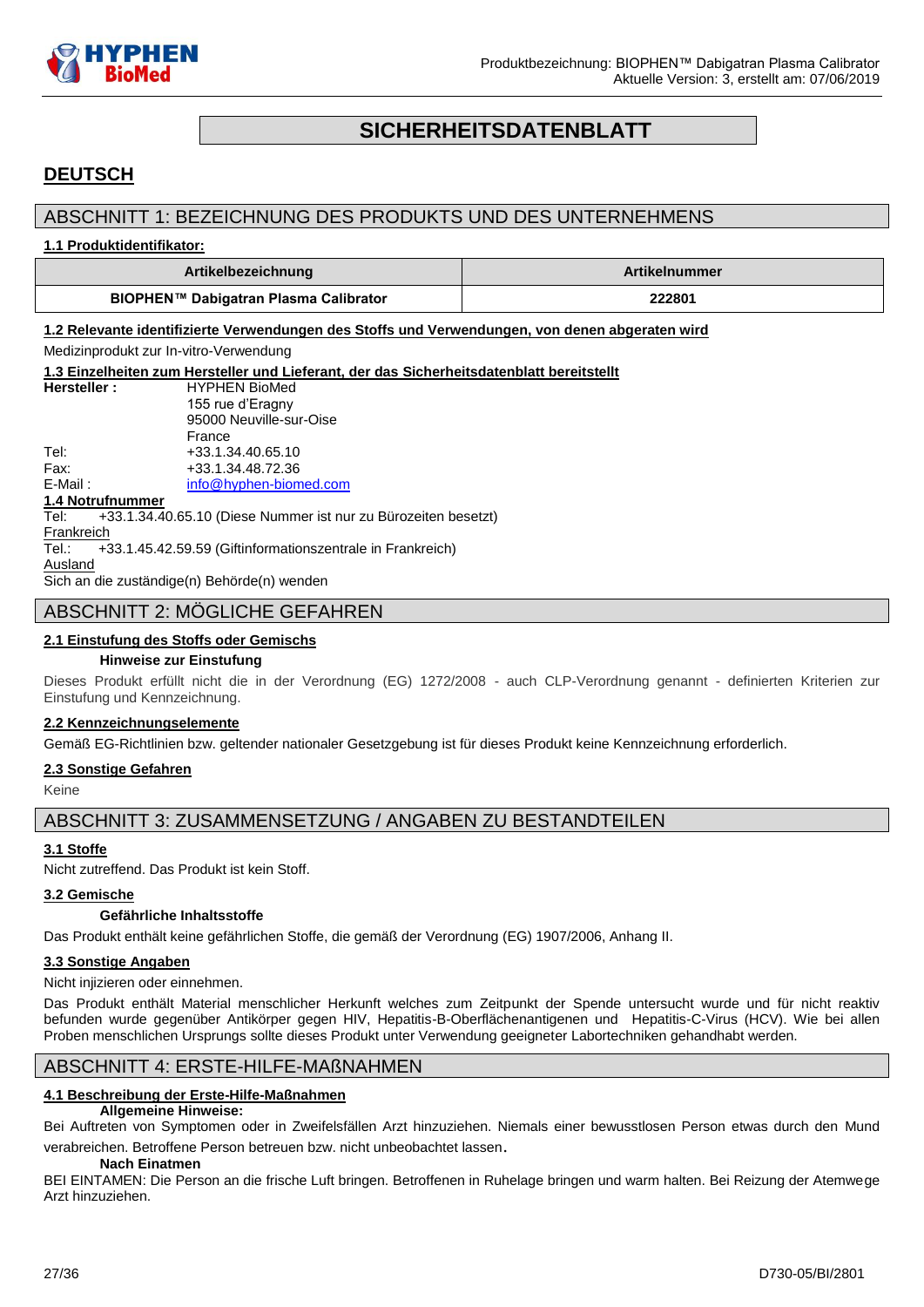

# **SICHERHEITSDATENBLATT**

# <span id="page-26-0"></span>**DEUTSCH**

# ABSCHNITT 1: BEZEICHNUNG DES PRODUKTS UND DES UNTERNEHMENS

#### **1.1 Produktidentifikator:**

| Artikelbezeichnung                    | ArtikeInummer ∣ |
|---------------------------------------|-----------------|
| BIOPHEN™ Dabigatran Plasma Calibrator | 222801          |

**1.2 Relevante identifizierte Verwendungen des Stoffs und Verwendungen, von denen abgeraten wird**

Medizinprodukt zur In-vitro-Verwendung

**1.3 Einzelheiten zum Hersteller und Lieferant, der das Sicherheitsdatenblatt bereitstellt Hersteller :** HYPHEN BioMed 155 rue d'Eragny 95000 Neuville-sur-Oise France Tel: +33.1.34.40.65.10 Fax: +33.1.34.48.72.36 E-Mail: [info@hyphen-biomed.com](mailto:info@hyphen-biomed.com) **1.4 Notrufnummer** Tel: +33.1.34.40.65.10 (Diese Nummer ist nur zu Bürozeiten besetzt) **Frankreich** 

Tel.: +33.1.45.42.59.59 (Giftinformationszentrale in Frankreich)

**Ausland** Sich an die zuständige(n) Behörde(n) wenden

### ABSCHNITT 2: MÖGLICHE GEFAHREN

### **2.1 Einstufung des Stoffs oder Gemischs**

#### **Hinweise zur Einstufung**

Dieses Produkt erfüllt nicht die in der Verordnung (EG) 1272/2008 - auch CLP-Verordnung genannt - definierten Kriterien zur Einstufung und Kennzeichnung.

#### **2.2 Kennzeichnungselemente**

Gemäß EG-Richtlinien bzw. geltender nationaler Gesetzgebung ist für dieses Produkt keine Kennzeichnung erforderlich.

#### **2.3 Sonstige Gefahren**

Keine

ABSCHNITT 3: ZUSAMMENSETZUNG / ANGABEN ZU BESTANDTEILEN

### **3.1 Stoffe**

Nicht zutreffend. Das Produkt ist kein Stoff.

#### **3.2 Gemische**

#### **Gefährliche Inhaltsstoffe**

Das Produkt enthält keine gefährlichen Stoffe, die gemäß der Verordnung (EG) 1907/2006, Anhang II.

#### **3.3 Sonstige Angaben**

Nicht injizieren oder einnehmen.

Das Produkt enthält Material menschlicher Herkunft welches zum Zeitpunkt der Spende untersucht wurde und für nicht reaktiv befunden wurde gegenüber Antikörper gegen HIV, Hepatitis-B-Oberflächenantigenen und Hepatitis-C-Virus (HCV). Wie bei allen Proben menschlichen Ursprungs sollte dieses Produkt unter Verwendung geeigneter Labortechniken gehandhabt werden.

### ABSCHNITT 4: ERSTE-HILFE-MAßNAHMEN

### **4.1 Beschreibung der Erste-Hilfe-Maßnahmen**

### **Allgemeine Hinweise:**

Bei Auftreten von Symptomen oder in Zweifelsfällen Arzt hinzuziehen. Niemals einer bewusstlosen Person etwas durch den Mund verabreichen. Betroffene Person betreuen bzw. nicht unbeobachtet lassen.

#### **Nach Einatmen**

BEI EINTAMEN: Die Person an die frische Luft bringen. Betroffenen in Ruhelage bringen und warm halten. Bei Reizung der Atemwege Arzt hinzuziehen.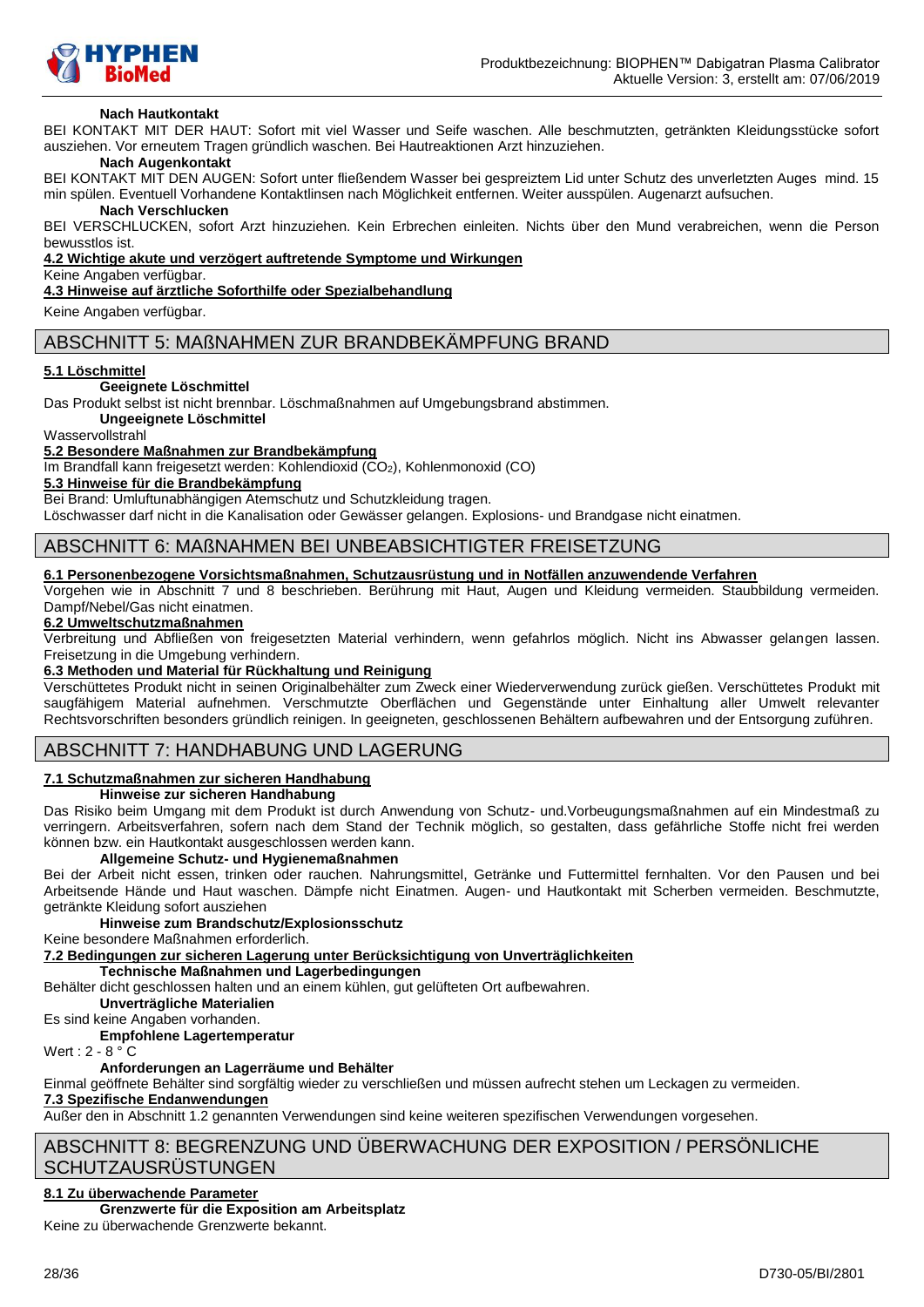

#### **Nach Hautkontakt**

BEI KONTAKT MIT DER HAUT: Sofort mit viel Wasser und Seife waschen. Alle beschmutzten, getränkten Kleidungsstücke sofort ausziehen. Vor erneutem Tragen gründlich waschen. Bei Hautreaktionen Arzt hinzuziehen.

### **Nach Augenkontakt**

BEI KONTAKT MIT DEN AUGEN: Sofort unter fließendem Wasser bei gespreiztem Lid unter Schutz des unverletzten Auges mind. 15 min spülen. Eventuell Vorhandene Kontaktlinsen nach Möglichkeit entfernen. Weiter ausspülen. Augenarzt aufsuchen.

#### **Nach Verschlucken**

BEI VERSCHLUCKEN, sofort Arzt hinzuziehen. Kein Erbrechen einleiten. Nichts über den Mund verabreichen, wenn die Person bewusstlos ist.

**4.2 Wichtige akute und verzögert auftretende Symptome und Wirkungen**

#### Keine Angaben verfügbar.

**4.3 Hinweise auf ärztliche Soforthilfe oder Spezialbehandlung**

Keine Angaben verfügbar.

### ABSCHNITT 5: MAßNAHMEN ZUR BRANDBEKÄMPFUNG BRAND

#### **5.1 Löschmittel**

#### **Geeignete Löschmittel**

Das Produkt selbst ist nicht brennbar. Löschmaßnahmen auf Umgebungsbrand abstimmen.

**Ungeeignete Löschmittel**

Wasservollstrahl

#### **5.2 Besondere Maßnahmen zur Brandbekämpfung**

Im Brandfall kann freigesetzt werden: Kohlendioxid (CO<sub>2</sub>), Kohlenmonoxid (CO)

**5.3 Hinweise für die Brandbekämpfung**

Bei Brand: Umluftunabhängigen Atemschutz und Schutzkleidung tragen.

Löschwasser darf nicht in die Kanalisation oder Gewässer gelangen. Explosions- und Brandgase nicht einatmen.

### ABSCHNITT 6: MAßNAHMEN BEI UNBEABSICHTIGTER FREISETZUNG

#### **6.1 Personenbezogene Vorsichtsmaßnahmen, Schutzausrüstung und in Notfällen anzuwendende Verfahren**

Vorgehen wie in Abschnitt 7 und 8 beschrieben. Berührung mit Haut, Augen und Kleidung vermeiden. Staubbildung vermeiden. Dampf/Nebel/Gas nicht einatmen.

#### **6.2 Umweltschutzmaßnahmen**

Verbreitung und Abfließen von freigesetzten Material verhindern, wenn gefahrlos möglich. Nicht ins Abwasser gelangen lassen. Freisetzung in die Umgebung verhindern.

### **6.3 Methoden und Material für Rückhaltung und Reinigung**

Verschüttetes Produkt nicht in seinen Originalbehälter zum Zweck einer Wiederverwendung zurück gießen. Verschüttetes Produkt mit saugfähigem Material aufnehmen. Verschmutzte Oberflächen und Gegenstände unter Einhaltung aller Umwelt relevanter Rechtsvorschriften besonders gründlich reinigen. In geeigneten, geschlossenen Behältern aufbewahren und der Entsorgung zuführen.

### ABSCHNITT 7: HANDHABUNG UND LAGERUNG

#### **7.1 Schutzmaßnahmen zur sicheren Handhabung**

**Hinweise zur sicheren Handhabung**

Das Risiko beim Umgang mit dem Produkt ist durch Anwendung von Schutz- und.Vorbeugungsmaßnahmen auf ein Mindestmaß zu verringern. Arbeitsverfahren, sofern nach dem Stand der Technik möglich, so gestalten, dass gefährliche Stoffe nicht frei werden können bzw. ein Hautkontakt ausgeschlossen werden kann.

### **Allgemeine Schutz- und Hygienemaßnahmen**

Bei der Arbeit nicht essen, trinken oder rauchen. Nahrungsmittel, Getränke und Futtermittel fernhalten. Vor den Pausen und bei Arbeitsende Hände und Haut waschen. Dämpfe nicht Einatmen. Augen- und Hautkontakt mit Scherben vermeiden. Beschmutzte, getränkte Kleidung sofort ausziehen

#### **Hinweise zum Brandschutz/Explosionsschutz**

Keine besondere Maßnahmen erforderlich.

**7.2 Bedingungen zur sicheren Lagerung unter Berücksichtigung von Unverträglichkeiten**

**Technische Maßnahmen und Lagerbedingungen**

Behälter dicht geschlossen halten und an einem kühlen, gut gelüfteten Ort aufbewahren.

**Unverträgliche Materialien**

Es sind keine Angaben vorhanden.

**Empfohlene Lagertemperatur**

Wert :  $2 - 8^\circ$  C

### **Anforderungen an Lagerräume und Behälter**

Einmal geöffnete Behälter sind sorgfältig wieder zu verschließen und müssen aufrecht stehen um Leckagen zu vermeiden.

### **7.3 Spezifische Endanwendungen**

Außer den in Abschnitt 1.2 genannten Verwendungen sind keine weiteren spezifischen Verwendungen vorgesehen.

# ABSCHNITT 8: BEGRENZUNG UND ÜBERWACHUNG DER EXPOSITION / PERSÖNLICHE **SCHUTZAUSRÜSTUNGEN**

# **8.1 Zu überwachende Parameter**

### **Grenzwerte für die Exposition am Arbeitsplatz**

Keine zu überwachende Grenzwerte bekannt.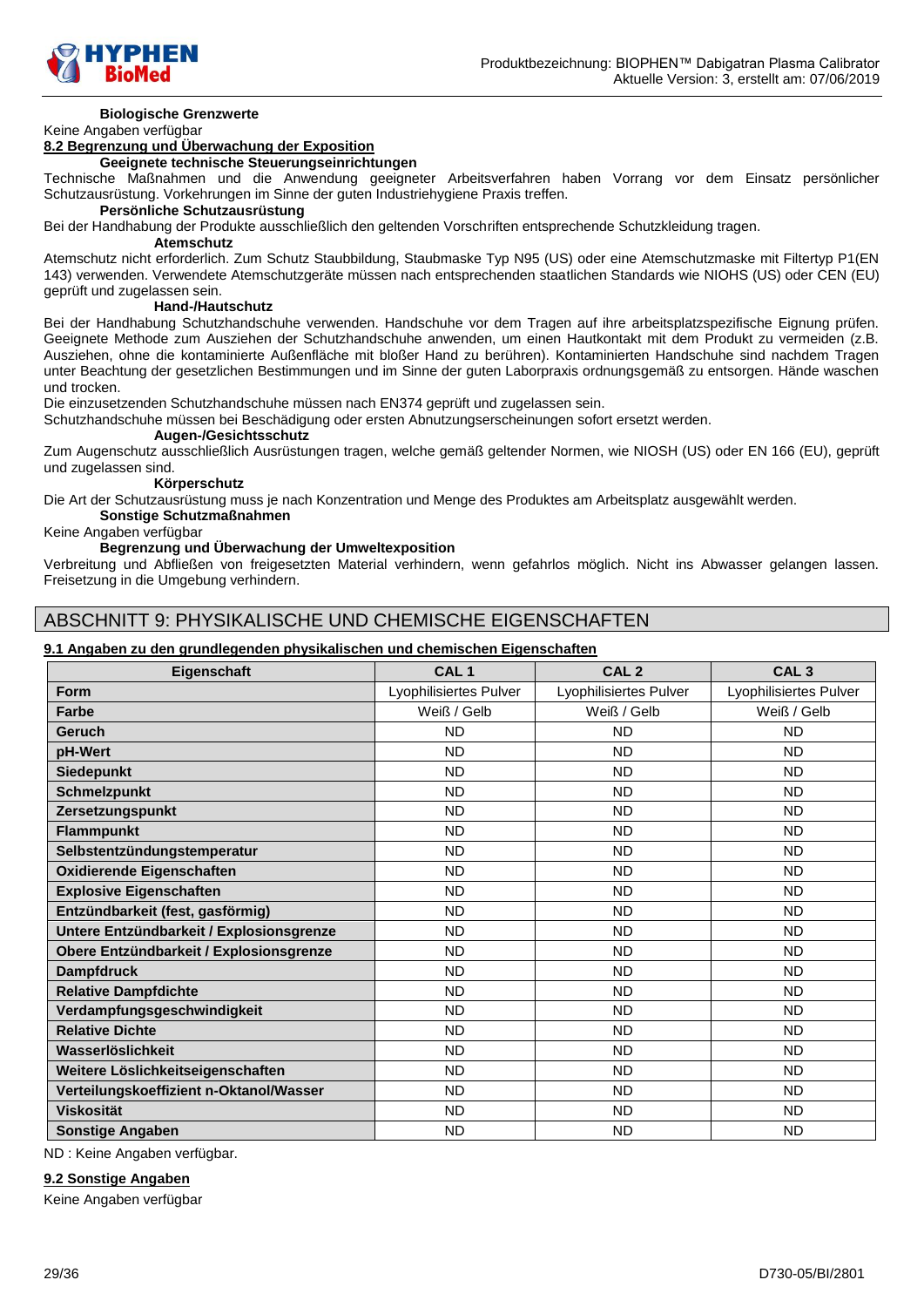

### **Biologische Grenzwerte**

### Keine Angaben verfügbar

# **8.2 Begrenzung und Überwachung der Exposition**

**Geeignete technische Steuerungseinrichtungen**

Technische Maßnahmen und die Anwendung geeigneter Arbeitsverfahren haben Vorrang vor dem Einsatz persönlicher Schutzausrüstung. Vorkehrungen im Sinne der guten Industriehygiene Praxis treffen.

### **Persönliche Schutzausrüstung**

Bei der Handhabung der Produkte ausschließlich den geltenden Vorschriften entsprechende Schutzkleidung tragen.

#### **Atemschutz**

Atemschutz nicht erforderlich. Zum Schutz Staubbildung, Staubmaske Typ N95 (US) oder eine Atemschutzmaske mit Filtertyp P1(EN 143) verwenden. Verwendete Atemschutzgeräte müssen nach entsprechenden staatlichen Standards wie NIOHS (US) oder CEN (EU) geprüft und zugelassen sein.

#### **Hand-/Hautschutz**

Bei der Handhabung Schutzhandschuhe verwenden. Handschuhe vor dem Tragen auf ihre arbeitsplatzspezifische Eignung prüfen. Geeignete Methode zum Ausziehen der Schutzhandschuhe anwenden, um einen Hautkontakt mit dem Produkt zu vermeiden (z.B. Ausziehen, ohne die kontaminierte Außenfläche mit bloßer Hand zu berühren). Kontaminierten Handschuhe sind nachdem Tragen unter Beachtung der gesetzlichen Bestimmungen und im Sinne der guten Laborpraxis ordnungsgemäß zu entsorgen. Hände waschen und trocken.

Die einzusetzenden Schutzhandschuhe müssen nach EN374 geprüft und zugelassen sein.

Schutzhandschuhe müssen bei Beschädigung oder ersten Abnutzungserscheinungen sofort ersetzt werden.

# **Augen-/Gesichtsschutz**

Zum Augenschutz ausschließlich Ausrüstungen tragen, welche gemäß geltender Normen, wie NIOSH (US) oder EN 166 (EU), geprüft und zugelassen sind.

#### **Körperschutz**

Die Art der Schutzausrüstung muss je nach Konzentration und Menge des Produktes am Arbeitsplatz ausgewählt werden.

**Sonstige Schutzmaßnahmen**

### Keine Angaben verfügbar

#### **Begrenzung und Überwachung der Umweltexposition**

Verbreitung und Abfließen von freigesetzten Material verhindern, wenn gefahrlos möglich. Nicht ins Abwasser gelangen lassen. Freisetzung in die Umgebung verhindern.

### ABSCHNITT 9: PHYSIKALISCHE UND CHEMISCHE EIGENSCHAFTEN

#### **9.1 Angaben zu den grundlegenden physikalischen und chemischen Eigenschaften**

| Eigenschaft                              | CAL <sub>1</sub>       | CAL <sub>2</sub>       | CAL <sub>3</sub>       |
|------------------------------------------|------------------------|------------------------|------------------------|
| <b>Form</b>                              | Lyophilisiertes Pulver | Lyophilisiertes Pulver | Lyophilisiertes Pulver |
| <b>Farbe</b>                             | Weiß / Gelb            | Weiß / Gelb            | Weiß / Gelb            |
| Geruch                                   | <b>ND</b>              | <b>ND</b>              | <b>ND</b>              |
| pH-Wert                                  | <b>ND</b>              | <b>ND</b>              | <b>ND</b>              |
| <b>Siedepunkt</b>                        | <b>ND</b>              | <b>ND</b>              | <b>ND</b>              |
| <b>Schmelzpunkt</b>                      | <b>ND</b>              | <b>ND</b>              | <b>ND</b>              |
| Zersetzungspunkt                         | <b>ND</b>              | <b>ND</b>              | <b>ND</b>              |
| <b>Flammpunkt</b>                        | <b>ND</b>              | <b>ND</b>              | ND.                    |
| Selbstentzündungstemperatur              | <b>ND</b>              | <b>ND</b>              | <b>ND</b>              |
| <b>Oxidierende Eigenschaften</b>         | <b>ND</b>              | <b>ND</b>              | <b>ND</b>              |
| <b>Explosive Eigenschaften</b>           | <b>ND</b>              | <b>ND</b>              | <b>ND</b>              |
| Entzündbarkeit (fest, gasförmig)         | <b>ND</b>              | <b>ND</b>              | <b>ND</b>              |
| Untere Entzündbarkeit / Explosionsgrenze | <b>ND</b>              | <b>ND</b>              | <b>ND</b>              |
| Obere Entzündbarkeit / Explosionsgrenze  | <b>ND</b>              | <b>ND</b>              | ND.                    |
| <b>Dampfdruck</b>                        | <b>ND</b>              | <b>ND</b>              | ND.                    |
| <b>Relative Dampfdichte</b>              | <b>ND</b>              | <b>ND</b>              | <b>ND</b>              |
| Verdampfungsgeschwindigkeit              | <b>ND</b>              | <b>ND</b>              | <b>ND</b>              |
| <b>Relative Dichte</b>                   | <b>ND</b>              | <b>ND</b>              | <b>ND</b>              |
| Wasserlöslichkeit                        | <b>ND</b>              | <b>ND</b>              | <b>ND</b>              |
| Weitere Löslichkeitseigenschaften        | <b>ND</b>              | <b>ND</b>              | ND.                    |
| Verteilungskoeffizient n-Oktanol/Wasser  | <b>ND</b>              | <b>ND</b>              | ND.                    |
| <b>Viskosität</b>                        | <b>ND</b>              | <b>ND</b>              | <b>ND</b>              |
| <b>Sonstige Angaben</b>                  | <b>ND</b>              | <b>ND</b>              | <b>ND</b>              |

ND : Keine Angaben verfügbar.

#### **9.2 Sonstige Angaben**

Keine Angaben verfügbar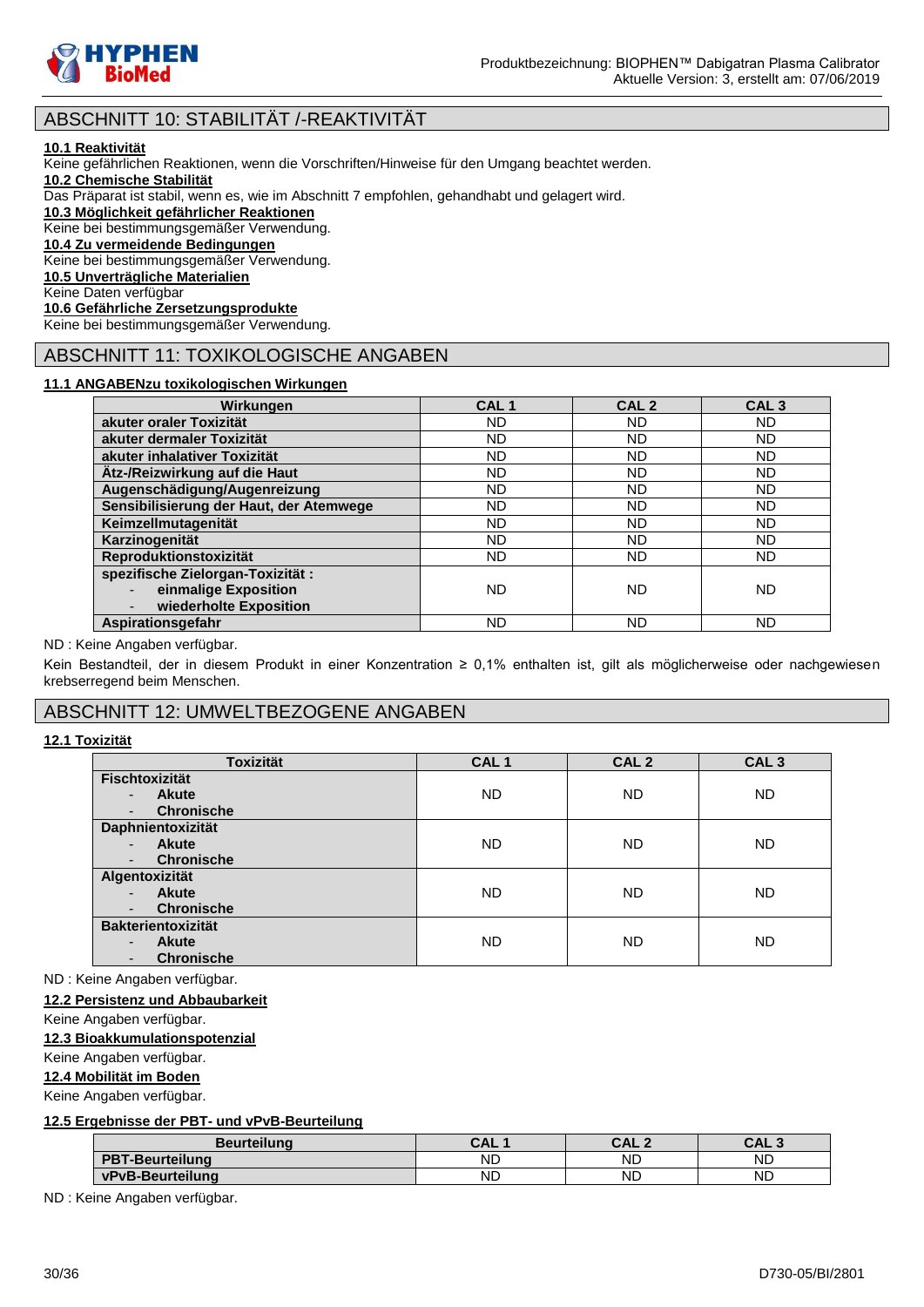

# ABSCHNITT 10: STABILITÄT /-REAKTIVITÄT

#### **10.1 Reaktivität**

Keine gefährlichen Reaktionen, wenn die Vorschriften/Hinweise für den Umgang beachtet werden.

**10.2 Chemische Stabilität**

Das Präparat ist stabil, wenn es, wie im Abschnitt 7 empfohlen, gehandhabt und gelagert wird.

**10.3 Möglichkeit gefährlicher Reaktionen**

Keine bei bestimmungsgemäßer Verwendung.

**10.4 Zu vermeidende Bedingungen**

Keine bei bestimmungsgemäßer Verwendung.

**10.5 Unverträgliche Materialien**

Keine Daten verfügbar

**10.6 Gefährliche Zersetzungsprodukte**

Keine bei bestimmungsgemäßer Verwendung.

# ABSCHNITT 11: TOXIKOLOGISCHE ANGABEN

### **11.1 ANGABENzu toxikologischen Wirkungen**

| Wirkungen                                                                                             | CAL <sub>1</sub> | CAL <sub>2</sub> | CAL <sub>3</sub> |
|-------------------------------------------------------------------------------------------------------|------------------|------------------|------------------|
| akuter oraler Toxizität                                                                               | ND               | ND               | <b>ND</b>        |
| akuter dermaler Toxizität                                                                             | <b>ND</b>        | <b>ND</b>        | <b>ND</b>        |
| akuter inhalativer Toxizität                                                                          | <b>ND</b>        | <b>ND</b>        | ND               |
| Ätz-/Reizwirkung auf die Haut                                                                         | <b>ND</b>        | ND               | <b>ND</b>        |
| Augenschädigung/Augenreizung                                                                          | <b>ND</b>        | <b>ND</b>        | <b>ND</b>        |
| Sensibilisierung der Haut, der Atemwege                                                               | ND               | <b>ND</b>        | <b>ND</b>        |
| Keimzellmutagenität                                                                                   | <b>ND</b>        | <b>ND</b>        | <b>ND</b>        |
| Karzinogenität                                                                                        | ND               | <b>ND</b>        | ND               |
| Reproduktionstoxizität                                                                                | <b>ND</b>        | <b>ND</b>        | ND               |
| spezifische Zielorgan-Toxizität :<br>einmalige Exposition<br>$\blacksquare$<br>wiederholte Exposition | ND               | ND               | <b>ND</b>        |
| Aspirationsgefahr                                                                                     | ND               | ND               | ND               |

#### ND : Keine Angaben verfügbar.

Kein Bestandteil, der in diesem Produkt in einer Konzentration ≥ 0,1% enthalten ist, gilt als möglicherweise oder nachgewiesen krebserregend beim Menschen.

# ABSCHNITT 12: UMWELTBEZOGENE ANGABEN

### **12.1 Toxizität**

| <b>Toxizität</b>                         | CAL <sub>1</sub> | CAL <sub>2</sub> | CAL <sub>3</sub> |
|------------------------------------------|------------------|------------------|------------------|
| <b>Fischtoxizität</b>                    |                  |                  |                  |
| <b>Akute</b><br>-                        | <b>ND</b>        | <b>ND</b>        | <b>ND</b>        |
| <b>Chronische</b><br>-                   |                  |                  |                  |
| <b>Daphnientoxizität</b>                 |                  |                  |                  |
| <b>Akute</b><br>$\overline{a}$           | <b>ND</b>        | <b>ND</b>        | <b>ND</b>        |
| <b>Chronische</b><br>٠                   |                  |                  |                  |
| Algentoxizität                           |                  |                  |                  |
| <b>Akute</b><br>$\overline{\phantom{0}}$ | <b>ND</b>        | <b>ND</b>        | <b>ND</b>        |
| <b>Chronische</b><br>-                   |                  |                  |                  |
| <b>Bakterientoxizität</b>                |                  |                  |                  |
| <b>Akute</b><br>$\overline{\phantom{0}}$ | <b>ND</b>        | <b>ND</b>        | <b>ND</b>        |
| <b>Chronische</b><br>٠                   |                  |                  |                  |

ND : Keine Angaben verfügbar.

### **12.2 Persistenz und Abbaubarkeit**

Keine Angaben verfügbar.

### **12.3 Bioakkumulationspotenzial**

Keine Angaben verfügbar.

### **12.4 Mobilität im Boden**

Keine Angaben verfügbar.

### **12.5 Ergebnisse der PBT- und vPvB-Beurteilung**

| <b>Beurteilung</b>     | CAL       | CAL.<br>$\sqrt{2}$ | <b>CAL</b> |
|------------------------|-----------|--------------------|------------|
| <b>PBT-Beurteilung</b> | ND        | ΝD                 | <b>ND</b>  |
| vPvB-Beurteilung       | <b>ND</b> | ND                 | <b>ND</b>  |

ND : Keine Angaben verfügbar.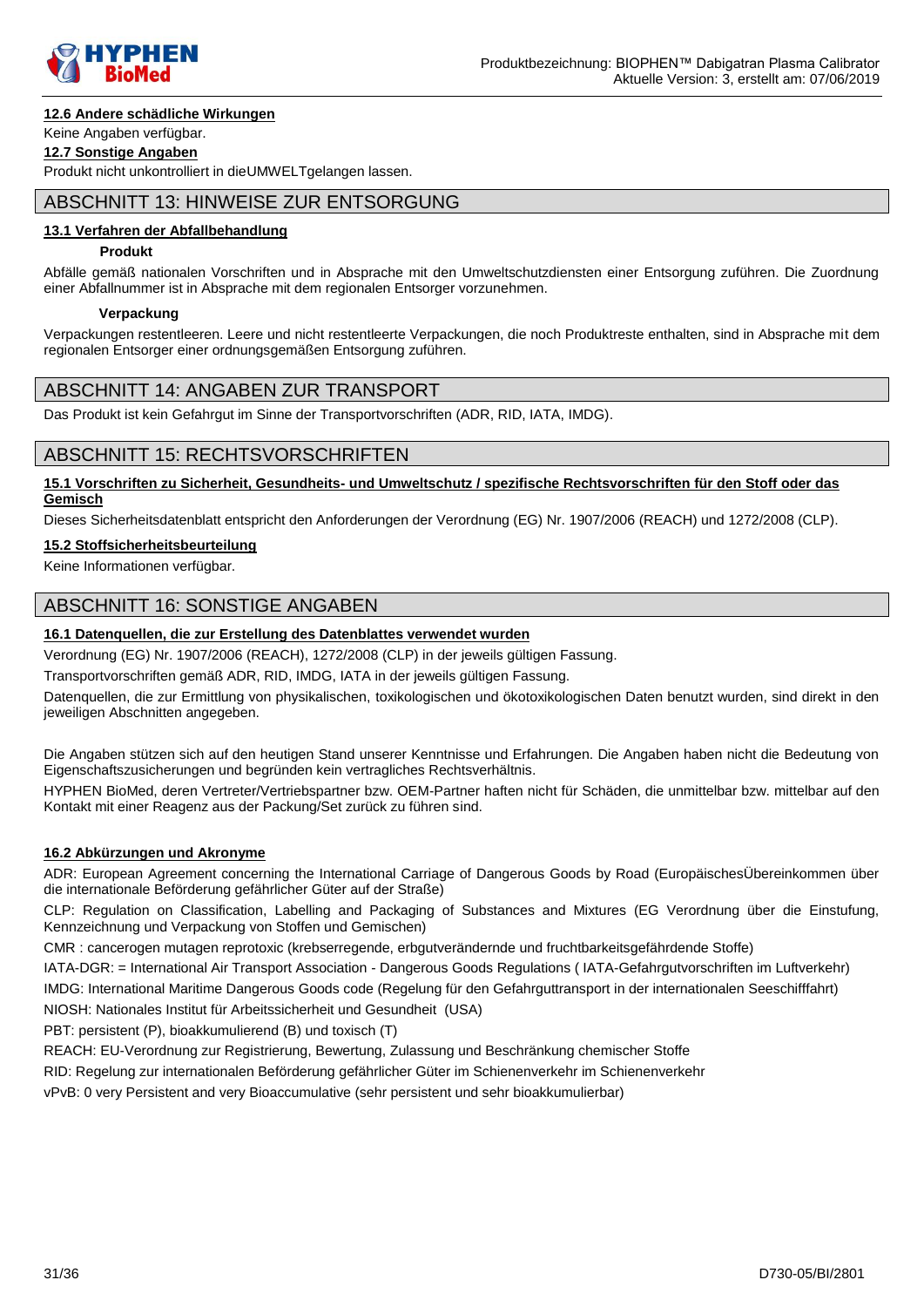

### **12.6 Andere schädliche Wirkungen**

### Keine Angaben verfügbar.

**12.7 Sonstige Angaben**

Produkt nicht unkontrolliert in dieUMWELTgelangen lassen.

### ABSCHNITT 13: HINWEISE ZUR ENTSORGUNG

### **13.1 Verfahren der Abfallbehandlung**

#### **Produkt**

Abfälle gemäß nationalen Vorschriften und in Absprache mit den Umweltschutzdiensten einer Entsorgung zuführen. Die Zuordnung einer Abfallnummer ist in Absprache mit dem regionalen Entsorger vorzunehmen.

#### **Verpackung**

Verpackungen restentleeren. Leere und nicht restentleerte Verpackungen, die noch Produktreste enthalten, sind in Absprache mit dem regionalen Entsorger einer ordnungsgemäßen Entsorgung zuführen.

### ABSCHNITT 14: ANGABEN ZUR TRANSPORT

Das Produkt ist kein Gefahrgut im Sinne der Transportvorschriften (ADR, RID, IATA, IMDG).

### ABSCHNITT 15: RECHTSVORSCHRIFTEN

#### **15.1 Vorschriften zu Sicherheit, Gesundheits- und Umweltschutz / spezifische Rechtsvorschriften für den Stoff oder das Gemisch**

Dieses Sicherheitsdatenblatt entspricht den Anforderungen der Verordnung (EG) Nr. 1907/2006 (REACH) und 1272/2008 (CLP).

### **15.2 Stoffsicherheitsbeurteilung**

Keine Informationen verfügbar.

# ABSCHNITT 16: SONSTIGE ANGABEN

### **16.1 Datenquellen, die zur Erstellung des Datenblattes verwendet wurden**

Verordnung (EG) Nr. 1907/2006 (REACH), 1272/2008 (CLP) in der jeweils gültigen Fassung.

Transportvorschriften gemäß ADR, RID, IMDG, IATA in der jeweils gültigen Fassung.

Datenquellen, die zur Ermittlung von physikalischen, toxikologischen und ökotoxikologischen Daten benutzt wurden, sind direkt in den jeweiligen Abschnitten angegeben.

Die Angaben stützen sich auf den heutigen Stand unserer Kenntnisse und Erfahrungen. Die Angaben haben nicht die Bedeutung von Eigenschaftszusicherungen und begründen kein vertragliches Rechtsverhältnis.

HYPHEN BioMed, deren Vertreter/Vertriebspartner bzw. OEM-Partner haften nicht für Schäden, die unmittelbar bzw. mittelbar auf den Kontakt mit einer Reagenz aus der Packung/Set zurück zu führen sind.

### **16.2 Abkürzungen und Akronyme**

ADR: European Agreement concerning the International Carriage of Dangerous Goods by Road (EuropäischesÜbereinkommen über die internationale Beförderung gefährlicher Güter auf der Straße)

CLP: Regulation on Classification, Labelling and Packaging of Substances and Mixtures (EG Verordnung über die Einstufung, Kennzeichnung und Verpackung von Stoffen und Gemischen)

CMR : cancerogen mutagen reprotoxic (krebserregende, erbgutverändernde und fruchtbarkeitsgefährdende Stoffe)

IATA-DGR: = International Air Transport Association - Dangerous Goods Regulations ( IATA-Gefahrgutvorschriften im Luftverkehr)

IMDG: International Maritime Dangerous Goods code (Regelung für den Gefahrguttransport in der internationalen Seeschifffahrt)

NIOSH: Nationales Institut für Arbeitssicherheit und Gesundheit (USA)

PBT: persistent (P), bioakkumulierend (B) und toxisch (T)

REACH: EU-Verordnung zur Registrierung, Bewertung, Zulassung und Beschränkung chemischer Stoffe

RID: Regelung zur internationalen Beförderung gefährlicher Güter im Schienenverkehr im Schienenverkehr

vPvB: 0 very Persistent and very Bioaccumulative (sehr persistent und sehr bioakkumulierbar)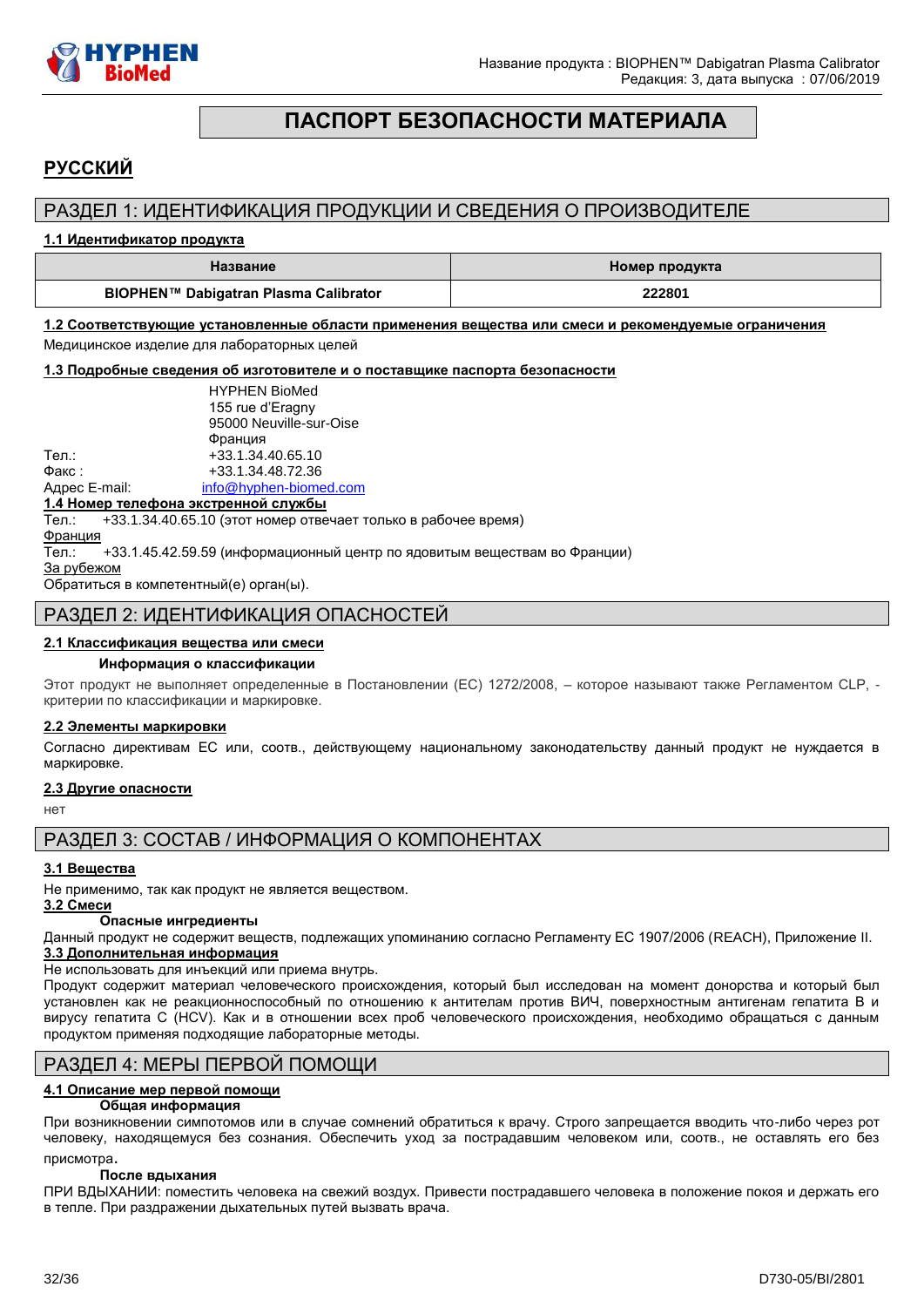

# **ПАСПОРТ БЕЗОПАСНОСТИ МАТЕРИАЛА**

# <span id="page-31-0"></span>**РУССКИЙ**

# РАЗДЕЛ 1: ИДЕНТИФИКАЦИЯ ПРОДУКЦИИ И СВЕДЕНИЯ О ПРОИЗВОДИТЕЛЕ

#### **1.1 Идентификатор продукта**

| Название                              | Номер продукта |  |
|---------------------------------------|----------------|--|
| BIOPHEN™ Dabigatran Plasma Calibrator | 222801         |  |

**1.2 Соответствующие установленные области применения вещества или смеси и рекомендуемые ограничения**  Медицинское изделие для лабораторных целей

**1.3 Подробные сведения об изготовителе и о поставщике паспорта безопасности**

|               | <b>HYPHEN BioMed</b>    |
|---------------|-------------------------|
|               | 155 rue d'Eragny        |
|               | 95000 Neuville-sur-Oise |
|               | Франция                 |
| Тел.:         | +33.1.34.40.65.10       |
| Факс:         | +33.1.34.48.72.36       |
| Адрес E-mail: | info@hyphen-biomed.com  |

#### **1.4 Номер телефона экстренной службы**

Тел.: +33.1.34.40.65.10 (этот номер отвечает только в рабочее время)

Франция

Тел.: +33.1.45.42.59.59 (информационный центр по ядовитым веществам во Франции)

За рубежом

Обратиться в компетентный(е) орган(ы).

### РАЗДЕЛ 2: ИДЕНТИФИКАЦИЯ ОПАСНОСТЕЙ

#### **2.1 Классификация вещества или смеси**

#### **Информация о классификации**

Этот продукт не выполняет определенные в Постановлении (EС) 1272/2008, – которое называют также Регламентом CLP, критерии по классификации и маркировке.

#### **2.2 Элементы маркировки**

Согласно директивам ЕС или, соотв., действующему национальному законодательству данный продукт не нуждается в маркировке.

#### **2.3 Другие опасности**

нет

РАЗДЕЛ 3: СОСТАВ / ИНФОРМАЦИЯ О КОМПОНЕНТАХ

#### **3.1 Вещества**

Не применимо, так как продукт не является веществом.

#### **3.2 Смеси Опасные ингредиенты**

Данный продукт не содержит веществ, подлежащих упоминанию согласно Регламенту ЕС 1907/2006 (REACH), Приложение II. **3.3 Дополнительная информация**

Не использовать для инъекций или приема внутрь.

Продукт содержит материал человеческого происхождения, который был исследован на момент донорства и который был установлен как не реакционноспособный по отношению к антителам против ВИЧ, поверхностным антигенам гепатита B и вирусу гепатита C (HCV). Как и в отношении всех проб человеческого происхождения, необходимо обращаться с данным продуктом применяя подходящие лабораторные методы.

### РАЗДЕЛ 4: МЕРЫ ПЕРВОЙ ПОМОЩИ

# **4.1 Описание мер первой помощи**

#### **Общая информация**

При возникновении cимпотомов или в случае сомнений обратиться к врачу. Строго запрещается вводить что-либо через рот человеку, находящемуся без сознания. Обеспечить уход за пострадавшим человеком или, соотв., не оставлять его без присмотра.

#### **После вдыхания**

ПРИ ВДЫХАНИИ: поместить человека на свежий воздух. Привести пострадавшего человека в положение покоя и держать его в тепле. При раздражении дыхательных путей вызвать врача.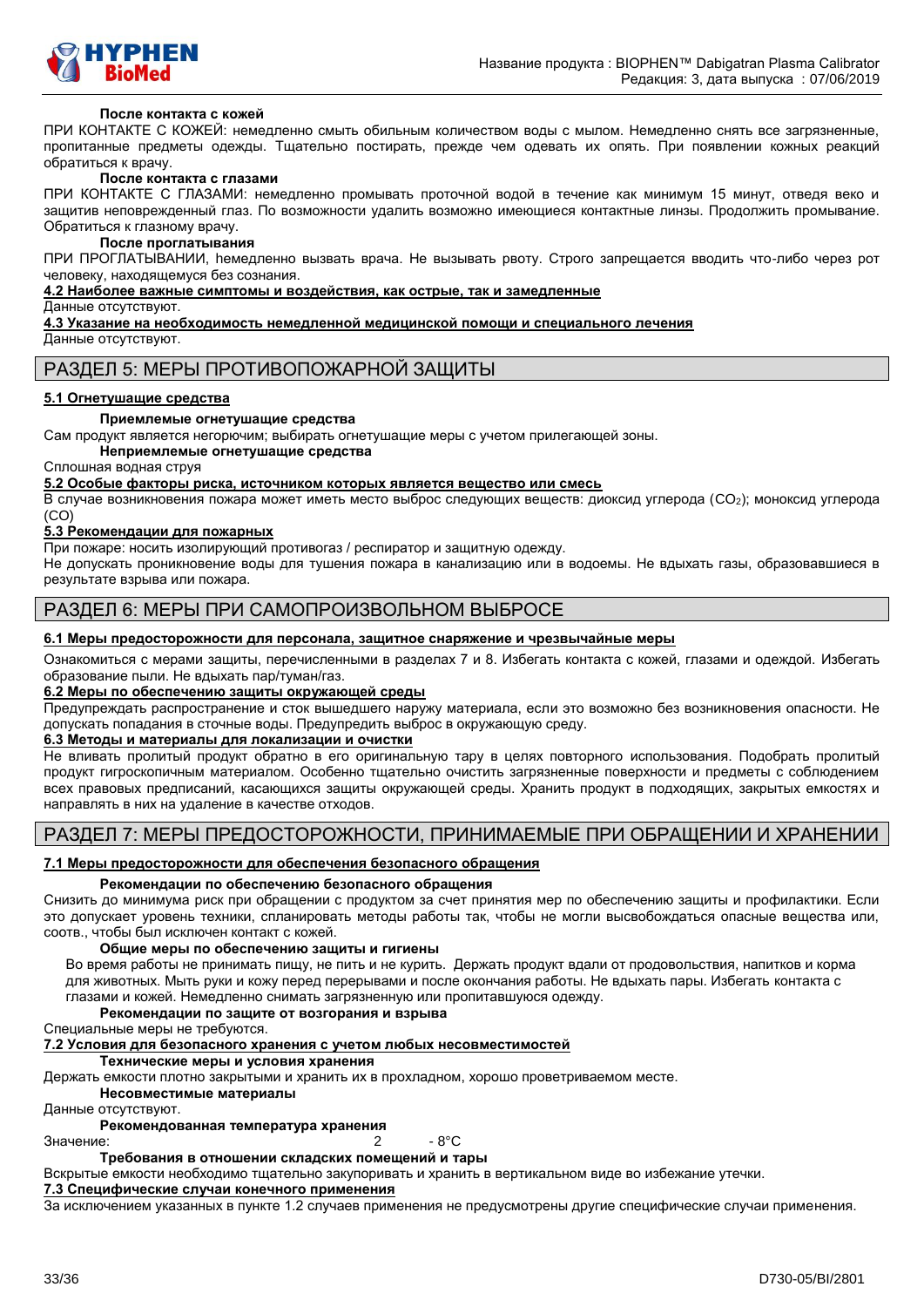

#### **После контакта с кожей**

ПРИ КОНТАКТЕ С КОЖЕЙ: немедленно смыть обильным количеством воды с мылом. Немедленно снять все загрязненные, пропитанные предметы одежды. Тщательно постирать, прежде чем одевать их опять. При появлении кожных реакций обратиться к врачу.

#### **После контакта с глазами**

ПРИ КОНТАКТЕ С ГЛАЗАМИ: немедленно промывать проточной водой в течение как минимум 15 минут, отведя веко и защитив неповрежденный глаз. По возможности удалить возможно имеющиеся контактные линзы. Продолжить промывание. Обратиться к глазному врачу.

#### **После проглатывания**

ПРИ ПРОГЛАТЫВАНИИ, hемедленно вызвать врача. Не вызывать рвоту. Строго запрещается вводить что-либо через рот человеку, находящемуся без сознания.

#### **4.2 Наиболее важные симптомы и воздействия, как острые, так и замедленные**

Данные отсутствуют.

**4.3 Указание на необходимость немедленной медицинской помощи и специального лечения**

Данные отсутствуют.

### РАЗДЕЛ 5: МЕРЫ ПРОТИВОПОЖАРНОЙ ЗАЩИТЫ

#### **5.1 Огнетушащие средства**

#### **Приемлемые огнетушащие средства**

Сам продукт является негорючим; выбирать огнетушащие меры с учетом прилегающей зоны.

**Неприемлемые огнетушащие средства**

Сплошная водная струя

**5.2 Особые факторы риска, источником которых является вещество или смесь**

В случае возникновения пожара может иметь место выброс следующих веществ: диоксид углерода (CO2); моноксид углерода (CO)

#### **5.3 Рекомендации для пожарных**

При пожаре: носить изолирующий противогаз / респиратор и защитную одежду.

Не допускать проникновение воды для тушения пожара в канализацию или в водоемы. Не вдыхать газы, образовавшиеся в результате взрыва или пожара.

# РАЗДЕЛ 6: МЕРЫ ПРИ САМОПРОИЗВОЛЬНОМ ВЫБРОСЕ

#### **6.1 Меры предосторожности для персонала, защитное снаряжение и чрезвычайные меры**

Ознакомиться с мерами защиты, перечисленными в разделах 7 и 8. Избегать контакта с кожей, глазами и одеждой. Избегать образование пыли. Не вдыхать пар/туман/газ.

#### **6.2 Меры по обеспечению защиты окружающей среды**

Предупреждать распространение и сток вышедшего наружу материала, если это возможно без возникновения опасности. Не допускать попадания в сточные воды. Предупредить выброс в окружающую среду.

#### **6.3 Методы и материалы для локализации и очистки**

Не вливать пролитый продукт обратно в его оригинальную тару в целях повторного использования. Подобрать пролитый продукт гигроскопичным материалом. Особенно тщательно очистить загрязненные поверхности и предметы с соблюдением всех правовых предписаний, касающихся защиты окружающей среды. Хранить продукт в подходящих, закрытых емкостях и направлять в них на удаление в качестве отходов.

### РАЗДЕЛ 7: МЕРЫ ПРЕДОСТОРОЖНОСТИ, ПРИНИМАЕМЫЕ ПРИ ОБРАЩЕНИИ И ХРАНЕНИИ

### **7.1 Меры предосторожности для обеспечения безопасного обращения**

#### **Рекомендации по обеспечению безопасного обращения**

Снизить до минимума риск при обращении с продуктом за счет принятия мер по обеспечению защиты и профилактики. Если это допускает уровень техники, спланировать методы работы так, чтобы не могли высвобождаться опасные вещества или, соотв., чтобы был исключен контакт с кожей.

#### **Общие меры по обеспечению защиты и гигиены**

Во время работы не принимать пищу, не пить и не курить. Держать продукт вдали от продовольствия, напитков и корма для животных. Мыть руки и кожу перед перерывами и после окончания работы. Не вдыхать пары. Избегать контакта с глазами и кожей. Немедленно снимать загрязненную или пропитавшуюся одежду.

#### **Рекомендации по защите от возгорания и взрыва**

Специальные меры не требуются.

#### **7.2 Условия для безопасного хранения с учетом любых несовместимостей**

**Технические меры и условия хранения**

Держать емкости плотно закрытыми и хранить их в прохладном, хорошо проветриваемом месте.

**Несовместимые материалы**

Данные отсутствуют.

#### **Рекомендованная температура хранения**

Значение: 2 - 8°C

#### **Требования в отношении складских помещений и тары**

Вскрытые емкости необходимо тщательно закупоривать и хранить в вертикальном виде во избежание утечки.

### **7.3 Специфические случаи конечного применения**

За исключением указанных в пункте 1.2 случаев применения не предусмотрены другие специфические случаи применения.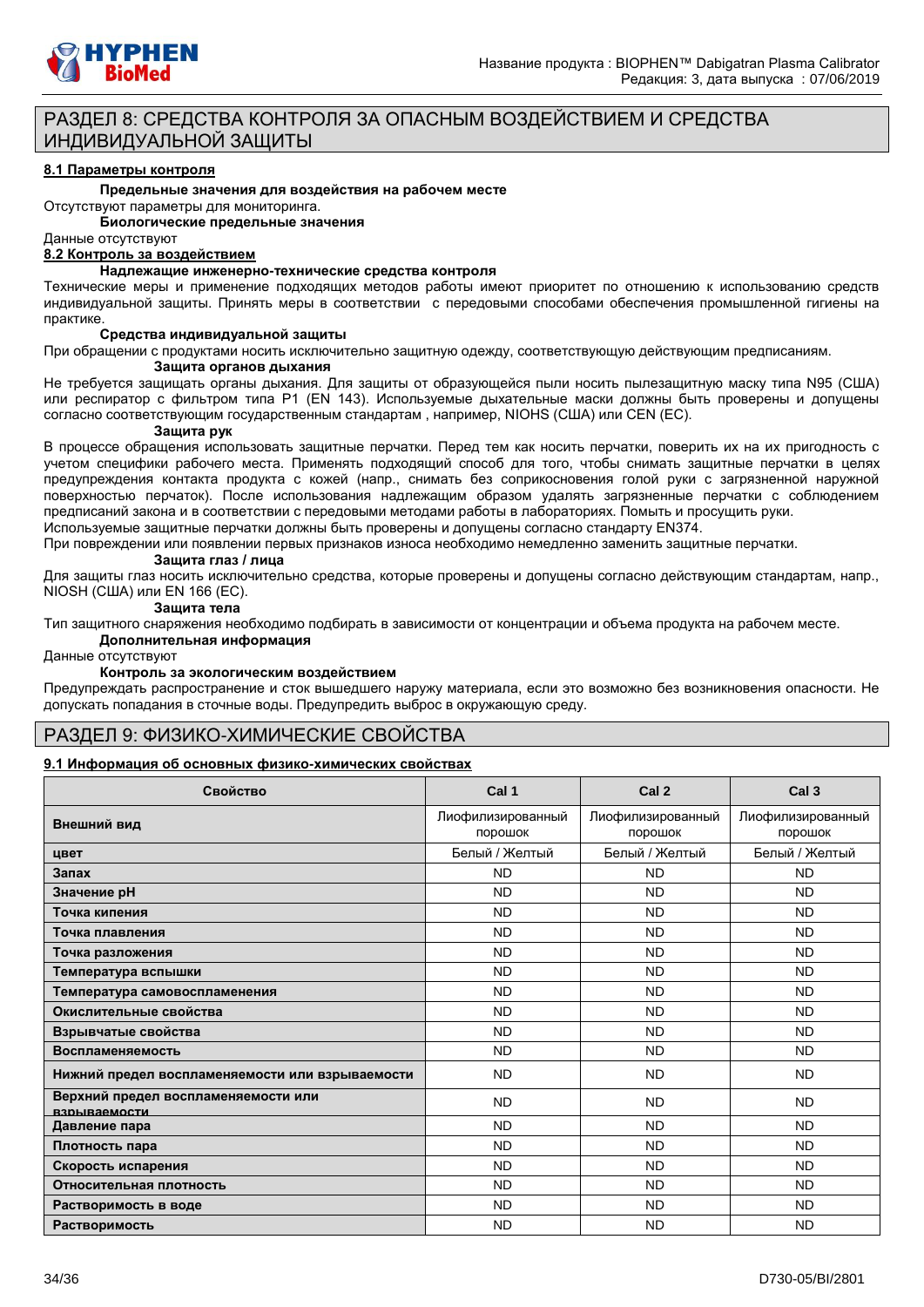

# РАЗДЕЛ 8: СРЕДСТВА КОНТРОЛЯ ЗА ОПАСНЫМ ВОЗДЕЙСТВИЕМ И СРЕДСТВА ИНДИВИДУАЛЬНОЙ ЗАЩИТЫ

#### **8.1 Параметры контроля**

#### **Предельные значения для воздействия на рабочем месте**

Отсутствуют параметры для мониторинга.

**Биологические предельные значения**

#### Данные отсутствуют

#### **8.2 Контроль за воздействием**

### **Надлежащие инженерно-технические средства контроля**

Технические меры и применение подходящих методов работы имеют приоритет по отношению к использованию средств индивидуальной защиты. Принять меры в соответствии с передовыми способами обеспечения промышленной гигиены на практике.

#### **Средства индивидуальной защиты**

При обращении с продуктами носить исключительно защитную одежду, соответствующую действующим предписаниям. **Защита органов дыхания**

Не требуется защищать органы дыхания. Для защиты от образующейся пыли носить пылезащитную маску типа N95 (США) или респиратор с фильтром типа P1 (EN 143). Используемые дыхательные маски должны быть проверены и допущены согласно соответствующим государственным стандартам , например, NIOHS (США) или CEN (EС).

#### **Защита рук**

В процессе обращения использовать защитные перчатки. Перед тем как носить перчатки, поверить их на их пригодность с учетом специфики рабочего места. Применять подходящий способ для того, чтобы снимать защитные перчатки в целях предупреждения контакта продукта с кожей (напр., снимать без соприкосновения голой руки с загрязненной наружной поверхностью перчаток). После использования надлежащим образом удалять загрязненные перчатки с соблюдением предписаний закона и в соответствии с передовыми методами работы в лабораториях. Помыть и просущить руки. Используемые защитные перчатки должны быть проверены и допущены согласно стандарту EN374.

При повреждении или появлении первых признаков износа необходимо немедленно заменить защитные перчатки.

#### **Защита глаз / лица**

Для защиты глаз носить исключительно средства, которые проверены и допущены согласно действующим стандартам, напр., NIOSH (США) или EN 166 (EС).

#### **Защита тела**

Тип защитного снаряжения необходимо подбирать в зависимости от концентрации и объема продукта на рабочем месте.

#### **Дополнительная информация**

Данные отсутствуют

#### **Контроль за экологическим воздействием**

Предупреждать распространение и сток вышедшего наружу материала, если это возможно без возникновения опасности. Не допускать попадания в сточные воды. Предупредить выброс в окружающую среду.

### РАЗДЕЛ 9: ФИЗИКО-ХИМИЧЕСКИЕ СВОЙСТВА

#### **9.1 Информация об основных физико-химических свойствах**

| Свойство                                            | Cal 1                        | Cal <sub>2</sub>             | Cal <sub>3</sub>             |
|-----------------------------------------------------|------------------------------|------------------------------|------------------------------|
| Внешний вид                                         | Лиофилизированный<br>порошок | Лиофилизированный<br>порошок | Лиофилизированный<br>порошок |
| цвет                                                | Белый / Желтый               | Белый / Желтый               | Белый / Желтый               |
| Запах                                               | <b>ND</b>                    | <b>ND</b>                    | <b>ND</b>                    |
| Значение рН                                         | <b>ND</b>                    | <b>ND</b>                    | <b>ND</b>                    |
| Точка кипения                                       | <b>ND</b>                    | <b>ND</b>                    | <b>ND</b>                    |
| Точка плавления                                     | <b>ND</b>                    | <b>ND</b>                    | <b>ND</b>                    |
| Точка разложения                                    | <b>ND</b>                    | <b>ND</b>                    | <b>ND</b>                    |
| Температура вспышки                                 | <b>ND</b>                    | <b>ND</b>                    | <b>ND</b>                    |
| Температура самовоспламенения                       | <b>ND</b>                    | <b>ND</b>                    | <b>ND</b>                    |
| Окислительные свойства                              | <b>ND</b>                    | <b>ND</b>                    | <b>ND</b>                    |
| Взрывчатые свойства                                 | <b>ND</b>                    | <b>ND</b>                    | <b>ND</b>                    |
| Воспламеняемость                                    | <b>ND</b>                    | <b>ND</b>                    | <b>ND</b>                    |
| Нижний предел воспламеняемости или взрываемости     | <b>ND</b>                    | <b>ND</b>                    | <b>ND</b>                    |
| Верхний предел воспламеняемости или<br>взрываемости | <b>ND</b>                    | <b>ND</b>                    | <b>ND</b>                    |
| Давление пара                                       | <b>ND</b>                    | <b>ND</b>                    | <b>ND</b>                    |
| Плотность пара                                      | <b>ND</b>                    | <b>ND</b>                    | <b>ND</b>                    |
| Скорость испарения                                  | <b>ND</b>                    | <b>ND</b>                    | <b>ND</b>                    |
| Относительная плотность                             | <b>ND</b>                    | <b>ND</b>                    | <b>ND</b>                    |
| Растворимость в воде                                | <b>ND</b>                    | <b>ND</b>                    | <b>ND</b>                    |
| Растворимость                                       | <b>ND</b>                    | <b>ND</b>                    | <b>ND</b>                    |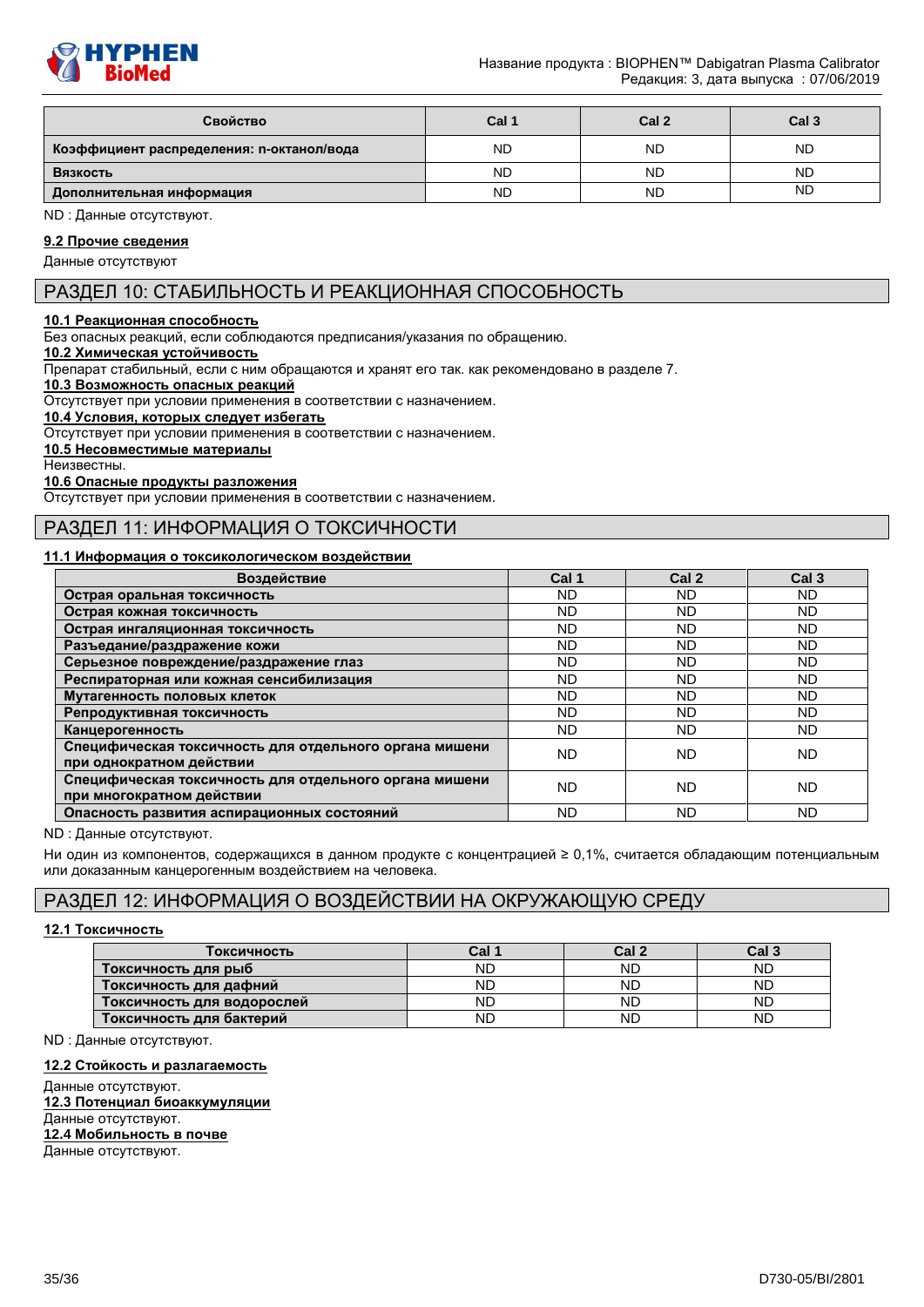

| Свойство                                  | Cal 1     | Cal <sub>2</sub> | Cal <sub>3</sub> |
|-------------------------------------------|-----------|------------------|------------------|
| Коэффициент распределения: n-октанол/вода | <b>ND</b> | <b>ND</b>        | <b>ND</b>        |
| Вязкость                                  | <b>ND</b> | <b>ND</b>        | <b>ND</b>        |
| Дополнительная информация                 | <b>ND</b> | <b>ND</b>        | <b>ND</b>        |

ND : Данные отсутствуют.

# **9.2 Прочие сведения**

Данные отсутствуют

# РАЗДЕЛ 10: СТАБИЛЬНОСТЬ И РЕАКЦИОННАЯ СПОСОБНОСТЬ

#### **10.1 Реакционная способность**

Без опасных реакций, если соблюдаются предписания/указания по обращению.

#### **10.2 Химическая устойчивость**

Препарат стабильный, если с ним обращаются и хранят его так. как рекомендовано в разделе 7.

#### **10.3 Возможность опасных реакций**

Отсутствует при условии применения в соответствии с назначением.

**10.4 Условия, которых следует избегать**

Отсутствует при условии применения в соответствии с назначением.

### **10.5 Несовместимые материалы**

Неизвестны.

#### **10.6 Опасные продукты разложения**

Отсутствует при условии применения в соответствии с назначением.

# РАЗДЕЛ 11: ИНФОРМАЦИЯ О ТОКСИЧНОСТИ

#### **11.1 Информация о токсикологическом воздействии**

| Воздействие                                                                         | Cal 1     | Cal <sub>2</sub> | Cal <sub>3</sub> |
|-------------------------------------------------------------------------------------|-----------|------------------|------------------|
| Острая оральная токсичность                                                         | ND.       | ND               | ND.              |
| Острая кожная токсичность                                                           | ND.       | ND.              | ND.              |
| Острая ингаляционная токсичность                                                    | ND.       | <b>ND</b>        | ND.              |
| Разъедание/раздражение кожи                                                         | ND.       | <b>ND</b>        | <b>ND</b>        |
| Серьезное повреждение/раздражение глаз                                              | ND.       | ND.              | ND.              |
| Респираторная или кожная сенсибилизация                                             | ND.       | ND.              | ND.              |
| Мутагенность половых клеток                                                         | ND.       | ND               | ND               |
| Репродуктивная токсичность                                                          | ND.       | <b>ND</b>        | <b>ND</b>        |
| Канцерогенность                                                                     | ND.       | ND.              | ND.              |
| Специфическая токсичность для отдельного органа мишени<br>при однократном действии  | <b>ND</b> | <b>ND</b>        | <b>ND</b>        |
| Специфическая токсичность для отдельного органа мишени<br>при многократном действии | ND        | ND.              | ND.              |
| Опасность развития аспирационных состояний                                          | <b>ND</b> | ND               | <b>ND</b>        |

ND : Данные отсутствуют.

Ни один из компонентов, содержащихся в данном продукте с концентрацией ≥ 0,1%, считается обладающим потенциальным или доказанным канцерогенным воздействием на человека.

# РАЗДЕЛ 12: ИНФОРМАЦИЯ О ВОЗДЕЙСТВИИ НА ОКРУЖАЮЩУЮ СРЕДУ

#### **12.1 Токсичность**

| Гоксичность                | Cal 1 | Cal 2     | Cal 3 |
|----------------------------|-------|-----------|-------|
| Токсичность для рыб        | ND    | <b>ND</b> | ND    |
| Токсичность для дафний     | ND    | <b>ND</b> | ND    |
| Токсичность для водорослей | ND    | <b>ND</b> | ND    |
| Токсичность для бактерий   | ND    | <b>ND</b> | ND    |

ND : Данные отсутствуют.

#### **12.2 Стойкость и разлагаемость**

Данные отсутствуют. **12.3 Потенциал биоаккумуляции** Данные отсутствуют. **12.4 Мобильность в почве** Данные отсутствуют.